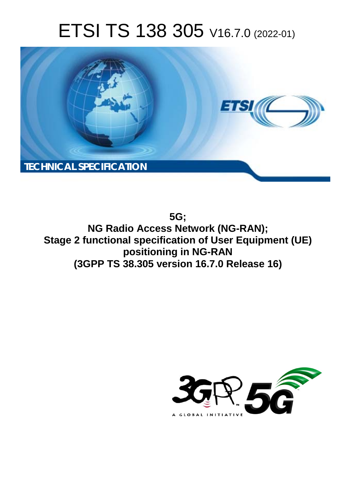# ETSI TS 138 305 V16.7.0 (2022-01)



**5G; NG Radio Access Network (NG-RAN); Stage 2 functional specification of User Equipment (UE) positioning in NG-RAN (3GPP TS 38.305 version 16.7.0 Release 16)** 

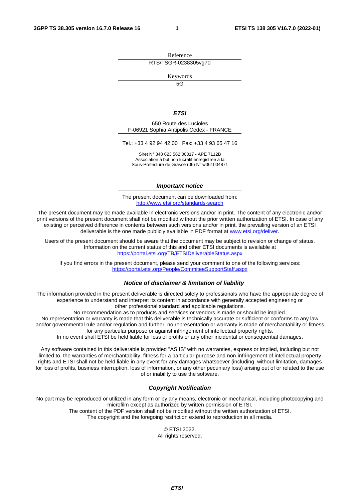Reference RTS/TSGR-0238305vg70

Keywords

 $\overline{5G}$ 

#### *ETSI*

650 Route des Lucioles F-06921 Sophia Antipolis Cedex - FRANCE

Tel.: +33 4 92 94 42 00 Fax: +33 4 93 65 47 16

Siret N° 348 623 562 00017 - APE 7112B Association à but non lucratif enregistrée à la Sous-Préfecture de Grasse (06) N° w061004871

#### *Important notice*

The present document can be downloaded from: <http://www.etsi.org/standards-search>

The present document may be made available in electronic versions and/or in print. The content of any electronic and/or print versions of the present document shall not be modified without the prior written authorization of ETSI. In case of any existing or perceived difference in contents between such versions and/or in print, the prevailing version of an ETSI deliverable is the one made publicly available in PDF format at [www.etsi.org/deliver](http://www.etsi.org/deliver).

Users of the present document should be aware that the document may be subject to revision or change of status. Information on the current status of this and other ETSI documents is available at <https://portal.etsi.org/TB/ETSIDeliverableStatus.aspx>

If you find errors in the present document, please send your comment to one of the following services: <https://portal.etsi.org/People/CommiteeSupportStaff.aspx>

#### *Notice of disclaimer & limitation of liability*

The information provided in the present deliverable is directed solely to professionals who have the appropriate degree of experience to understand and interpret its content in accordance with generally accepted engineering or other professional standard and applicable regulations.

No recommendation as to products and services or vendors is made or should be implied.

No representation or warranty is made that this deliverable is technically accurate or sufficient or conforms to any law and/or governmental rule and/or regulation and further, no representation or warranty is made of merchantability or fitness for any particular purpose or against infringement of intellectual property rights.

In no event shall ETSI be held liable for loss of profits or any other incidental or consequential damages.

Any software contained in this deliverable is provided "AS IS" with no warranties, express or implied, including but not limited to, the warranties of merchantability, fitness for a particular purpose and non-infringement of intellectual property rights and ETSI shall not be held liable in any event for any damages whatsoever (including, without limitation, damages for loss of profits, business interruption, loss of information, or any other pecuniary loss) arising out of or related to the use of or inability to use the software.

#### *Copyright Notification*

No part may be reproduced or utilized in any form or by any means, electronic or mechanical, including photocopying and microfilm except as authorized by written permission of ETSI. The content of the PDF version shall not be modified without the written authorization of ETSI.

The copyright and the foregoing restriction extend to reproduction in all media.

© ETSI 2022. All rights reserved.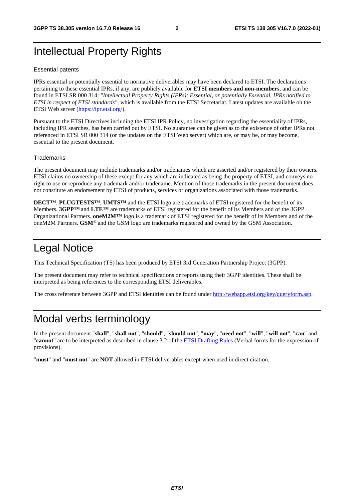## Intellectual Property Rights

#### Essential patents

IPRs essential or potentially essential to normative deliverables may have been declared to ETSI. The declarations pertaining to these essential IPRs, if any, are publicly available for **ETSI members and non-members**, and can be found in ETSI SR 000 314: *"Intellectual Property Rights (IPRs); Essential, or potentially Essential, IPRs notified to ETSI in respect of ETSI standards"*, which is available from the ETSI Secretariat. Latest updates are available on the ETSI Web server ([https://ipr.etsi.org/\)](https://ipr.etsi.org/).

Pursuant to the ETSI Directives including the ETSI IPR Policy, no investigation regarding the essentiality of IPRs, including IPR searches, has been carried out by ETSI. No guarantee can be given as to the existence of other IPRs not referenced in ETSI SR 000 314 (or the updates on the ETSI Web server) which are, or may be, or may become, essential to the present document.

#### **Trademarks**

The present document may include trademarks and/or tradenames which are asserted and/or registered by their owners. ETSI claims no ownership of these except for any which are indicated as being the property of ETSI, and conveys no right to use or reproduce any trademark and/or tradename. Mention of those trademarks in the present document does not constitute an endorsement by ETSI of products, services or organizations associated with those trademarks.

**DECT™**, **PLUGTESTS™**, **UMTS™** and the ETSI logo are trademarks of ETSI registered for the benefit of its Members. **3GPP™** and **LTE™** are trademarks of ETSI registered for the benefit of its Members and of the 3GPP Organizational Partners. **oneM2M™** logo is a trademark of ETSI registered for the benefit of its Members and of the oneM2M Partners. **GSM**® and the GSM logo are trademarks registered and owned by the GSM Association.

## Legal Notice

This Technical Specification (TS) has been produced by ETSI 3rd Generation Partnership Project (3GPP).

The present document may refer to technical specifications or reports using their 3GPP identities. These shall be interpreted as being references to the corresponding ETSI deliverables.

The cross reference between 3GPP and ETSI identities can be found under<http://webapp.etsi.org/key/queryform.asp>.

## Modal verbs terminology

In the present document "**shall**", "**shall not**", "**should**", "**should not**", "**may**", "**need not**", "**will**", "**will not**", "**can**" and "**cannot**" are to be interpreted as described in clause 3.2 of the [ETSI Drafting Rules](https://portal.etsi.org/Services/editHelp!/Howtostart/ETSIDraftingRules.aspx) (Verbal forms for the expression of provisions).

"**must**" and "**must not**" are **NOT** allowed in ETSI deliverables except when used in direct citation.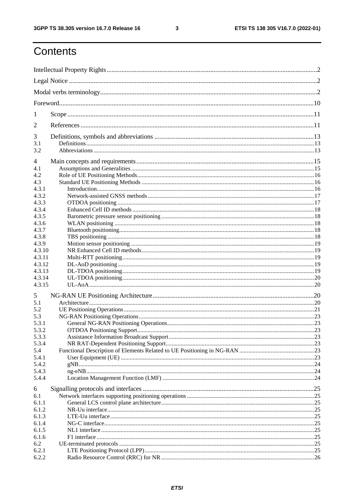$\mathbf{3}$ 

## Contents

| 1              |  |
|----------------|--|
| 2              |  |
| 3              |  |
| 3.1<br>3.2     |  |
| 4              |  |
| 4.1            |  |
| 4.2            |  |
| 4.3            |  |
| 4.3.1          |  |
| 4.3.2          |  |
| 4.3.3          |  |
| 4.3.4          |  |
| 4.3.5          |  |
| 4.3.6          |  |
| 4.3.7          |  |
| 4.3.8          |  |
| 4.3.9          |  |
| 4.3.10         |  |
| 4.3.11         |  |
| 4.3.12         |  |
| 4.3.13         |  |
| 4.3.14         |  |
| 4.3.15         |  |
| 5              |  |
| 5.1            |  |
| 5.2            |  |
| 5.3            |  |
| 5.3.1          |  |
|                |  |
| 5.3.2<br>5.3.3 |  |
|                |  |
| 5.3.4          |  |
| 5.4            |  |
| 5.4.1          |  |
| 5.4.2          |  |
| 5.4.3<br>5.4.4 |  |
| 6              |  |
| 6.1            |  |
| 6.1.1          |  |
| 6.1.2          |  |
| 6.1.3          |  |
| 6.1.4          |  |
| 6.1.5          |  |
| 6.1.6          |  |
| 6.2            |  |
|                |  |
| 6.2.1          |  |
| 6.2.2          |  |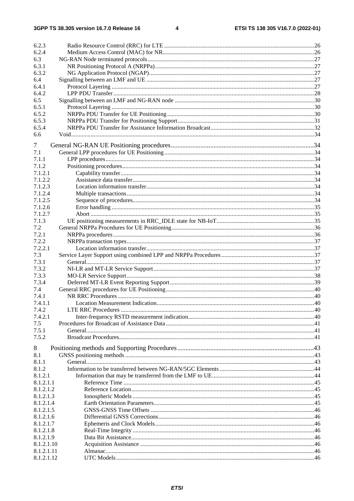$\overline{\mathbf{4}}$ 

| 6.2.3                  |  |
|------------------------|--|
| 6.2.4                  |  |
| 6.3                    |  |
| 6.3.1                  |  |
| 6.3.2                  |  |
| 6.4                    |  |
| 6.4.1                  |  |
| 6.4.2                  |  |
| 6.5                    |  |
| 6.5.1                  |  |
| 6.5.2                  |  |
| 6.5.3                  |  |
| 6.5.4                  |  |
| 6.6                    |  |
| 7                      |  |
| 7.1                    |  |
| 7.1.1                  |  |
| 7.1.2                  |  |
|                        |  |
| 7.1.2.1                |  |
| 7.1.2.2                |  |
| 7.1.2.3                |  |
| 7.1.2.4                |  |
| 7.1.2.5                |  |
| 7.1.2.6                |  |
| 7.1.2.7                |  |
| 7.1.3                  |  |
| 7.2                    |  |
| 7.2.1                  |  |
| 7.2.2                  |  |
| 7.2.2.1                |  |
| 7.3                    |  |
| 7.3.1                  |  |
| 7.3.2                  |  |
| 7.3.3                  |  |
| 7.3.4                  |  |
| 7.4                    |  |
| 7.4.1                  |  |
| 7.4.1.1                |  |
| 7.4.2                  |  |
| 7.4.2.1                |  |
| 7.5                    |  |
| 7.5.1                  |  |
| 7.5.2                  |  |
| 8                      |  |
| 8.1                    |  |
| 8.1.1                  |  |
| 8.1.2                  |  |
| 8.1.2.1                |  |
| 8.1.2.1.1              |  |
|                        |  |
| 8.1.2.1.2<br>8.1.2.1.3 |  |
|                        |  |
| 8.1.2.1.4              |  |
| 8.1.2.1.5              |  |
| 8.1.2.1.6              |  |
| 8.1.2.1.7              |  |
| 8.1.2.1.8              |  |
| 8.1.2.1.9              |  |
| 8.1.2.1.10             |  |
| 8.1.2.1.11             |  |
| 8.1.2.1.12             |  |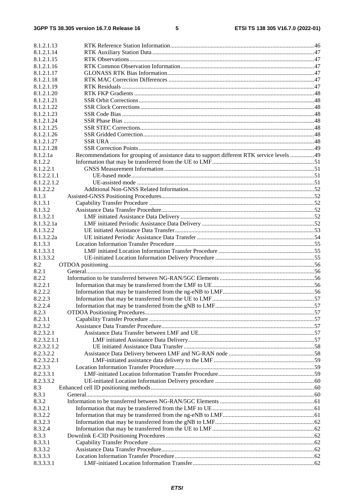| 8.1.2.1.13               |                                                                                            |  |
|--------------------------|--------------------------------------------------------------------------------------------|--|
| 8.1.2.1.14               |                                                                                            |  |
| 8.1.2.1.15               |                                                                                            |  |
| 8.1.2.1.16               |                                                                                            |  |
| 8.1.2.1.17               |                                                                                            |  |
| 8.1.2.1.18               |                                                                                            |  |
| 8.1.2.1.19               |                                                                                            |  |
| 8.1.2.1.20               |                                                                                            |  |
| 8.1.2.1.21               |                                                                                            |  |
| 8.1.2.1.22               |                                                                                            |  |
| 8.1.2.1.23               |                                                                                            |  |
| 8.1.2.1.24<br>8.1.2.1.25 |                                                                                            |  |
| 8.1.2.1.26               |                                                                                            |  |
| 8.1.2.1.27               |                                                                                            |  |
| 8.1.2.1.28               |                                                                                            |  |
| 8.1.2.1a                 | Recommendations for grouping of assistance data to support different RTK service levels 49 |  |
| 8.1.2.2                  |                                                                                            |  |
| 8.1.2.2.1                |                                                                                            |  |
| 8.1.2.2.1.1              |                                                                                            |  |
| 8.1.2.2.1.2              |                                                                                            |  |
| 8.1.2.2.2                |                                                                                            |  |
| 8.1.3                    |                                                                                            |  |
| 8.1.3.1                  |                                                                                            |  |
| 8.1.3.2                  |                                                                                            |  |
| 8.1.3.2.1                |                                                                                            |  |
| 8.1.3.2.1a               |                                                                                            |  |
| 8.1.3.2.2                |                                                                                            |  |
| 8.1.3.2.2a               |                                                                                            |  |
| 8.1.3.3                  |                                                                                            |  |
| 8.1.3.3.1                |                                                                                            |  |
| 8.1.3.3.2                |                                                                                            |  |
| 8.2                      |                                                                                            |  |
| 8.2.1                    |                                                                                            |  |
| 8.2.2                    |                                                                                            |  |
| 8.2.2.1                  |                                                                                            |  |
| 8.2.2.2                  |                                                                                            |  |
| 8.2.2.3                  |                                                                                            |  |
| 8.2.2.4                  |                                                                                            |  |
| 8.2.3                    |                                                                                            |  |
| 8.2.3.1                  |                                                                                            |  |
| 8.2.3.2                  |                                                                                            |  |
| 8.2.3.2.1<br>8.2.3.2.1.1 |                                                                                            |  |
| 8.2.3.2.1.2              |                                                                                            |  |
| 8.2.3.2.2                |                                                                                            |  |
| 8.2.3.2.2.1              |                                                                                            |  |
| 8.2.3.3                  |                                                                                            |  |
| 8.2.3.3.1                |                                                                                            |  |
| 8.2.3.3.2                |                                                                                            |  |
| 8.3                      |                                                                                            |  |
| 8.3.1                    |                                                                                            |  |
| 8.3.2                    |                                                                                            |  |
| 8.3.2.1                  |                                                                                            |  |
| 8.3.2.2                  |                                                                                            |  |
| 8.3.2.3                  |                                                                                            |  |
| 8.3.2.4                  |                                                                                            |  |
| 8.3.3                    |                                                                                            |  |
| 8.3.3.1                  |                                                                                            |  |
| 8.3.3.2                  |                                                                                            |  |
| 8.3.3.3                  |                                                                                            |  |
| 8.3.3.3.1                |                                                                                            |  |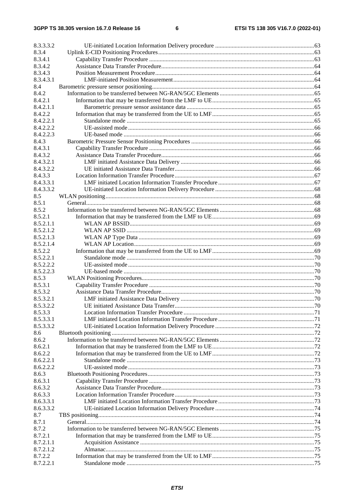| 8.3.3.3.2            |  |
|----------------------|--|
| 8.3.4                |  |
| 8.3.4.1              |  |
| 8.3.4.2              |  |
| 8.3.4.3              |  |
| 8.3.4.3.1            |  |
| 8.4                  |  |
| 8.4.2                |  |
| 8.4.2.1              |  |
| 8.4.2.1.1            |  |
| 8.4.2.2              |  |
| 8.4.2.2.1            |  |
| 8.4.2.2.2            |  |
| 8.4.2.2.3            |  |
| 8.4.3                |  |
| 8.4.3.1              |  |
| 8.4.3.2              |  |
| 8.4.3.2.1            |  |
| 8.4.3.2.2            |  |
| 8.4.3.3              |  |
| 8.4.3.3.1            |  |
| 8.4.3.3.2            |  |
| 8.5                  |  |
| 8.5.1                |  |
| 8.5.2                |  |
| 8.5.2.1              |  |
| 8.5.2.1.1            |  |
| 8.5.2.1.2            |  |
| 8.5.2.1.3            |  |
| 8.5.2.1.4            |  |
| 8.5.2.2              |  |
| 8.5.2.2.1            |  |
| 8.5.2.2.2            |  |
| 8.5.2.2.3            |  |
| 8.5.3                |  |
| 8.5.3.1              |  |
| 8.5.3.2              |  |
| 8.5.3.2.1            |  |
| 8.5.3.2.2<br>8.5.3.3 |  |
| 8.5.3.3.1            |  |
| 8.5.3.3.2            |  |
| 8.6                  |  |
| 8.6.2                |  |
| 8.6.2.1              |  |
| 8.6.2.2              |  |
| 8.6.2.2.1            |  |
| 8.6.2.2.2            |  |
| 8.6.3                |  |
| 8.6.3.1              |  |
| 8.6.3.2              |  |
| 8.6.3.3              |  |
| 8.6.3.3.1            |  |
| 8.6.3.3.2            |  |
| 8.7                  |  |
| 8.7.1                |  |
| 8.7.2                |  |
| 8.7.2.1              |  |
| 8.7.2.1.1            |  |
| 8.7.2.1.2            |  |
| 8.7.2.2              |  |
| 8.7.2.2.1            |  |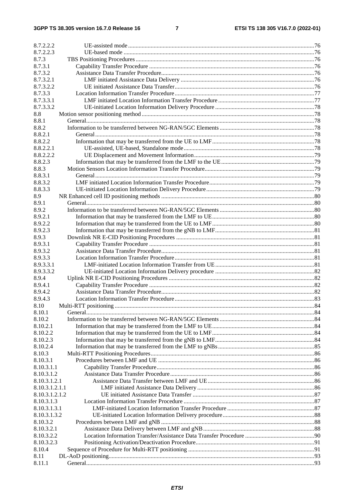| 8.7.2.2.2          |  |
|--------------------|--|
| 8.7.2.2.3          |  |
| 8.7.3              |  |
| 8.7.3.1            |  |
| 8.7.3.2            |  |
| 8.7.3.2.1          |  |
| 8.7.3.2.2          |  |
| 8.7.3.3            |  |
| 8.7.3.3.1          |  |
| 8.7.3.3.2          |  |
| 8.8                |  |
| 8.8.1              |  |
| 8.8.2              |  |
| 8.8.2.1            |  |
| 8.8.2.2            |  |
| 8.8.2.2.1          |  |
| 8.8.2.2.2          |  |
| 8.8.2.3            |  |
| 8.8.3              |  |
| 8.8.3.1            |  |
| 8.8.3.2            |  |
| 8.8.3.3            |  |
| 8.9                |  |
| 8.9.1              |  |
| 8.9.2              |  |
| 8.9.2.1            |  |
| 8.9.2.2            |  |
| 8.9.2.3            |  |
| 8.9.3              |  |
| 8.9.3.1            |  |
| 8.9.3.2            |  |
| 8.9.3.3            |  |
| 8.9.3.3.1          |  |
| 8.9.3.3.2          |  |
| 8.9.4              |  |
| 8.9.4.1            |  |
|                    |  |
| 8.9.4.2<br>8.9.4.3 |  |
|                    |  |
| 8.10               |  |
| 8.10.1             |  |
| 8.10.2             |  |
| 8.10.2.1           |  |
| 8.10.2.2           |  |
| 8.10.2.3           |  |
| 8.10.2.4           |  |
| 8.10.3             |  |
| 8.10.3.1           |  |
| 8.10.3.1.1         |  |
| 8.10.3.1.2         |  |
| 8.10.3.1.2.1       |  |
| 8.10.3.1.2.1.1     |  |
| 8.10.3.1.2.1.2     |  |
| 8.10.3.1.3         |  |
| 8.10.3.1.3.1       |  |
| 8.10.3.1.3.2       |  |
| 8.10.3.2           |  |
| 8.10.3.2.1         |  |
| 8.10.3.2.2         |  |
| 8.10.3.2.3         |  |
| 8.10.4             |  |
| 8.11               |  |
| 8.11.1             |  |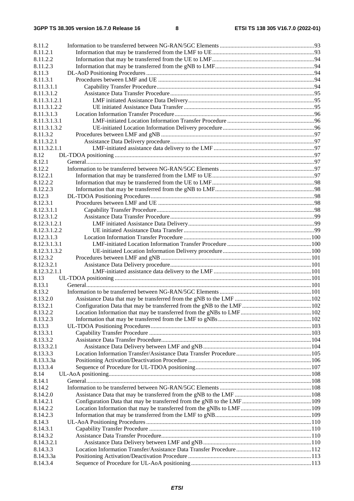| 8.11.2           |  |
|------------------|--|
| 8.11.2.1         |  |
| 8.11.2.2         |  |
| 8.11.2.3         |  |
| 8.11.3           |  |
| 8.11.3.1         |  |
| 8.11.3.1.1       |  |
| 8.11.3.1.2       |  |
| 8.11.3.1.2.1     |  |
| 8.11.3.1.2.2     |  |
| 8.11.3.1.3       |  |
| 8.11.3.1.3.1     |  |
| 8.11.3.1.3.2     |  |
| 8.11.3.2         |  |
| 8.11.3.2.1       |  |
| 8.11.3.2.1.1     |  |
| 8.12             |  |
| 8.12.1           |  |
| 8.12.2           |  |
| 8.12.2.1         |  |
| 8.12.2.2         |  |
| 8.12.2.3         |  |
| 8.12.3           |  |
| 8.12.3.1         |  |
| 8.12.3.1.1       |  |
| 8.12.3.1.2       |  |
| 8.12.3.1.2.1     |  |
| 8.12.3.1.2.2     |  |
| 8.12.3.1.3       |  |
| 8.12.3.1.3.1     |  |
| 8.12.3.1.3.2     |  |
| 8.12.3.2         |  |
| 8.12.3.2.1       |  |
| 8.12.3.2.1.1     |  |
| 8.13             |  |
| 8.13.1<br>8.13.2 |  |
| 8.13.2.0         |  |
| 8.13.2.1         |  |
| 8.13.2.2         |  |
| 8.13.2.3         |  |
| 8.13.3           |  |
| 8.13.3.1         |  |
| 8.13.3.2         |  |
| 8.13.3.2.1       |  |
| 8.13.3.3         |  |
| 8.13.3.3a        |  |
| 8.13.3.4         |  |
| 8.14             |  |
| 8.14.1           |  |
| 8.14.2           |  |
| 8.14.2.0         |  |
| 8.14.2.1         |  |
| 8.14.2.2         |  |
| 8.14.2.3         |  |
| 8.14.3           |  |
| 8.14.3.1         |  |
| 8.14.3.2         |  |
| 8.14.3.2.1       |  |
| 8.14.3.3         |  |
| 8.14.3.3a        |  |
| 8.14.3.4         |  |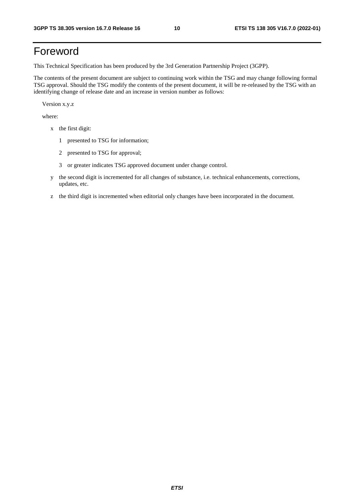## Foreword

This Technical Specification has been produced by the 3rd Generation Partnership Project (3GPP).

The contents of the present document are subject to continuing work within the TSG and may change following formal TSG approval. Should the TSG modify the contents of the present document, it will be re-released by the TSG with an identifying change of release date and an increase in version number as follows:

Version x.y.z

where:

- x the first digit:
	- 1 presented to TSG for information;
	- 2 presented to TSG for approval;
	- 3 or greater indicates TSG approved document under change control.
- y the second digit is incremented for all changes of substance, i.e. technical enhancements, corrections, updates, etc.
- z the third digit is incremented when editorial only changes have been incorporated in the document.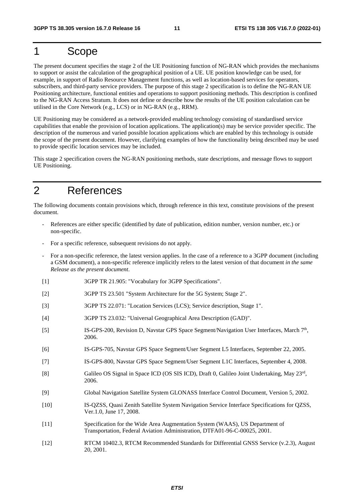## 1 Scope

The present document specifies the stage 2 of the UE Positioning function of NG-RAN which provides the mechanisms to support or assist the calculation of the geographical position of a UE. UE position knowledge can be used, for example, in support of Radio Resource Management functions, as well as location-based services for operators, subscribers, and third-party service providers. The purpose of this stage 2 specification is to define the NG-RAN UE Positioning architecture, functional entities and operations to support positioning methods. This description is confined to the NG-RAN Access Stratum. It does not define or describe how the results of the UE position calculation can be utilised in the Core Network (e.g., LCS) or in NG-RAN (e.g., RRM).

UE Positioning may be considered as a network-provided enabling technology consisting of standardised service capabilities that enable the provision of location applications. The application(s) may be service provider specific. The description of the numerous and varied possible location applications which are enabled by this technology is outside the scope of the present document. However, clarifying examples of how the functionality being described may be used to provide specific location services may be included.

This stage 2 specification covers the NG-RAN positioning methods, state descriptions, and message flows to support UE Positioning.

## 2 References

The following documents contain provisions which, through reference in this text, constitute provisions of the present document.

- References are either specific (identified by date of publication, edition number, version number, etc.) or non-specific.
- For a specific reference, subsequent revisions do not apply.
- For a non-specific reference, the latest version applies. In the case of a reference to a 3GPP document (including a GSM document), a non-specific reference implicitly refers to the latest version of that document *in the same Release as the present document*.
- [1] 3GPP TR 21.905: "Vocabulary for 3GPP Specifications".
- [2] 3GPP TS 23.501 "System Architecture for the 5G System; Stage 2".
- [3] 3GPP TS 22.071: "Location Services (LCS); Service description, Stage 1".
- [4] 3GPP TS 23.032: "Universal Geographical Area Description (GAD)".
- [5] IS-GPS-200, Revision D, Navstar GPS Space Segment/Navigation User Interfaces, March 7<sup>th</sup>, 2006.
- [6] IS-GPS-705, Navstar GPS Space Segment/User Segment L5 Interfaces, September 22, 2005.
- [7] IS-GPS-800, Navstar GPS Space Segment/User Segment L1C Interfaces, September 4, 2008.
- [8] Galileo OS Signal in Space ICD (OS SIS ICD), Draft 0, Galileo Joint Undertaking, May 23rd, 2006.
- [9] Global Navigation Satellite System GLONASS Interface Control Document, Version 5, 2002.
- [10] IS-QZSS, Quasi Zenith Satellite System Navigation Service Interface Specifications for QZSS, Ver.1.0, June 17, 2008.
- [11] Specification for the Wide Area Augmentation System (WAAS), US Department of Transportation, Federal Aviation Administration, DTFA01-96-C-00025, 2001.
- [12] RTCM 10402.3, RTCM Recommended Standards for Differential GNSS Service (v.2.3), August 20, 2001.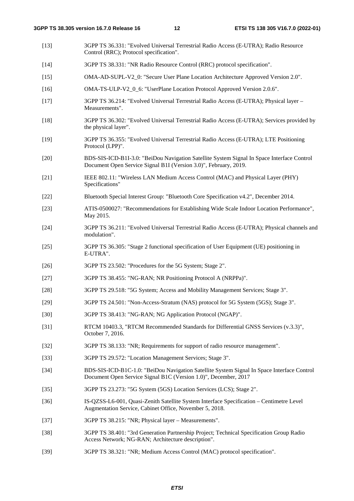- [13] 3GPP TS 36.331: "Evolved Universal Terrestrial Radio Access (E-UTRA); Radio Resource Control (RRC); Protocol specification".
- [14] 3GPP TS 38.331: "NR Radio Resource Control (RRC) protocol specification".
- [15] OMA-AD-SUPL-V2\_0: "Secure User Plane Location Architecture Approved Version 2.0".
- [16] OMA-TS-ULP-V2\_0\_6: "UserPlane Location Protocol Approved Version 2.0.6".
- [17] 3GPP TS 36.214: "Evolved Universal Terrestrial Radio Access (E-UTRA); Physical layer Measurements".
- [18] 3GPP TS 36.302: "Evolved Universal Terrestrial Radio Access (E-UTRA); Services provided by the physical layer".
- [19] 3GPP TS 36.355: "Evolved Universal Terrestrial Radio Access (E-UTRA); LTE Positioning Protocol (LPP)".
- [20] BDS-SIS-ICD-B1I-3.0: "BeiDou Navigation Satellite System Signal In Space Interface Control Document Open Service Signal B1I (Version 3.0)", February, 2019.
- [21] IEEE 802.11: "Wireless LAN Medium Access Control (MAC) and Physical Layer (PHY) Specifications"
- [22] Bluetooth Special Interest Group: "Bluetooth Core Specification v4.2", December 2014.
- [23] ATIS-0500027: "Recommendations for Establishing Wide Scale Indoor Location Performance", May 2015.
- [24] 3GPP TS 36.211: "Evolved Universal Terrestrial Radio Access (E-UTRA); Physical channels and modulation".
- [25] 3GPP TS 36.305: "Stage 2 functional specification of User Equipment (UE) positioning in E-UTRA".
- [26] 3GPP TS 23.502: "Procedures for the 5G System; Stage 2".
- [27] 3GPP TS 38.455: "NG-RAN; NR Positioning Protocol A (NRPPa)".
- [28] 3GPP TS 29.518: "5G System; Access and Mobility Management Services; Stage 3".
- [29] 3GPP TS 24.501: "Non-Access-Stratum (NAS) protocol for 5G System (5GS); Stage 3".
- [30] 3GPP TS 38.413: "NG-RAN; NG Application Protocol (NGAP)".
- [31] RTCM 10403.3, "RTCM Recommended Standards for Differential GNSS Services (v.3.3)", October 7, 2016.
- [32] 3GPP TS 38.133: "NR; Requirements for support of radio resource management".
- [33] 3GPP TS 29.572: "Location Management Services; Stage 3".
- [34] BDS-SIS-ICD-B1C-1.0: "BeiDou Navigation Satellite System Signal In Space Interface Control Document Open Service Signal B1C (Version 1.0)", December, 2017
- [35] 3GPP TS 23.273: "5G System (5GS) Location Services (LCS); Stage 2".
- [36] IS-QZSS-L6-001, Quasi-Zenith Satellite System Interface Specification Centimetre Level Augmentation Service, Cabinet Office, November 5, 2018.
- [37] 3GPP TS 38.215: "NR; Physical layer Measurements".
- [38] 3GPP TS 38.401: "3rd Generation Partnership Project; Technical Specification Group Radio Access Network; NG-RAN; Architecture description".
- [39] 3GPP TS 38.321: "NR; Medium Access Control (MAC) protocol specification".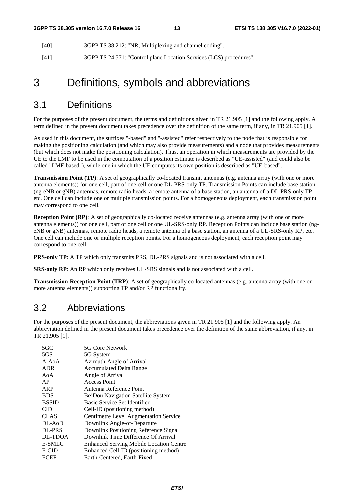[40] 3GPP TS 38.212: "NR; Multiplexing and channel coding".

[41] 3GPP TS 24.571: "Control plane Location Services (LCS) procedures".

## 3 Definitions, symbols and abbreviations

#### 3.1 Definitions

For the purposes of the present document, the terms and definitions given in TR 21.905 [1] and the following apply. A term defined in the present document takes precedence over the definition of the same term, if any, in TR 21.905 [1].

As used in this document, the suffixes "-based" and "-assisted" refer respectively to the node that is responsible for making the positioning calculation (and which may also provide measurements) and a node that provides measurements (but which does not make the positioning calculation). Thus, an operation in which measurements are provided by the UE to the LMF to be used in the computation of a position estimate is described as "UE-assisted" (and could also be called "LMF-based"), while one in which the UE computes its own position is described as "UE-based".

**Transmission Point (TP)**: A set of geographically co-located transmit antennas (e.g. antenna array (with one or more antenna elements)) for one cell, part of one cell or one DL-PRS-only TP. Transmission Points can include base station (ng-eNB or gNB) antennas, remote radio heads, a remote antenna of a base station, an antenna of a DL-PRS-only TP, etc. One cell can include one or multiple transmission points. For a homogeneous deployment, each transmission point may correspond to one cell.

**Reception Point (RP)**: A set of geographically co-located receive antennas (e.g. antenna array (with one or more antenna elements)) for one cell, part of one cell or one UL-SRS-only RP. Reception Points can include base station (ngeNB or gNB) antennas, remote radio heads, a remote antenna of a base station, an antenna of a UL-SRS-only RP, etc. One cell can include one or multiple reception points. For a homogeneous deployment, each reception point may correspond to one cell.

**PRS-only TP**: A TP which only transmits PRS, DL-PRS signals and is not associated with a cell.

**SRS-only RP**: An RP which only receives UL-SRS signals and is not associated with a cell.

**Transmission-Reception Point (TRP)**: A set of geographically co-located antennas (e.g. antenna array (with one or more antenna elements)) supporting TP and/or RP functionality.

#### 3.2 Abbreviations

For the purposes of the present document, the abbreviations given in TR 21.905 [1] and the following apply. An abbreviation defined in the present document takes precedence over the definition of the same abbreviation, if any, in TR 21.905 [1].

| 5G Core Network                                |
|------------------------------------------------|
| 5G System                                      |
| Azimuth-Angle of Arrival                       |
| <b>Accumulated Delta Range</b>                 |
| Angle of Arrival                               |
| <b>Access Point</b>                            |
| Antenna Reference Point                        |
| BeiDou Navigation Satellite System             |
| Basic Service Set Identifier                   |
| Cell-ID (positioning method)                   |
| Centimetre Level Augmentation Service          |
| Downlink Angle-of-Departure                    |
| Downlink Positioning Reference Signal          |
| Downlink Time Difference Of Arrival            |
| <b>Enhanced Serving Mobile Location Centre</b> |
| Enhanced Cell-ID (positioning method)          |
| Earth-Centered, Earth-Fixed                    |
|                                                |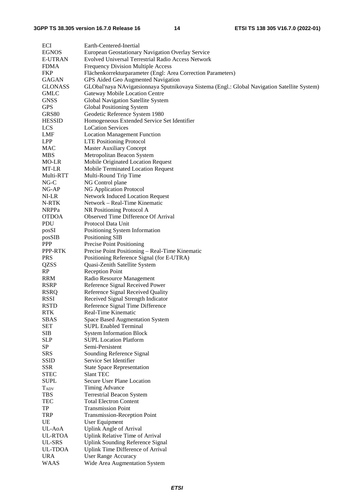| ECI            | Earth-Centered-Inertial                                                                      |
|----------------|----------------------------------------------------------------------------------------------|
| <b>EGNOS</b>   | European Geostationary Navigation Overlay Service                                            |
| <b>E-UTRAN</b> | Evolved Universal Terrestrial Radio Access Network                                           |
| <b>FDMA</b>    | <b>Frequency Division Multiple Access</b>                                                    |
| <b>FKP</b>     | Flächenkorrekturparameter (Engl: Area Correction Parameters)                                 |
| <b>GAGAN</b>   | GPS Aided Geo Augmented Navigation                                                           |
| <b>GLONASS</b> | GLObal'naya NAvigatsionnaya Sputnikovaya Sistema (Engl.: Global Navigation Satellite System) |
| GMLC           | <b>Gateway Mobile Location Centre</b>                                                        |
| <b>GNSS</b>    | Global Navigation Satellite System                                                           |
| <b>GPS</b>     | Global Positioning System                                                                    |
| <b>GRS80</b>   | Geodetic Reference System 1980                                                               |
| <b>HESSID</b>  | Homogeneous Extended Service Set Identifier                                                  |
| LCS            | <b>LoCation Services</b>                                                                     |
| LMF            | <b>Location Management Function</b>                                                          |
| LPP            | <b>LTE Positioning Protocol</b>                                                              |
| MAC            | <b>Master Auxiliary Concept</b>                                                              |
| MBS            | Metropolitan Beacon System                                                                   |
| MO-LR          | Mobile Originated Location Request                                                           |
| MT-LR          | Mobile Terminated Location Request                                                           |
| Multi-RTT      | Multi-Round Trip Time                                                                        |
| $NG-C$         | NG Control plane                                                                             |
| NG-AP          | NG Application Protocol                                                                      |
| NI-LR          | <b>Network Induced Location Request</b>                                                      |
| N-RTK          | Network - Real-Time Kinematic                                                                |
| <b>NRPPa</b>   | NR Positioning Protocol A                                                                    |
| <b>OTDOA</b>   | Observed Time Difference Of Arrival                                                          |
| PDU            | Protocol Data Unit                                                                           |
| posSI          | Positioning System Information                                                               |
| posSIB         | <b>Positioning SIB</b>                                                                       |
| <b>PPP</b>     | Precise Point Positioning                                                                    |
| PPP-RTK        | Precise Point Positioning - Real-Time Kinematic                                              |
| <b>PRS</b>     | Positioning Reference Signal (for E-UTRA)                                                    |
| QZSS           | Quasi-Zenith Satellite System                                                                |
| RP             | <b>Reception Point</b>                                                                       |
| RRM            | Radio Resource Management                                                                    |
| <b>RSRP</b>    | Reference Signal Received Power                                                              |
| <b>RSRQ</b>    | Reference Signal Received Quality                                                            |
| <b>RSSI</b>    | Received Signal Strength Indicator                                                           |
| <b>RSTD</b>    | Reference Signal Time Difference                                                             |
| <b>RTK</b>     | Real-Time Kinematic                                                                          |
| <b>SBAS</b>    | Space Based Augmentation System                                                              |
| <b>SET</b>     | <b>SUPL Enabled Terminal</b>                                                                 |
| <b>SIB</b>     | <b>System Information Block</b>                                                              |
| <b>SLP</b>     | <b>SUPL Location Platform</b>                                                                |
| SP             | Semi-Persistent                                                                              |
| <b>SRS</b>     | Sounding Reference Signal                                                                    |
| <b>SSID</b>    | Service Set Identifier                                                                       |
| <b>SSR</b>     | <b>State Space Representation</b>                                                            |
| <b>STEC</b>    | Slant TEC                                                                                    |
| <b>SUPL</b>    | Secure User Plane Location                                                                   |
| <b>TADV</b>    | Timing Advance                                                                               |
| <b>TBS</b>     | <b>Terrestrial Beacon System</b>                                                             |
| TEC            | <b>Total Electron Content</b>                                                                |
| TP             | <b>Transmission Point</b>                                                                    |
| <b>TRP</b>     | <b>Transmission-Reception Point</b>                                                          |
| UE             | User Equipment                                                                               |
| UL-AoA         | <b>Uplink Angle of Arrival</b>                                                               |
| <b>UL-RTOA</b> | Uplink Relative Time of Arrival                                                              |
| UL-SRS         | <b>Uplink Sounding Reference Signal</b>                                                      |
| UL-TDOA        | Uplink Time Difference of Arrival                                                            |
| <b>URA</b>     | <b>User Range Accuracy</b>                                                                   |
| <b>WAAS</b>    | Wide Area Augmentation System                                                                |
|                |                                                                                              |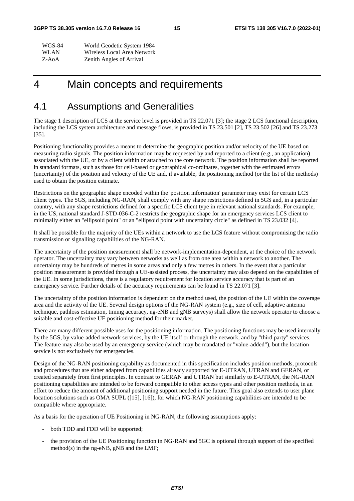| <b>WGS-84</b> | World Geodetic System 1984  |
|---------------|-----------------------------|
| <b>WLAN</b>   | Wireless Local Area Network |
| Z-AoA         | Zenith Angles of Arrival    |

## 4 Main concepts and requirements

#### 4.1 Assumptions and Generalities

The stage 1 description of LCS at the service level is provided in TS 22.071 [3]; the stage 2 LCS functional description, including the LCS system architecture and message flows, is provided in TS 23.501 [2], TS 23.502 [26] and TS 23.273 [35].

Positioning functionality provides a means to determine the geographic position and/or velocity of the UE based on measuring radio signals. The position information may be requested by and reported to a client (e.g., an application) associated with the UE, or by a client within or attached to the core network. The position information shall be reported in standard formats, such as those for cell-based or geographical co-ordinates, together with the estimated errors (uncertainty) of the position and velocity of the UE and, if available, the positioning method (or the list of the methods) used to obtain the position estimate.

Restrictions on the geographic shape encoded within the 'position information' parameter may exist for certain LCS client types. The 5GS, including NG-RAN, shall comply with any shape restrictions defined in 5GS and, in a particular country, with any shape restrictions defined for a specific LCS client type in relevant national standards. For example, in the US, national standard J-STD-036-C-2 restricts the geographic shape for an emergency services LCS client to minimally either an "ellipsoid point" or an "ellipsoid point with uncertainty circle" as defined in TS 23.032 [4].

It shall be possible for the majority of the UEs within a network to use the LCS feature without compromising the radio transmission or signalling capabilities of the NG-RAN.

The uncertainty of the position measurement shall be network-implementation-dependent, at the choice of the network operator. The uncertainty may vary between networks as well as from one area within a network to another. The uncertainty may be hundreds of metres in some areas and only a few metres in others. In the event that a particular position measurement is provided through a UE-assisted process, the uncertainty may also depend on the capabilities of the UE. In some jurisdictions, there is a regulatory requirement for location service accuracy that is part of an emergency service. Further details of the accuracy requirements can be found in TS 22.071 [3].

The uncertainty of the position information is dependent on the method used, the position of the UE within the coverage area and the activity of the UE. Several design options of the NG-RAN system (e.g., size of cell, adaptive antenna technique, pathloss estimation, timing accuracy, ng-eNB and gNB surveys) shall allow the network operator to choose a suitable and cost-effective UE positioning method for their market.

There are many different possible uses for the positioning information. The positioning functions may be used internally by the 5GS, by value-added network services, by the UE itself or through the network, and by "third party" services. The feature may also be used by an emergency service (which may be mandated or "value-added"), but the location service is not exclusively for emergencies.

Design of the NG-RAN positioning capability as documented in this specification includes position methods, protocols and procedures that are either adapted from capabilities already supported for E-UTRAN, UTRAN and GERAN, or created separately from first principles. In contrast to GERAN and UTRAN but similarly to E-UTRAN, the NG-RAN positioning capabilities are intended to be forward compatible to other access types and other position methods, in an effort to reduce the amount of additional positioning support needed in the future. This goal also extends to user plane location solutions such as OMA SUPL ([15], [16]), for which NG-RAN positioning capabilities are intended to be compatible where appropriate.

As a basis for the operation of UE Positioning in NG-RAN, the following assumptions apply:

- both TDD and FDD will be supported;
- the provision of the UE Positioning function in NG-RAN and 5GC is optional through support of the specified method(s) in the ng-eNB, gNB and the LMF;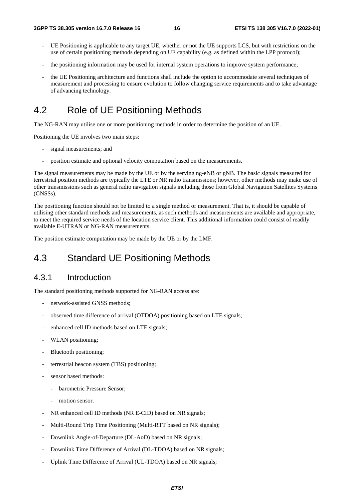- UE Positioning is applicable to any target UE, whether or not the UE supports LCS, but with restrictions on the use of certain positioning methods depending on UE capability (e.g. as defined within the LPP protocol);
- the positioning information may be used for internal system operations to improve system performance;
- the UE Positioning architecture and functions shall include the option to accommodate several techniques of measurement and processing to ensure evolution to follow changing service requirements and to take advantage of advancing technology.

## 4.2 Role of UE Positioning Methods

The NG-RAN may utilise one or more positioning methods in order to determine the position of an UE.

Positioning the UE involves two main steps:

- signal measurements; and
- position estimate and optional velocity computation based on the measurements.

The signal measurements may be made by the UE or by the serving ng-eNB or gNB. The basic signals measured for terrestrial position methods are typically the LTE or NR radio transmissions; however, other methods may make use of other transmissions such as general radio navigation signals including those from Global Navigation Satellites Systems (GNSSs).

The positioning function should not be limited to a single method or measurement. That is, it should be capable of utilising other standard methods and measurements, as such methods and measurements are available and appropriate, to meet the required service needs of the location service client. This additional information could consist of readily available E-UTRAN or NG-RAN measurements.

The position estimate computation may be made by the UE or by the LMF.

## 4.3 Standard UE Positioning Methods

#### 4.3.1 Introduction

The standard positioning methods supported for NG-RAN access are:

- network-assisted GNSS methods;
- observed time difference of arrival (OTDOA) positioning based on LTE signals;
- enhanced cell ID methods based on LTE signals;
- WLAN positioning;
- Bluetooth positioning;
- terrestrial beacon system (TBS) positioning;
- sensor based methods:
	- barometric Pressure Sensor;
	- motion sensor.
- NR enhanced cell ID methods (NR E-CID) based on NR signals;
- Multi-Round Trip Time Positioning (Multi-RTT based on NR signals);
- Downlink Angle-of-Departure (DL-AoD) based on NR signals;
- Downlink Time Difference of Arrival (DL-TDOA) based on NR signals;
- Uplink Time Difference of Arrival (UL-TDOA) based on NR signals;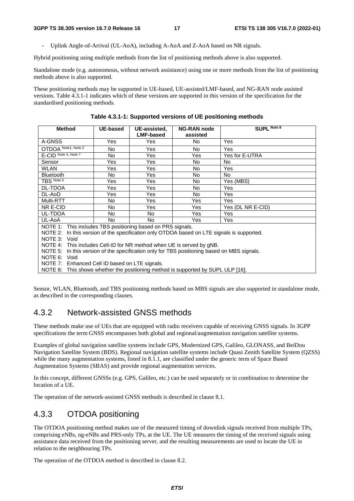Uplink Angle-of-Arrival (UL-AoA), including A-AoA and Z-AoA based on NR signals.

Hybrid positioning using multiple methods from the list of positioning methods above is also supported.

Standalone mode (e.g. autonomous, without network assistance) using one or more methods from the list of positioning methods above is also supported.

These positioning methods may be supported in UE-based, UE-assisted/LMF-based, and NG-RAN node assisted versions. Table 4.3.1-1 indicates which of these versions are supported in this version of the specification for the standardised positioning methods.

| <b>Method</b>                                                                               | <b>UE-based</b> | UE-assisted,     | <b>NG-RAN node</b>                                                                 | SUPL Note 8       |  |
|---------------------------------------------------------------------------------------------|-----------------|------------------|------------------------------------------------------------------------------------|-------------------|--|
|                                                                                             |                 | <b>LMF-based</b> | assisted                                                                           |                   |  |
| A-GNSS                                                                                      | Yes             | Yes              | No.                                                                                | Yes               |  |
| OTDOA Note1, Note 2                                                                         | No              | Yes              | <b>No</b>                                                                          | Yes               |  |
| E-CID Note 4, Note 7                                                                        | No              | Yes              | Yes                                                                                | Yes for E-UTRA    |  |
| Sensor                                                                                      | Yes             | Yes              | No.                                                                                | No.               |  |
| <b>WLAN</b>                                                                                 | Yes             | Yes              | No.                                                                                | Yes               |  |
| <b>Bluetooth</b>                                                                            | No              | Yes              | <b>No</b>                                                                          | <b>No</b>         |  |
| TBS Note 5                                                                                  | Yes             | Yes              | No.                                                                                | Yes (MBS)         |  |
| <b>DL-TDOA</b>                                                                              | Yes             | Yes              | <b>No</b>                                                                          | Yes               |  |
| DL-AoD                                                                                      | Yes             | Yes              | No.                                                                                | Yes               |  |
| Multi-RTT                                                                                   | No              | Yes              | Yes                                                                                | Yes               |  |
| NR E-CID                                                                                    | No              | Yes              | <b>Yes</b>                                                                         | Yes (DL NR E-CID) |  |
| UL-TDOA                                                                                     | No              | No.              | Yes                                                                                | Yes               |  |
| UL-AoA                                                                                      | No              | <b>No</b>        | Yes                                                                                | Yes               |  |
| NOTE 1: This includes TBS positioning based on PRS signals.                                 |                 |                  |                                                                                    |                   |  |
| NOTE 2:                                                                                     |                 |                  | In this version of the specification only OTDOA based on LTE signals is supported. |                   |  |
| NOTE 3: Void                                                                                |                 |                  |                                                                                    |                   |  |
| NOTE 4: This includes Cell-ID for NR method when UE is served by gNB.                       |                 |                  |                                                                                    |                   |  |
| NOTE 5: In this version of the specification only for TBS positioning based on MBS signals. |                 |                  |                                                                                    |                   |  |
| NOTE 6: Void                                                                                |                 |                  |                                                                                    |                   |  |
| NOTE 7: Enhanced Cell ID based on LTE signals.                                              |                 |                  |                                                                                    |                   |  |
| NOTE 8: This shows whether the positioning method is supported by SUPL ULP [16].            |                 |                  |                                                                                    |                   |  |

**Table 4.3.1-1: Supported versions of UE positioning methods** 

Sensor, WLAN, Bluetooth, and TBS positioning methods based on MBS signals are also supported in standalone mode, as described in the corresponding clauses.

#### 4.3.2 Network-assisted GNSS methods

These methods make use of UEs that are equipped with radio receivers capable of receiving GNSS signals. In 3GPP specifications the term GNSS encompasses both global and regional/augmentation navigation satellite systems.

Examples of global navigation satellite systems include GPS, Modernized GPS, Galileo, GLONASS, and BeiDou Navigation Satellite System (BDS). Regional navigation satellite systems include Quasi Zenith Satellite System (QZSS) while the many augmentation systems, listed in 8.1.1, are classified under the generic term of Space Based Augmentation Systems (SBAS) and provide regional augmentation services.

In this concept, different GNSSs (e.g. GPS, Galileo, etc.) can be used separately or in combination to determine the location of a UE.

The operation of the network-assisted GNSS methods is described in clause 8.1.

#### 4.3.3 OTDOA positioning

The OTDOA positioning method makes use of the measured timing of downlink signals received from multiple TPs, comprising eNBs, ng-eNBs and PRS-only TPs, at the UE. The UE measures the timing of the received signals using assistance data received from the positioning server, and the resulting measurements are used to locate the UE in relation to the neighbouring TPs.

The operation of the OTDOA method is described in clause 8.2.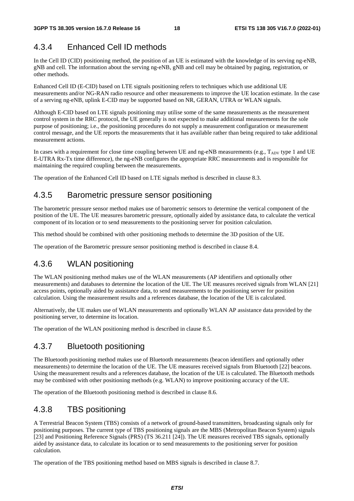#### 4.3.4 Enhanced Cell ID methods

In the Cell ID (CID) positioning method, the position of an UE is estimated with the knowledge of its serving ng-eNB, gNB and cell. The information about the serving ng-eNB, gNB and cell may be obtained by paging, registration, or other methods.

Enhanced Cell ID (E-CID) based on LTE signals positioning refers to techniques which use additional UE measurements and/or NG-RAN radio resource and other measurements to improve the UE location estimate. In the case of a serving ng-eNB, uplink E-CID may be supported based on NR, GERAN, UTRA or WLAN signals.

Although E-CID based on LTE signals positioning may utilise some of the same measurements as the measurement control system in the RRC protocol, the UE generally is not expected to make additional measurements for the sole purpose of positioning; i.e., the positioning procedures do not supply a measurement configuration or measurement control message, and the UE reports the measurements that it has available rather than being required to take additional measurement actions.

In cases with a requirement for close time coupling between UE and ng-eNB measurements (e.g.,  $T_{ADV}$  type 1 and UE E-UTRA Rx-Tx time difference), the ng-eNB configures the appropriate RRC measurements and is responsible for maintaining the required coupling between the measurements.

The operation of the Enhanced Cell ID based on LTE signals method is described in clause 8.3.

#### 4.3.5 Barometric pressure sensor positioning

The barometric pressure sensor method makes use of barometric sensors to determine the vertical component of the position of the UE. The UE measures barometric pressure, optionally aided by assistance data, to calculate the vertical component of its location or to send measurements to the positioning server for position calculation.

This method should be combined with other positioning methods to determine the 3D position of the UE.

The operation of the Barometric pressure sensor positioning method is described in clause 8.4.

#### 4.3.6 WLAN positioning

The WLAN positioning method makes use of the WLAN measurements (AP identifiers and optionally other measurements) and databases to determine the location of the UE. The UE measures received signals from WLAN [21] access points, optionally aided by assistance data, to send measurements to the positioning server for position calculation. Using the measurement results and a references database, the location of the UE is calculated.

Alternatively, the UE makes use of WLAN measurements and optionally WLAN AP assistance data provided by the positioning server, to determine its location.

The operation of the WLAN positioning method is described in clause 8.5.

#### 4.3.7 Bluetooth positioning

The Bluetooth positioning method makes use of Bluetooth measurements (beacon identifiers and optionally other measurements) to determine the location of the UE. The UE measures received signals from Bluetooth [22] beacons. Using the measurement results and a references database, the location of the UE is calculated. The Bluetooth methods may be combined with other positioning methods (e.g. WLAN) to improve positioning accuracy of the UE.

The operation of the Bluetooth positioning method is described in clause 8.6.

#### 4.3.8 TBS positioning

A Terrestrial Beacon System (TBS) consists of a network of ground-based transmitters, broadcasting signals only for positioning purposes. The current type of TBS positioning signals are the MBS (Metropolitan Beacon System) signals [23] and Positioning Reference Signals (PRS) (TS 36.211 [24]). The UE measures received TBS signals, optionally aided by assistance data, to calculate its location or to send measurements to the positioning server for position calculation.

The operation of the TBS positioning method based on MBS signals is described in clause 8.7.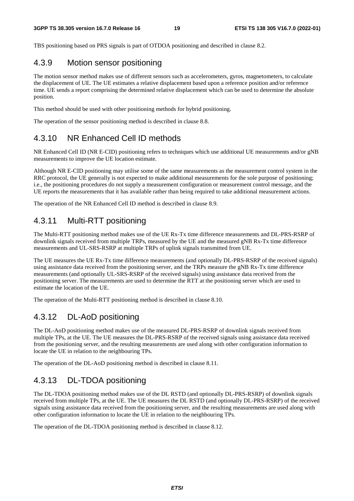TBS positioning based on PRS signals is part of OTDOA positioning and described in clause 8.2.

#### 4.3.9 Motion sensor positioning

The motion sensor method makes use of different sensors such as accelerometers, gyros, magnetometers, to calculate the displacement of UE. The UE estimates a relative displacement based upon a reference position and/or reference time. UE sends a report comprising the determined relative displacement which can be used to determine the absolute position.

This method should be used with other positioning methods for hybrid positioning.

The operation of the sensor positioning method is described in clause 8.8.

#### 4.3.10 NR Enhanced Cell ID methods

NR Enhanced Cell ID (NR E-CID) positioning refers to techniques which use additional UE measurements and/or gNB measurements to improve the UE location estimate.

Although NR E-CID positioning may utilise some of the same measurements as the measurement control system in the RRC protocol, the UE generally is not expected to make additional measurements for the sole purpose of positioning; i.e., the positioning procedures do not supply a measurement configuration or measurement control message, and the UE reports the measurements that it has available rather than being required to take additional measurement actions.

The operation of the NR Enhanced Cell ID method is described in clause 8.9.

#### 4.3.11 Multi-RTT positioning

The Multi-RTT positioning method makes use of the UE Rx-Tx time difference measurements and DL-PRS-RSRP of downlink signals received from multiple TRPs, measured by the UE and the measured gNB Rx-Tx time difference measurements and UL-SRS-RSRP at multiple TRPs of uplink signals transmitted from UE.

The UE measures the UE Rx-Tx time difference measurements (and optionally DL-PRS-RSRP of the received signals) using assistance data received from the positioning server, and the TRPs measure the gNB Rx-Tx time difference measurements (and optionally UL-SRS-RSRP of the received signals) using assistance data received from the positioning server. The measurements are used to determine the RTT at the positioning server which are used to estimate the location of the UE.

The operation of the Multi-RTT positioning method is described in clause 8.10.

#### 4.3.12 DL-AoD positioning

The DL-AoD positioning method makes use of the measured DL-PRS-RSRP of downlink signals received from multiple TPs, at the UE. The UE measures the DL-PRS-RSRP of the received signals using assistance data received from the positioning server, and the resulting measurements are used along with other configuration information to locate the UE in relation to the neighbouring TPs.

The operation of the DL-AoD positioning method is described in clause 8.11.

#### 4.3.13 DL-TDOA positioning

The DL-TDOA positioning method makes use of the DL RSTD (and optionally DL-PRS-RSRP) of downlink signals received from multiple TPs, at the UE. The UE measures the DL RSTD (and optionally DL-PRS-RSRP) of the received signals using assistance data received from the positioning server, and the resulting measurements are used along with other configuration information to locate the UE in relation to the neighbouring TPs.

The operation of the DL-TDOA positioning method is described in clause 8.12.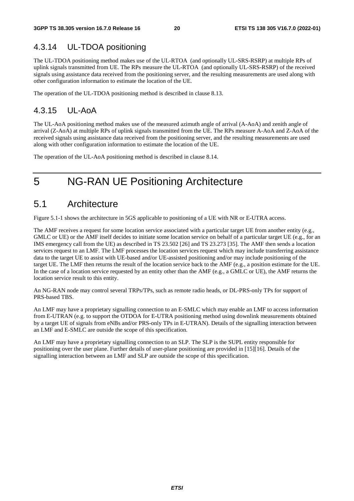#### 4.3.14 UL-TDOA positioning

The UL-TDOA positioning method makes use of the UL-RTOA (and optionally UL-SRS-RSRP) at multiple RPs of uplink signals transmitted from UE. The RPs measure the UL-RTOA (and optionally UL-SRS-RSRP) of the received signals using assistance data received from the positioning server, and the resulting measurements are used along with other configuration information to estimate the location of the UE.

The operation of the UL-TDOA positioning method is described in clause 8.13.

## 4.3.15 UL-AoA

The UL-AoA positioning method makes use of the measured azimuth angle of arrival (A-AoA) and zenith angle of arrival (Z-AoA) at multiple RPs of uplink signals transmitted from the UE. The RPs measure A-AoA and Z-AoA of the received signals using assistance data received from the positioning server, and the resulting measurements are used along with other configuration information to estimate the location of the UE.

The operation of the UL-AoA positioning method is described in clause 8.14.

## 5 NG-RAN UE Positioning Architecture

#### 5.1 Architecture

Figure 5.1-1 shows the architecture in 5GS applicable to positioning of a UE with NR or E-UTRA access.

The AMF receives a request for some location service associated with a particular target UE from another entity (e.g., GMLC or UE) or the AMF itself decides to initiate some location service on behalf of a particular target UE (e.g., for an IMS emergency call from the UE) as described in TS 23.502 [26] and TS 23.273 [35]. The AMF then sends a location services request to an LMF. The LMF processes the location services request which may include transferring assistance data to the target UE to assist with UE-based and/or UE-assisted positioning and/or may include positioning of the target UE. The LMF then returns the result of the location service back to the AMF (e.g., a position estimate for the UE. In the case of a location service requested by an entity other than the AMF (e.g., a GMLC or UE), the AMF returns the location service result to this entity.

An NG-RAN node may control several TRPs/TPs, such as remote radio heads, or DL-PRS-only TPs for support of PRS-based TBS.

An LMF may have a proprietary signalling connection to an E-SMLC which may enable an LMF to access information from E-UTRAN (e.g. to support the OTDOA for E-UTRA positioning method using downlink measurements obtained by a target UE of signals from eNBs and/or PRS-only TPs in E-UTRAN). Details of the signalling interaction between an LMF and E-SMLC are outside the scope of this specification.

An LMF may have a proprietary signalling connection to an SLP. The SLP is the SUPL entity responsible for positioning over the user plane. Further details of user-plane positioning are provided in [15][16]. Details of the signalling interaction between an LMF and SLP are outside the scope of this specification.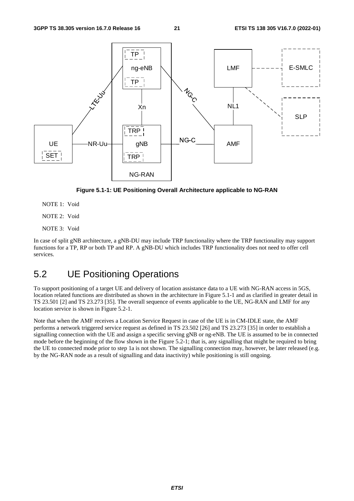

**Figure 5.1-1: UE Positioning Overall Architecture applicable to NG-RAN** 

- NOTE 1: Void
- NOTE 2: Void
- NOTE 3: Void

In case of split gNB architecture, a gNB-DU may include TRP functionality where the TRP functionality may support functions for a TP, RP or both TP and RP. A gNB-DU which includes TRP functionality does not need to offer cell services.

## 5.2 UE Positioning Operations

To support positioning of a target UE and delivery of location assistance data to a UE with NG-RAN access in 5GS, location related functions are distributed as shown in the architecture in Figure 5.1-1 and as clarified in greater detail in TS 23.501 [2] and TS 23.273 [35]. The overall sequence of events applicable to the UE, NG-RAN and LMF for any location service is shown in Figure 5.2-1.

Note that when the AMF receives a Location Service Request in case of the UE is in CM-IDLE state, the AMF performs a network triggered service request as defined in TS 23.502 [26] and TS 23.273 [35] in order to establish a signalling connection with the UE and assign a specific serving gNB or ng-eNB. The UE is assumed to be in connected mode before the beginning of the flow shown in the Figure 5.2-1; that is, any signalling that might be required to bring the UE to connected mode prior to step 1a is not shown. The signalling connection may, however, be later released (e.g. by the NG-RAN node as a result of signalling and data inactivity) while positioning is still ongoing.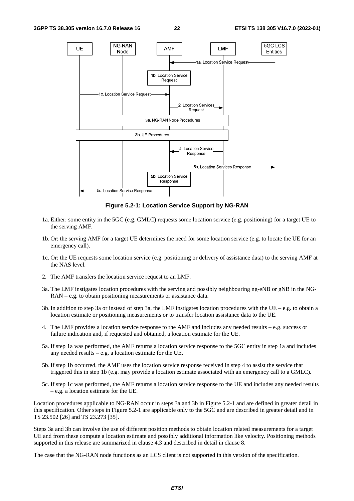

**Figure 5.2-1: Location Service Support by NG-RAN** 

- 1a. Either: some entity in the 5GC (e.g. GMLC) requests some location service (e.g. positioning) for a target UE to the serving AMF.
- 1b. Or: the serving AMF for a target UE determines the need for some location service (e.g. to locate the UE for an emergency call).
- 1c. Or: the UE requests some location service (e.g. positioning or delivery of assistance data) to the serving AMF at the NAS level.
- 2. The AMF transfers the location service request to an LMF.
- 3a. The LMF instigates location procedures with the serving and possibly neighbouring ng-eNB or gNB in the NG-RAN – e.g. to obtain positioning measurements or assistance data.
- 3b. In addition to step 3a or instead of step 3a, the LMF instigates location procedures with the UE e.g. to obtain a location estimate or positioning measurements or to transfer location assistance data to the UE.
- 4. The LMF provides a location service response to the AMF and includes any needed results e.g. success or failure indication and, if requested and obtained, a location estimate for the UE.
- 5a. If step 1a was performed, the AMF returns a location service response to the 5GC entity in step 1a and includes any needed results – e.g. a location estimate for the UE.
- 5b. If step 1b occurred, the AMF uses the location service response received in step 4 to assist the service that triggered this in step 1b (e.g. may provide a location estimate associated with an emergency call to a GMLC).
- 5c. If step 1c was performed, the AMF returns a location service response to the UE and includes any needed results – e.g. a location estimate for the UE.

Location procedures applicable to NG-RAN occur in steps 3a and 3b in Figure 5.2-1 and are defined in greater detail in this specification. Other steps in Figure 5.2-1 are applicable only to the 5GC and are described in greater detail and in TS 23.502 [26] and TS 23.273 [35].

Steps 3a and 3b can involve the use of different position methods to obtain location related measurements for a target UE and from these compute a location estimate and possibly additional information like velocity. Positioning methods supported in this release are summarized in clause 4.3 and described in detail in clause 8.

The case that the NG-RAN node functions as an LCS client is not supported in this version of the specification.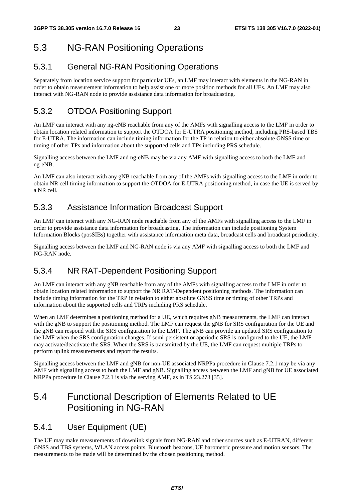## 5.3 NG-RAN Positioning Operations

#### 5.3.1 General NG-RAN Positioning Operations

Separately from location service support for particular UEs, an LMF may interact with elements in the NG-RAN in order to obtain measurement information to help assist one or more position methods for all UEs. An LMF may also interact with NG-RAN node to provide assistance data information for broadcasting.

#### 5.3.2 OTDOA Positioning Support

An LMF can interact with any ng-eNB reachable from any of the AMFs with signalling access to the LMF in order to obtain location related information to support the OTDOA for E-UTRA positioning method, including PRS-based TBS for E-UTRA. The information can include timing information for the TP in relation to either absolute GNSS time or timing of other TPs and information about the supported cells and TPs including PRS schedule.

Signalling access between the LMF and ng-eNB may be via any AMF with signalling access to both the LMF and ng-eNB.

An LMF can also interact with any gNB reachable from any of the AMFs with signalling access to the LMF in order to obtain NR cell timing information to support the OTDOA for E-UTRA positioning method, in case the UE is served by a NR cell.

#### 5.3.3 Assistance Information Broadcast Support

An LMF can interact with any NG-RAN node reachable from any of the AMFs with signalling access to the LMF in order to provide assistance data information for broadcasting. The information can include positioning System Information Blocks (posSIBs) together with assistance information meta data, broadcast cells and broadcast periodicity.

Signalling access between the LMF and NG-RAN node is via any AMF with signalling access to both the LMF and NG-RAN node.

#### 5.3.4 NR RAT-Dependent Positioning Support

An LMF can interact with any gNB reachable from any of the AMFs with signalling access to the LMF in order to obtain location related information to support the NR RAT-Dependent positioning methods. The information can include timing information for the TRP in relation to either absolute GNSS time or timing of other TRPs and information about the supported cells and TRPs including PRS schedule.

When an LMF determines a positioning method for a UE, which requires gNB measurements, the LMF can interact with the gNB to support the positioning method. The LMF can request the gNB for SRS configuration for the UE and the gNB can respond with the SRS configuration to the LMF. The gNB can provide an updated SRS configuration to the LMF when the SRS configuration changes. If semi-persistent or aperiodic SRS is configured to the UE, the LMF may activate/deactivate the SRS. When the SRS is transmitted by the UE, the LMF can request multiple TRPs to perform uplink measurements and report the results.

Signalling access between the LMF and gNB for non-UE associated NRPPa procedure in Clause 7.2.1 may be via any AMF with signalling access to both the LMF and gNB. Signalling access between the LMF and gNB for UE associated NRPPa procedure in Clause 7.2.1 is via the serving AMF, as in TS 23.273 [35].

## 5.4 Functional Description of Elements Related to UE Positioning in NG-RAN

#### 5.4.1 User Equipment (UE)

The UE may make measurements of downlink signals from NG-RAN and other sources such as E-UTRAN, different GNSS and TBS systems, WLAN access points, Bluetooth beacons, UE barometric pressure and motion sensors. The measurements to be made will be determined by the chosen positioning method.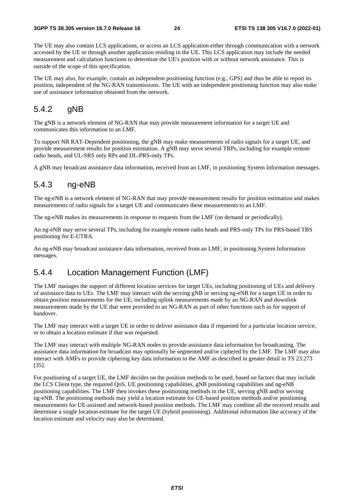The UE may also contain LCS applications, or access an LCS application either through communication with a network accessed by the UE or through another application residing in the UE. This LCS application may include the needed measurement and calculation functions to determine the UE's position with or without network assistance. This is outside of the scope of this specification.

The UE may also, for example, contain an independent positioning function (e.g., GPS) and thus be able to report its position, independent of the NG-RAN transmissions. The UE with an independent positioning function may also make use of assistance information obtained from the network.

#### 5.4.2 gNB

The gNB is a network element of NG-RAN that may provide measurement information for a target UE and communicates this information to an LMF.

To support NR RAT-Dependent positioning, the gNB may make measurements of radio signals for a target UE, and provide measurement results for position estimation. A gNB may serve several TRPs, including for example remote radio heads, and UL-SRS only RPs and DL-PRS-only TPs.

A gNB may broadcast assistance data information, received from an LMF, in positioning System Information messages.

#### 5.4.3 ng-eNB

The ng-eNB is a network element of NG-RAN that may provide measurement results for position estimation and makes measurements of radio signals for a target UE and communicates these measurements to an LMF.

The ng-eNB makes its measurements in response to requests from the LMF (on demand or periodically).

An ng-eNB may serve several TPs, including for example remote radio heads and PRS-only TPs for PRS-based TBS positioning for E-UTRA.

An ng-eNB may broadcast assistance data information, received from an LMF, in positioning System Information messages.

#### 5.4.4 Location Management Function (LMF)

The LMF manages the support of different location services for target UEs, including positioning of UEs and delivery of assistance data to UEs. The LMF may interact with the serving gNB or serving ng-eNB for a target UE in order to obtain position measurements for the UE, including uplink measurements made by an NG-RAN and downlink measurements made by the UE that were provided to an NG-RAN as part of other functions such as for support of handover.

The LMF may interact with a target UE in order to deliver assistance data if requested for a particular location service, or to obtain a location estimate if that was requested.

The LMF may interact with multiple NG-RAN nodes to provide assistance data information for broadcasting. The assistance data information for broadcast may optionally be segmented and/or ciphered by the LMF. The LMF may also interact with AMFs to provide ciphering key data information to the AMF as described in greater detail in TS 23.273 [35].

For positioning of a target UE, the LMF decides on the position methods to be used, based on factors that may include the LCS Client type, the required QoS, UE positioning capabilities, gNB positioning capabilities and ng-eNB positioning capabilities. The LMF then invokes these positioning methods in the UE, serving gNB and/or serving ng-eNB. The positioning methods may yield a location estimate for UE-based position methods and/or positioning measurements for UE-assisted and network-based position methods. The LMF may combine all the received results and determine a single location estimate for the target UE (hybrid positioning). Additional information like accuracy of the location estimate and velocity may also be determined.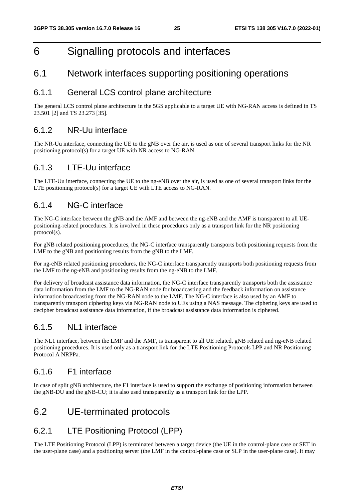## 6 Signalling protocols and interfaces

#### 6.1 Network interfaces supporting positioning operations

#### 6.1.1 General LCS control plane architecture

The general LCS control plane architecture in the 5GS applicable to a target UE with NG-RAN access is defined in TS 23.501 [2] and TS 23.273 [35].

#### 6.1.2 NR-Uu interface

The NR-Uu interface, connecting the UE to the gNB over the air, is used as one of several transport links for the NR positioning protocol(s) for a target UE with NR access to NG-RAN.

#### 6.1.3 LTE-Uu interface

The LTE-Uu interface, connecting the UE to the ng-eNB over the air, is used as one of several transport links for the LTE positioning protocol(s) for a target UE with LTE access to NG-RAN.

#### 6.1.4 NG-C interface

The NG-C interface between the gNB and the AMF and between the ng-eNB and the AMF is transparent to all UEpositioning-related procedures. It is involved in these procedures only as a transport link for the NR positioning protocol(s).

For gNB related positioning procedures, the NG-C interface transparently transports both positioning requests from the LMF to the gNB and positioning results from the gNB to the LMF.

For ng-eNB related positioning procedures, the NG-C interface transparently transports both positioning requests from the LMF to the ng-eNB and positioning results from the ng-eNB to the LMF.

For delivery of broadcast assistance data information, the NG-C interface transparently transports both the assistance data information from the LMF to the NG-RAN node for broadcasting and the feedback information on assistance information broadcasting from the NG-RAN node to the LMF. The NG-C interface is also used by an AMF to transparently transport ciphering keys via NG-RAN node to UEs using a NAS message. The ciphering keys are used to decipher broadcast assistance data information, if the broadcast assistance data information is ciphered.

#### 6.1.5 NL1 interface

The NL1 interface, between the LMF and the AMF, is transparent to all UE related, gNB related and ng-eNB related positioning procedures. It is used only as a transport link for the LTE Positioning Protocols LPP and NR Positioning Protocol A NRPPa.

#### 6.1.6 F1 interface

In case of split gNB architecture, the F1 interface is used to support the exchange of positioning information between the gNB-DU and the gNB-CU; it is also used transparently as a transport link for the LPP.

## 6.2 UE-terminated protocols

#### 6.2.1 LTE Positioning Protocol (LPP)

The LTE Positioning Protocol (LPP) is terminated between a target device (the UE in the control-plane case or SET in the user-plane case) and a positioning server (the LMF in the control-plane case or SLP in the user-plane case). It may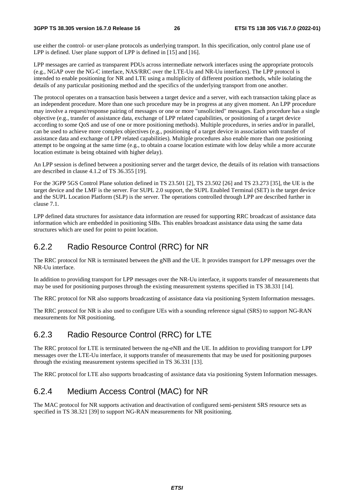use either the control- or user-plane protocols as underlying transport. In this specification, only control plane use of LPP is defined. User plane support of LPP is defined in [15] and [16].

LPP messages are carried as transparent PDUs across intermediate network interfaces using the appropriate protocols (e.g., NGAP over the NG-C interface, NAS/RRC over the LTE-Uu and NR-Uu interfaces). The LPP protocol is intended to enable positioning for NR and LTE using a multiplicity of different position methods, while isolating the details of any particular positioning method and the specifics of the underlying transport from one another.

The protocol operates on a transaction basis between a target device and a server, with each transaction taking place as an independent procedure. More than one such procedure may be in progress at any given moment. An LPP procedure may involve a request/response pairing of messages or one or more "unsolicited" messages. Each procedure has a single objective (e.g., transfer of assistance data, exchange of LPP related capabilities, or positioning of a target device according to some QoS and use of one or more positioning methods). Multiple procedures, in series and/or in parallel, can be used to achieve more complex objectives (e.g., positioning of a target device in association with transfer of assistance data and exchange of LPP related capabilities). Multiple procedures also enable more than one positioning attempt to be ongoing at the same time (e.g., to obtain a coarse location estimate with low delay while a more accurate location estimate is being obtained with higher delay).

An LPP session is defined between a positioning server and the target device, the details of its relation with transactions are described in clause 4.1.2 of TS 36.355 [19].

For the 3GPP 5GS Control Plane solution defined in TS 23.501 [2], TS 23.502 [26] and TS 23.273 [35], the UE is the target device and the LMF is the server. For SUPL 2.0 support, the SUPL Enabled Terminal (SET) is the target device and the SUPL Location Platform (SLP) is the server. The operations controlled through LPP are described further in clause 7.1.

LPP defined data structures for assistance data information are reused for supporting RRC broadcast of assistance data information which are embedded in positioning SIBs. This enables broadcast assistance data using the same data structures which are used for point to point location.

## 6.2.2 Radio Resource Control (RRC) for NR

The RRC protocol for NR is terminated between the gNB and the UE. It provides transport for LPP messages over the NR-Uu interface.

In addition to providing transport for LPP messages over the NR-Uu interface, it supports transfer of measurements that may be used for positioning purposes through the existing measurement systems specified in TS 38.331 [14].

The RRC protocol for NR also supports broadcasting of assistance data via positioning System Information messages.

The RRC protocol for NR is also used to configure UEs with a sounding reference signal (SRS) to support NG-RAN measurements for NR positioning.

## 6.2.3 Radio Resource Control (RRC) for LTE

The RRC protocol for LTE is terminated between the ng-eNB and the UE. In addition to providing transport for LPP messages over the LTE-Uu interface, it supports transfer of measurements that may be used for positioning purposes through the existing measurement systems specified in TS 36.331 [13].

The RRC protocol for LTE also supports broadcasting of assistance data via positioning System Information messages.

## 6.2.4 Medium Access Control (MAC) for NR

The MAC protocol for NR supports activation and deactivation of configured semi-persistent SRS resource sets as specified in TS 38.321 [39] to support NG-RAN measurements for NR positioning.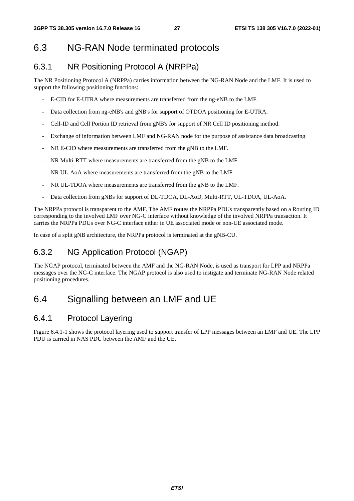## 6.3 NG-RAN Node terminated protocols

#### 6.3.1 NR Positioning Protocol A (NRPPa)

The NR Positioning Protocol A (NRPPa) carries information between the NG-RAN Node and the LMF. It is used to support the following positioning functions:

- E-CID for E-UTRA where measurements are transferred from the ng-eNB to the LMF.
- Data collection from ng-eNB's and gNB's for support of OTDOA positioning for E-UTRA.
- Cell-ID and Cell Portion ID retrieval from gNB's for support of NR Cell ID positioning method.
- Exchange of information between LMF and NG-RAN node for the purpose of assistance data broadcasting.
- NR E-CID where measurements are transferred from the gNB to the LMF.
- NR Multi-RTT where measurements are transferred from the gNB to the LMF.
- NR UL-AoA where measurements are transferred from the gNB to the LMF.
- NR UL-TDOA where measurements are transferred from the gNB to the LMF.
- Data collection from gNBs for support of DL-TDOA, DL-AoD, Multi-RTT, UL-TDOA, UL-AoA.

The NRPPa protocol is transparent to the AMF. The AMF routes the NRPPa PDUs transparently based on a Routing ID corresponding to the involved LMF over NG-C interface without knowledge of the involved NRPPa transaction. It carries the NRPPa PDUs over NG-C interface either in UE associated mode or non-UE associated mode.

In case of a split gNB architecture, the NRPPa protocol is terminated at the gNB-CU.

#### 6.3.2 NG Application Protocol (NGAP)

The NGAP protocol, terminated between the AMF and the NG-RAN Node, is used as transport for LPP and NRPPa messages over the NG-C interface. The NGAP protocol is also used to instigate and terminate NG-RAN Node related positioning procedures.

## 6.4 Signalling between an LMF and UE

#### 6.4.1 Protocol Layering

Figure 6.4.1-1 shows the protocol layering used to support transfer of LPP messages between an LMF and UE. The LPP PDU is carried in NAS PDU between the AMF and the UE.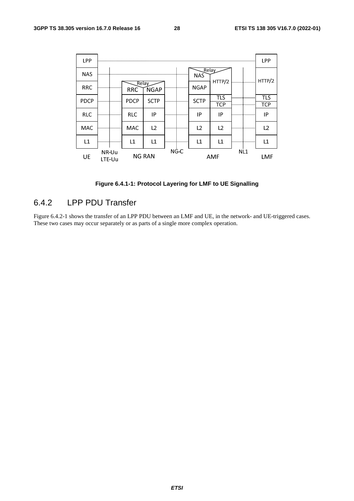

**Figure 6.4.1-1: Protocol Layering for LMF to UE Signalling** 

#### 6.4.2 LPP PDU Transfer

Figure 6.4.2-1 shows the transfer of an LPP PDU between an LMF and UE, in the network- and UE-triggered cases. These two cases may occur separately or as parts of a single more complex operation.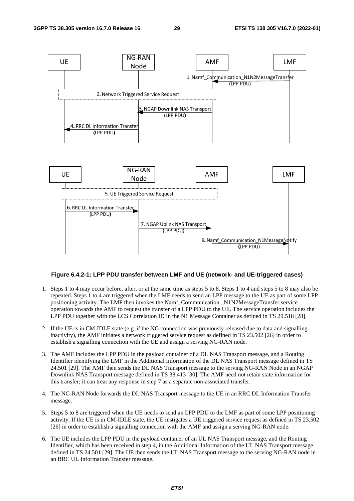

#### **Figure 6.4.2-1: LPP PDU transfer between LMF and UE (network- and UE-triggered cases)**

- 1. Steps 1 to 4 may occur before, after, or at the same time as steps 5 to 8. Steps 1 to 4 and steps 5 to 8 may also be repeated. Steps 1 to 4 are triggered when the LMF needs to send an LPP message to the UE as part of some LPP positioning activity. The LMF then invokes the Namf\_Communication \_N1N2MessageTransfer service operation towards the AMF to request the transfer of a LPP PDU to the UE. The service operation includes the LPP PDU together with the LCS Correlation ID in the N1 Message Container as defined in TS 29.518 [28].
- 2. If the UE is in CM-IDLE state (e.g. if the NG connection was previously released due to data and signalling inactivity), the AMF initiates a network triggered service request as defined in TS 23.502 [26] in order to establish a signalling connection with the UE and assign a serving NG-RAN node.
- 3. The AMF includes the LPP PDU in the payload container of a DL NAS Transport message, and a Routing Identifier identifying the LMF in the Additional Information of the DL NAS Transport message defined in TS 24.501 [29]. The AMF then sends the DL NAS Transport message to the serving NG-RAN Node in an NGAP Downlink NAS Transport message defined in TS 38.413 [30]. The AMF need not retain state information for this transfer; it can treat any response in step 7 as a separate non-associated transfer.
- 4. The NG-RAN Node forwards the DL NAS Transport message to the UE in an RRC DL Information Transfer message.
- 5. Steps 5 to 8 are triggered when the UE needs to send an LPP PDU to the LMF as part of some LPP positioning activity. If the UE is in CM-IDLE state, the UE instigates a UE triggered service request as defined in TS 23.502 [26] in order to establish a signalling connection with the AMF and assign a serving NG-RAN node.
- 6. The UE includes the LPP PDU in the payload container of an UL NAS Transport message, and the Routing Identifier, which has been received in step 4, in the Additional Information of the UL NAS Transport message defined in TS 24.501 [29]. The UE then sends the UL NAS Transport message to the serving NG-RAN node in an RRC UL Information Transfer message.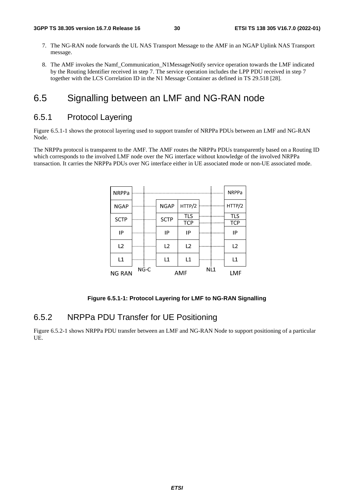- 7. The NG-RAN node forwards the UL NAS Transport Message to the AMF in an NGAP Uplink NAS Transport message.
- 8. The AMF invokes the Namf\_Communication\_N1MessageNotify service operation towards the LMF indicated by the Routing Identifier received in step 7. The service operation includes the LPP PDU received in step 7 together with the LCS Correlation ID in the N1 Message Container as defined in TS 29.518 [28].

#### 6.5 Signalling between an LMF and NG-RAN node

#### 6.5.1 Protocol Layering

Figure 6.5.1-1 shows the protocol layering used to support transfer of NRPPa PDUs between an LMF and NG-RAN Node.

The NRPPa protocol is transparent to the AMF. The AMF routes the NRPPa PDUs transparently based on a Routing ID which corresponds to the involved LMF node over the NG interface without knowledge of the involved NRPPa transaction. It carries the NRPPa PDUs over NG interface either in UE associated mode or non-UE associated mode.

| <b>NRPPa</b>          |  |  |             |                |                 | <b>NRPPa</b> |
|-----------------------|--|--|-------------|----------------|-----------------|--------------|
| <b>NGAP</b>           |  |  | <b>NGAP</b> | HTTP/2         |                 | HTTP/2       |
| <b>SCTP</b>           |  |  | <b>SCTP</b> | TLS            |                 | <b>TLS</b>   |
|                       |  |  |             | <b>TCP</b>     |                 | <b>TCP</b>   |
| IP                    |  |  | IP          | IP             |                 | IP           |
| L2                    |  |  | L2          | L <sub>2</sub> |                 | L2           |
| L1                    |  |  | L1          | L1             |                 | L1           |
| NG-C<br><b>NG RAN</b> |  |  |             | <b>AMF</b>     | NL <sub>1</sub> | <b>LMF</b>   |

#### **Figure 6.5.1-1: Protocol Layering for LMF to NG-RAN Signalling**

#### 6.5.2 NRPPa PDU Transfer for UE Positioning

Figure 6.5.2-1 shows NRPPa PDU transfer between an LMF and NG-RAN Node to support positioning of a particular UE.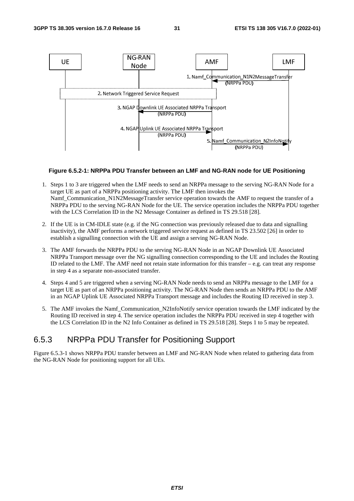

#### **Figure 6.5.2-1: NRPPa PDU Transfer between an LMF and NG-RAN node for UE Positioning**

- 1. Steps 1 to 3 are triggered when the LMF needs to send an NRPPa message to the serving NG-RAN Node for a target UE as part of a NRPPa positioning activity. The LMF then invokes the Namf\_Communication\_N1N2MessageTransfer service operation towards the AMF to request the transfer of a NRPPa PDU to the serving NG-RAN Node for the UE. The service operation includes the NRPPa PDU together with the LCS Correlation ID in the N2 Message Container as defined in TS 29.518 [28].
- 2. If the UE is in CM-IDLE state (e.g. if the NG connection was previously released due to data and signalling inactivity), the AMF performs a network triggered service request as defined in TS 23.502 [26] in order to establish a signalling connection with the UE and assign a serving NG-RAN Node.
- 3. The AMF forwards the NRPPa PDU to the serving NG-RAN Node in an NGAP Downlink UE Associated NRPPa Transport message over the NG signalling connection corresponding to the UE and includes the Routing ID related to the LMF. The AMF need not retain state information for this transfer – e.g. can treat any response in step 4 as a separate non-associated transfer.
- 4. Steps 4 and 5 are triggered when a serving NG-RAN Node needs to send an NRPPa message to the LMF for a target UE as part of an NRPPa positioning activity. The NG-RAN Node then sends an NRPPa PDU to the AMF in an NGAP Uplink UE Associated NRPPa Transport message and includes the Routing ID received in step 3.
- 5. The AMF invokes the Namf Communication N2InfoNotify service operation towards the LMF indicated by the Routing ID received in step 4. The service operation includes the NRPPa PDU received in step 4 together with the LCS Correlation ID in the N2 Info Container as defined in TS 29.518 [28]. Steps 1 to 5 may be repeated.

#### 6.5.3 NRPPa PDU Transfer for Positioning Support

Figure 6.5.3-1 shows NRPPa PDU transfer between an LMF and NG-RAN Node when related to gathering data from the NG-RAN Node for positioning support for all UEs.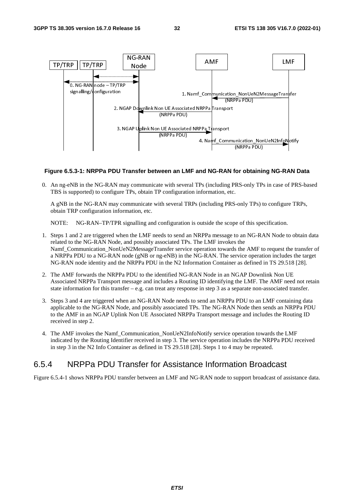

#### **Figure 6.5.3-1: NRPPa PDU Transfer between an LMF and NG-RAN for obtaining NG-RAN Data**

0. An ng-eNB in the NG-RAN may communicate with several TPs (including PRS-only TPs in case of PRS-based TBS is supported) to configure TPs, obtain TP configuration information, etc.

A gNB in the NG-RAN may communicate with several TRPs (including PRS-only TPs) to configure TRPs, obtain TRP configuration information, etc.

NOTE: NG-RAN–TP/TPR signalling and configuration is outside the scope of this specification.

- 1. Steps 1 and 2 are triggered when the LMF needs to send an NRPPa message to an NG-RAN Node to obtain data related to the NG-RAN Node, and possibly associated TPs. The LMF invokes the Namf Communication NonUeN2MessageTransfer service operation towards the AMF to request the transfer of a NRPPa PDU to a NG-RAN node (gNB or ng-eNB) in the NG-RAN. The service operation includes the target NG-RAN node identity and the NRPPa PDU in the N2 Information Container as defined in TS 29.518 [28].
- 2. The AMF forwards the NRPPa PDU to the identified NG-RAN Node in an NGAP Downlink Non UE Associated NRPPa Transport message and includes a Routing ID identifying the LMF. The AMF need not retain state information for this transfer – e.g. can treat any response in step 3 as a separate non-associated transfer.
- 3. Steps 3 and 4 are triggered when an NG-RAN Node needs to send an NRPPa PDU to an LMF containing data applicable to the NG-RAN Node, and possibly associated TPs. The NG-RAN Node then sends an NRPPa PDU to the AMF in an NGAP Uplink Non UE Associated NRPPa Transport message and includes the Routing ID received in step 2.
- 4. The AMF invokes the Namf\_Communication\_NonUeN2InfoNotify service operation towards the LMF indicated by the Routing Identifier received in step 3. The service operation includes the NRPPa PDU received in step 3 in the N2 Info Container as defined in TS 29.518 [28]. Steps 1 to 4 may be repeated.

#### 6.5.4 NRPPa PDU Transfer for Assistance Information Broadcast

Figure 6.5.4-1 shows NRPPa PDU transfer between an LMF and NG-RAN node to support broadcast of assistance data.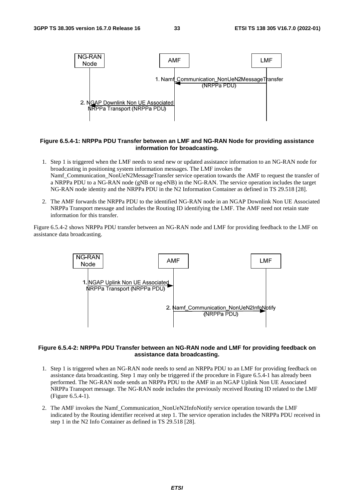

#### **Figure 6.5.4-1: NRPPa PDU Transfer between an LMF and NG-RAN Node for providing assistance information for broadcasting.**

- 1. Step 1 is triggered when the LMF needs to send new or updated assistance information to an NG-RAN node for broadcasting in positioning system information messages. The LMF invokes the Namf Communication NonUeN2MessageTransfer service operation towards the AMF to request the transfer of a NRPPa PDU to a NG-RAN node (gNB or ng-eNB) in the NG-RAN. The service operation includes the target NG-RAN node identity and the NRPPa PDU in the N2 Information Container as defined in TS 29.518 [28].
- 2. The AMF forwards the NRPPa PDU to the identified NG-RAN node in an NGAP Downlink Non UE Associated NRPPa Transport message and includes the Routing ID identifying the LMF. The AMF need not retain state information for this transfer.

Figure 6.5.4-2 shows NRPPa PDU transfer between an NG-RAN node and LMF for providing feedback to the LMF on assistance data broadcasting.



#### **Figure 6.5.4-2: NRPPa PDU Transfer between an NG-RAN node and LMF for providing feedback on assistance data broadcasting.**

- 1. Step 1 is triggered when an NG-RAN node needs to send an NRPPa PDU to an LMF for providing feedback on assistance data broadcasting. Step 1 may only be triggered if the procedure in Figure 6.5.4-1 has already been performed. The NG-RAN node sends an NRPPa PDU to the AMF in an NGAP Uplink Non UE Associated NRPPa Transport message. The NG-RAN node includes the previously received Routing ID related to the LMF (Figure 6.5.4-1).
- 2. The AMF invokes the Namf\_Communication\_NonUeN2InfoNotify service operation towards the LMF indicated by the Routing identifier received at step 1. The service operation includes the NRPPa PDU received in step 1 in the N2 Info Container as defined in TS 29.518 [28].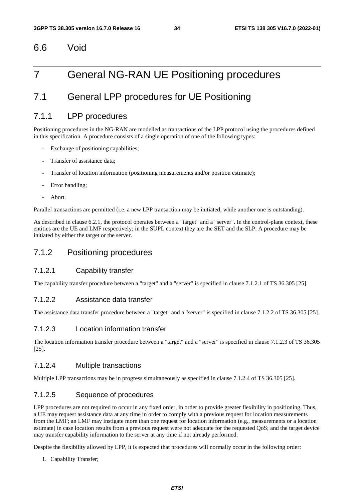#### 6.6 Void

## 7 General NG-RAN UE Positioning procedures

## 7.1 General LPP procedures for UE Positioning

#### 7.1.1 LPP procedures

Positioning procedures in the NG-RAN are modelled as transactions of the LPP protocol using the procedures defined in this specification. A procedure consists of a single operation of one of the following types:

- Exchange of positioning capabilities;
- Transfer of assistance data:
- Transfer of location information (positioning measurements and/or position estimate);
- Error handling;
- Abort.

Parallel transactions are permitted (i.e. a new LPP transaction may be initiated, while another one is outstanding).

As described in clause 6.2.1, the protocol operates between a "target" and a "server". In the control-plane context, these entities are the UE and LMF respectively; in the SUPL context they are the SET and the SLP. A procedure may be initiated by either the target or the server.

#### 7.1.2 Positioning procedures

#### 7.1.2.1 Capability transfer

The capability transfer procedure between a "target" and a "server" is specified in clause 7.1.2.1 of TS 36.305 [25].

#### 7.1.2.2 Assistance data transfer

The assistance data transfer procedure between a "target" and a "server" is specified in clause 7.1.2.2 of TS 36.305 [25].

#### 7.1.2.3 Location information transfer

The location information transfer procedure between a "target" and a "server" is specified in clause 7.1.2.3 of TS 36.305 [25].

#### 7.1.2.4 Multiple transactions

Multiple LPP transactions may be in progress simultaneously as specified in clause 7.1.2.4 of TS 36.305 [25].

#### 7.1.2.5 Sequence of procedures

LPP procedures are not required to occur in any fixed order, in order to provide greater flexibility in positioning. Thus, a UE may request assistance data at any time in order to comply with a previous request for location measurements from the LMF; an LMF may instigate more than one request for location information (e.g., measurements or a location estimate) in case location results from a previous request were not adequate for the requested QoS; and the target device may transfer capability information to the server at any time if not already performed.

Despite the flexibility allowed by LPP, it is expected that procedures will normally occur in the following order:

1. Capability Transfer;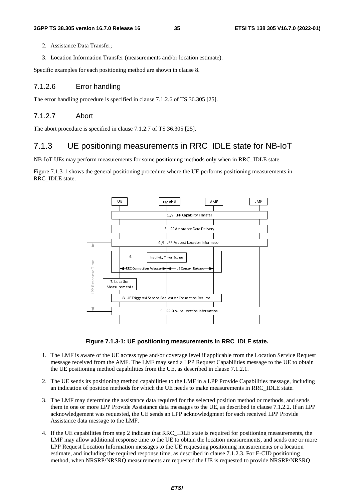- 2. Assistance Data Transfer;
- 3. Location Information Transfer (measurements and/or location estimate).

Specific examples for each positioning method are shown in clause 8.

#### 7.1.2.6 Error handling

The error handling procedure is specified in clause 7.1.2.6 of TS 36.305 [25].

#### 7.1.2.7 Abort

The abort procedure is specified in clause 7.1.2.7 of TS 36.305 [25].

#### 7.1.3 UE positioning measurements in RRC\_IDLE state for NB-IoT

NB-IoT UEs may perform measurements for some positioning methods only when in RRC\_IDLE state.

Figure 7.1.3-1 shows the general positioning procedure where the UE performs positioning measurements in RRC\_IDLE state.



**Figure 7.1.3-1: UE positioning measurements in RRC\_IDLE state.** 

- 1. The LMF is aware of the UE access type and/or coverage level if applicable from the Location Service Request message received from the AMF. The LMF may send a LPP Request Capabilities message to the UE to obtain the UE positioning method capabilities from the UE, as described in clause 7.1.2.1.
- 2. The UE sends its positioning method capabilities to the LMF in a LPP Provide Capabilities message, including an indication of position methods for which the UE needs to make measurements in RRC\_IDLE state.
- 3. The LMF may determine the assistance data required for the selected position method or methods, and sends them in one or more LPP Provide Assistance data messages to the UE, as described in clause 7.1.2.2. If an LPP acknowledgement was requested, the UE sends an LPP acknowledgment for each received LPP Provide Assistance data message to the LMF.
- 4. If the UE capabilities from step 2 indicate that RRC\_IDLE state is required for positioning measurements, the LMF may allow additional response time to the UE to obtain the location measurements, and sends one or more LPP Request Location Information messages to the UE requesting positioning measurements or a location estimate, and including the required response time, as described in clause 7.1.2.3. For E-CID positioning method, when NRSRP/NRSRQ measurements are requested the UE is requested to provide NRSRP/NRSRQ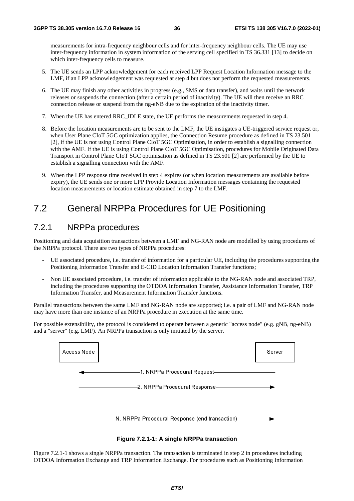measurements for intra-frequency neighbour cells and for inter-frequency neighbour cells. The UE may use inter-frequency information in system information of the serving cell specified in TS 36.331 [13] to decide on which inter-frequency cells to measure.

- 5. The UE sends an LPP acknowledgement for each received LPP Request Location Information message to the LMF, if an LPP acknowledgement was requested at step 4 but does not perform the requested measurements.
- 6. The UE may finish any other activities in progress (e.g., SMS or data transfer), and waits until the network releases or suspends the connection (after a certain period of inactivity). The UE will then receive an RRC connection release or suspend from the ng-eNB due to the expiration of the inactivity timer.
- 7. When the UE has entered RRC\_IDLE state, the UE performs the measurements requested in step 4.
- 8. Before the location measurements are to be sent to the LMF, the UE instigates a UE-triggered service request or, when User Plane CIoT 5GC optimization applies, the Connection Resume procedure as defined in TS 23.501 [2], if the UE is not using Control Plane CIoT 5GC Optimisation, in order to establish a signalling connection with the AMF. If the UE is using Control Plane CIoT 5GC Optimisation, procedures for Mobile Originated Data Transport in Control Plane CIoT 5GC optimisation as defined in TS 23.501 [2] are performed by the UE to establish a signalling connection with the AMF.
- 9. When the LPP response time received in step 4 expires (or when location measurements are available before expiry), the UE sends one or more LPP Provide Location Information messages containing the requested location measurements or location estimate obtained in step 7 to the LMF.

# 7.2 General NRPPa Procedures for UE Positioning

## 7.2.1 NRPPa procedures

Positioning and data acquisition transactions between a LMF and NG-RAN node are modelled by using procedures of the NRPPa protocol. There are two types of NRPPa procedures:

- UE associated procedure, i.e. transfer of information for a particular UE, including the procedures supporting the Positioning Information Transfer and E-CID Location Information Transfer functions;
- Non UE associated procedure, i.e. transfer of information applicable to the NG-RAN node and associated TRP, including the procedures supporting the OTDOA Information Transfer, Assistance Information Transfer, TRP Information Transfer, and Measurement Information Transfer functions.

Parallel transactions between the same LMF and NG-RAN node are supported; i.e. a pair of LMF and NG-RAN node may have more than one instance of an NRPPa procedure in execution at the same time.

For possible extensibility, the protocol is considered to operate between a generic "access node" (e.g. gNB, ng-eNB) and a "server" (e.g. LMF). An NRPPa transaction is only initiated by the server.



**Figure 7.2.1-1: A single NRPPa transaction** 

Figure 7.2.1-1 shows a single NRPPa transaction. The transaction is terminated in step 2 in procedures including OTDOA Information Exchange and TRP Information Exchange. For procedures such as Positioning Information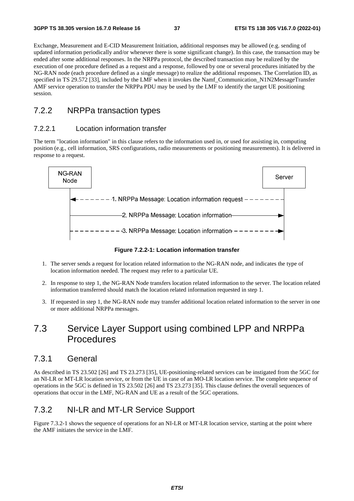Exchange, Measurement and E-CID Measurement Initiation, additional responses may be allowed (e.g. sending of updated information periodically and/or whenever there is some significant change). In this case, the transaction may be ended after some additional responses. In the NRPPa protocol, the described transaction may be realized by the execution of one procedure defined as a request and a response, followed by one or several procedures initiated by the NG-RAN node (each procedure defined as a single message) to realize the additional responses. The Correlation ID, as specified in TS 29.572 [33], included by the LMF when it invokes the Namf\_Communication\_N1N2MessageTransfer AMF service operation to transfer the NRPPa PDU may be used by the LMF to identify the target UE positioning session.

## 7.2.2 NRPPa transaction types

## 7.2.2.1 Location information transfer

The term "location information" in this clause refers to the information used in, or used for assisting in, computing position (e.g., cell information, SRS configurations, radio measurements or positioning measurements). It is delivered in response to a request.



**Figure 7.2.2-1: Location information transfer** 

- 1. The server sends a request for location related information to the NG-RAN node, and indicates the type of location information needed. The request may refer to a particular UE.
- 2. In response to step 1, the NG-RAN Node transfers location related information to the server. The location related information transferred should match the location related information requested in step 1.
- 3. If requested in step 1, the NG-RAN node may transfer additional location related information to the server in one or more additional NRPPa messages.

# 7.3 Service Layer Support using combined LPP and NRPPa Procedures

## 7.3.1 General

As described in TS 23.502 [26] and TS 23.273 [35], UE-positioning-related services can be instigated from the 5GC for an NI-LR or MT-LR location service, or from the UE in case of an MO-LR location service. The complete sequence of operations in the 5GC is defined in TS 23.502 [26] and TS 23.273 [35]. This clause defines the overall sequences of operations that occur in the LMF, NG-RAN and UE as a result of the 5GC operations.

## 7.3.2 NI-LR and MT-LR Service Support

Figure 7.3.2-1 shows the sequence of operations for an NI-LR or MT-LR location service, starting at the point where the AMF initiates the service in the LMF.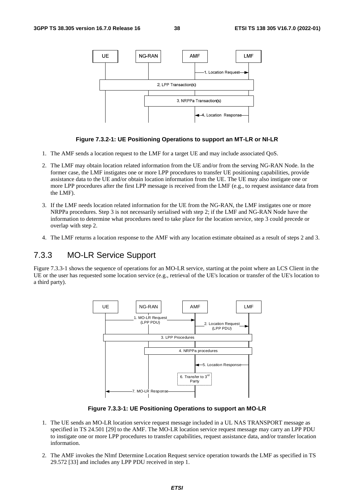

#### **Figure 7.3.2-1: UE Positioning Operations to support an MT-LR or NI-LR**

- 1. The AMF sends a location request to the LMF for a target UE and may include associated QoS.
- 2. The LMF may obtain location related information from the UE and/or from the serving NG-RAN Node. In the former case, the LMF instigates one or more LPP procedures to transfer UE positioning capabilities, provide assistance data to the UE and/or obtain location information from the UE. The UE may also instigate one or more LPP procedures after the first LPP message is received from the LMF (e.g., to request assistance data from the LMF).
- 3. If the LMF needs location related information for the UE from the NG-RAN, the LMF instigates one or more NRPPa procedures. Step 3 is not necessarily serialised with step 2; if the LMF and NG-RAN Node have the information to determine what procedures need to take place for the location service, step 3 could precede or overlap with step 2.
- 4. The LMF returns a location response to the AMF with any location estimate obtained as a result of steps 2 and 3.

## 7.3.3 MO-LR Service Support

Figure 7.3.3-1 shows the sequence of operations for an MO-LR service, starting at the point where an LCS Client in the UE or the user has requested some location service (e.g., retrieval of the UE's location or transfer of the UE's location to a third party).



**Figure 7.3.3-1: UE Positioning Operations to support an MO-LR** 

- 1. The UE sends an MO-LR location service request message included in a UL NAS TRANSPORT message as specified in TS 24.501 [29] to the AMF. The MO-LR location service request message may carry an LPP PDU to instigate one or more LPP procedures to transfer capabilities, request assistance data, and/or transfer location information.
- 2. The AMF invokes the Nlmf Determine Location Request service operation towards the LMF as specified in TS 29.572 [33] and includes any LPP PDU received in step 1.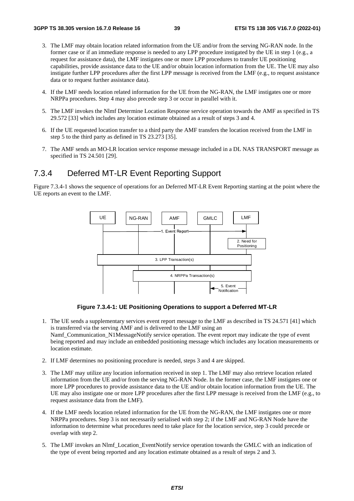- 3. The LMF may obtain location related information from the UE and/or from the serving NG-RAN node. In the former case or if an immediate response is needed to any LPP procedure instigated by the UE in step 1 (e.g., a request for assistance data), the LMF instigates one or more LPP procedures to transfer UE positioning capabilities, provide assistance data to the UE and/or obtain location information from the UE. The UE may also instigate further LPP procedures after the first LPP message is received from the LMF (e.g., to request assistance data or to request further assistance data).
- 4. If the LMF needs location related information for the UE from the NG-RAN, the LMF instigates one or more NRPPa procedures. Step 4 may also precede step 3 or occur in parallel with it.
- 5. The LMF invokes the Nlmf Determine Location Response service operation towards the AMF as specified in TS 29.572 [33] which includes any location estimate obtained as a result of steps 3 and 4.
- 6. If the UE requested location transfer to a third party the AMF transfers the location received from the LMF in step 5 to the third party as defined in TS 23.273 [35].
- 7. The AMF sends an MO-LR location service response message included in a DL NAS TRANSPORT message as specified in TS 24.501 [29].

## 7.3.4 Deferred MT-LR Event Reporting Support

Figure 7.3.4-1 shows the sequence of operations for an Deferred MT-LR Event Reporting starting at the point where the UE reports an event to the LMF.



**Figure 7.3.4-1: UE Positioning Operations to support a Deferred MT-LR** 

- 1. The UE sends a supplementary services event report message to the LMF as described in TS 24.571 [41] which is transferred via the serving AMF and is delivered to the LMF using an Namf\_Communication\_N1MessageNotify service operation. The event report may indicate the type of event being reported and may include an embedded positioning message which includes any location measurements or location estimate.
- 2. If LMF determines no positioning procedure is needed, steps 3 and 4 are skipped.
- 3. The LMF may utilize any location information received in step 1. The LMF may also retrieve location related information from the UE and/or from the serving NG-RAN Node. In the former case, the LMF instigates one or more LPP procedures to provide assistance data to the UE and/or obtain location information from the UE. The UE may also instigate one or more LPP procedures after the first LPP message is received from the LMF (e.g., to request assistance data from the LMF).
- 4. If the LMF needs location related information for the UE from the NG-RAN, the LMF instigates one or more NRPPa procedures. Step 3 is not necessarily serialised with step 2; if the LMF and NG-RAN Node have the information to determine what procedures need to take place for the location service, step 3 could precede or overlap with step 2.
- 5. The LMF invokes an Nlmf\_Location\_EventNotify service operation towards the GMLC with an indication of the type of event being reported and any location estimate obtained as a result of steps 2 and 3.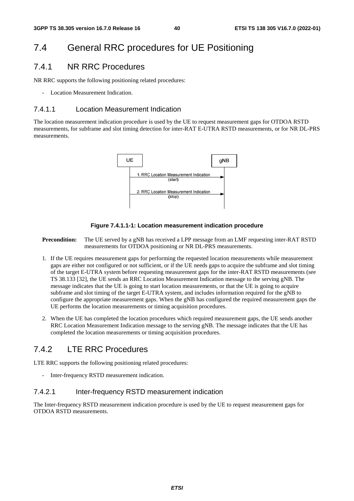# 7.4 General RRC procedures for UE Positioning

## 7.4.1 NR RRC Procedures

NR RRC supports the following positioning related procedures:

Location Measurement Indication.

## 7.4.1.1 Location Measurement Indication

The location measurement indication procedure is used by the UE to request measurement gaps for OTDOA RSTD measurements, for subframe and slot timing detection for inter-RAT E-UTRA RSTD measurements, or for NR DL-PRS measurements.



#### **Figure 7.4.1.1-1: Location measurement indication procedure**

**Precondition:** The UE served by a gNB has received a LPP message from an LMF requesting inter-RAT RSTD measurements for OTDOA positioning or NR DL-PRS measurements.

- 1. If the UE requires measurement gaps for performing the requested location measurements while measurement gaps are either not configured or not sufficient, or if the UE needs gaps to acquire the subframe and slot timing of the target E-UTRA system before requesting measurement gaps for the inter-RAT RSTD measurements (see TS 38.133 [32], the UE sends an RRC Location Measurement Indication message to the serving gNB. The message indicates that the UE is going to start location measurements, or that the UE is going to acquire subframe and slot timing of the target E-UTRA system, and includes information required for the gNB to configure the appropriate measurement gaps. When the gNB has configured the required measurement gaps the UE performs the location measurements or timing acquisition procedures.
- 2. When the UE has completed the location procedures which required measurement gaps, the UE sends another RRC Location Measurement Indication message to the serving gNB. The message indicates that the UE has completed the location measurements or timing acquisition procedures.

## 7.4.2 LTE RRC Procedures

LTE RRC supports the following positioning related procedures:

Inter-frequency RSTD measurement indication.

## 7.4.2.1 Inter-frequency RSTD measurement indication

The Inter-frequency RSTD measurement indication procedure is used by the UE to request measurement gaps for OTDOA RSTD measurements.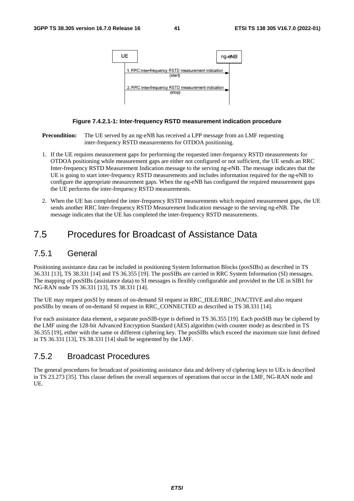

#### **Figure 7.4.2.1-1: Inter-frequency RSTD measurement indication procedure**

**Precondition:** The UE served by an ng-eNB has received a LPP message from an LMF requesting inter-frequency RSTD measurements for OTDOA positioning.

- 1. If the UE requires measurement gaps for performing the requested inter-frequency RSTD measurements for OTDOA positioning while measurement gaps are either not configured or not sufficient, the UE sends an RRC Inter-frequency RSTD Measurement Indication message to the serving ng-eNB. The message indicates that the UE is going to start inter-frequency RSTD measurements and includes information required for the ng-eNB to configure the appropriate measurement gaps. When the ng-eNB has configured the required measurement gaps the UE performs the inter-frequency RSTD measurements.
- 2. When the UE has completed the inter-frequency RSTD measurements which required measurement gaps, the UE sends another RRC Inter-frequency RSTD Measurement Indication message to the serving ng-eNB. The message indicates that the UE has completed the inter-frequency RSTD measurements.

# 7.5 Procedures for Broadcast of Assistance Data

## 7.5.1 General

Positioning assistance data can be included in positioning System Information Blocks (posSIBs) as described in TS 36.331 [13], TS 38.331 [14] and TS 36.355 [19]. The posSIBs are carried in RRC System Information (SI) messages. The mapping of posSIBs (assistance data) to SI messages is flexibly configurable and provided to the UE in SIB1 for NG-RAN node TS 36.331 [13], TS 38.331 [14].

The UE may request posSI by means of on-demand SI request in RRC\_IDLE/RRC\_INACTIVE and also request posSIBs by means of on-demand SI request in RRC\_CONNECTED as described in TS 38.331 [14].

For each assistance data element, a separate posSIB-type is defined in TS 36.355 [19]. Each posSIB may be ciphered by the LMF using the 128-bit Advanced Encryption Standard (AES) algorithm (with counter mode) as described in TS 36.355 [19], either with the same or different ciphering key. The posSIBs which exceed the maximum size limit defined in TS 36.331 [13], TS 38.331 [14] shall be segmented by the LMF.

## 7.5.2 Broadcast Procedures

The general procedures for broadcast of positioning assistance data and delivery of ciphering keys to UEs is described in TS 23.273 [35]. This clause defines the overall sequences of operations that occur in the LMF, NG-RAN node and UE.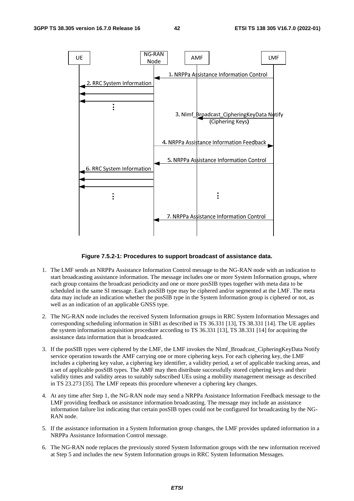

#### **Figure 7.5.2-1: Procedures to support broadcast of assistance data.**

- 1. The LMF sends an NRPPa Assistance Information Control message to the NG-RAN node with an indication to start broadcasting assistance information. The message includes one or more System Information groups, where each group contains the broadcast periodicity and one or more posSIB types together with meta data to be scheduled in the same SI message. Each posSIB type may be ciphered and/or segmented at the LMF. The meta data may include an indication whether the posSIB type in the System Information group is ciphered or not, as well as an indication of an applicable GNSS type.
- 2. The NG-RAN node includes the received System Information groups in RRC System Information Messages and corresponding scheduling information in SIB1 as described in TS 36.331 [13], TS 38.331 [14]. The UE applies the system information acquisition procedure according to TS 36.331 [13], TS 38.331 [14] for acquiring the assistance data information that is broadcasted.
- 3. If the posSIB types were ciphered by the LMF, the LMF invokes the Nlmf\_Broadcast\_CipheringKeyData Notify service operation towards the AMF carrying one or more ciphering keys. For each ciphering key, the LMF includes a ciphering key value, a ciphering key identifier, a validity period, a set of applicable tracking areas, and a set of applicable posSIB types. The AMF may then distribute successfully stored ciphering keys and their validity times and validity areas to suitably subscribed UEs using a mobility management message as described in TS 23.273 [35]. The LMF repeats this procedure whenever a ciphering key changes.
- 4. At any time after Step 1, the NG-RAN node may send a NRPPa Assistance Information Feedback message to the LMF providing feedback on assistance information broadcasting. The message may include an assistance information failure list indicating that certain posSIB types could not be configured for broadcasting by the NG-RAN node.
- 5. If the assistance information in a System Information group changes, the LMF provides updated information in a NRPPa Assistance Information Control message.
- 6. The NG-RAN node replaces the previously stored System Information groups with the new information received at Step 5 and includes the new System Information groups in RRC System Information Messages.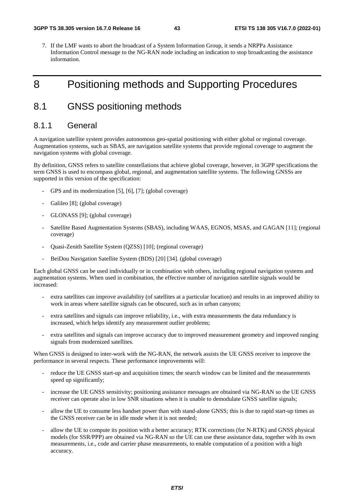7. If the LMF wants to abort the broadcast of a System Information Group, it sends a NRPPa Assistance Information Control message to the NG-RAN node including an indication to stop broadcasting the assistance information.

# 8 Positioning methods and Supporting Procedures

# 8.1 GNSS positioning methods

## 8.1.1 General

A navigation satellite system provides autonomous geo-spatial positioning with either global or regional coverage. Augmentation systems, such as SBAS, are navigation satellite systems that provide regional coverage to augment the navigation systems with global coverage.

By definition, GNSS refers to satellite constellations that achieve global coverage, however, in 3GPP specifications the term GNSS is used to encompass global, regional, and augmentation satellite systems. The following GNSSs are supported in this version of the specification:

- GPS and its modernization [5], [6], [7]; (global coverage)
- Galileo [8]; (global coverage)
- GLONASS [9]; (global coverage)
- Satellite Based Augmentation Systems (SBAS), including WAAS, EGNOS, MSAS, and GAGAN [11]; (regional coverage)
- Quasi-Zenith Satellite System (QZSS) [10]; (regional coverage)
- BeiDou Navigation Satellite System (BDS) [20] [34]. (global coverage)

Each global GNSS can be used individually or in combination with others, including regional navigation systems and augmentation systems. When used in combination, the effective number of navigation satellite signals would be increased:

- extra satellites can improve availability (of satellites at a particular location) and results in an improved ability to work in areas where satellite signals can be obscured, such as in urban canyons;
- extra satellites and signals can improve reliability, i.e., with extra measurements the data redundancy is increased, which helps identify any measurement outlier problems;
- extra satellites and signals can improve accuracy due to improved measurement geometry and improved ranging signals from modernized satellites.

When GNSS is designed to inter-work with the NG-RAN, the network assists the UE GNSS receiver to improve the performance in several respects. These performance improvements will:

- reduce the UE GNSS start-up and acquisition times; the search window can be limited and the measurements speed up significantly;
- increase the UE GNSS sensitivity; positioning assistance messages are obtained via NG-RAN so the UE GNSS receiver can operate also in low SNR situations when it is unable to demodulate GNSS satellite signals;
- allow the UE to consume less handset power than with stand-alone GNSS; this is due to rapid start-up times as the GNSS receiver can be in idle mode when it is not needed;
- allow the UE to compute its position with a better accuracy; RTK corrections (for N-RTK) and GNSS physical models (for SSR/PPP) are obtained via NG-RAN so the UE can use these assistance data, together with its own measurements, i.e., code and carrier phase measurements, to enable computation of a position with a high accuracy.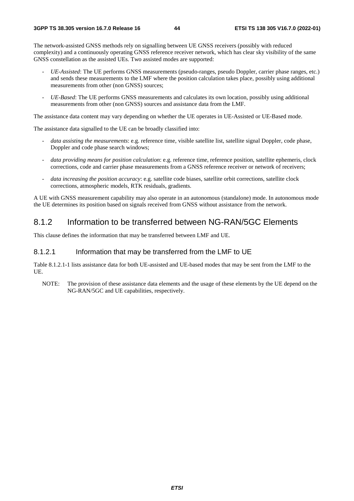The network-assisted GNSS methods rely on signalling between UE GNSS receivers (possibly with reduced complexity) and a continuously operating GNSS reference receiver network, which has clear sky visibility of the same GNSS constellation as the assisted UEs. Two assisted modes are supported:

- *UE-Assisted*: The UE performs GNSS measurements (pseudo-ranges, pseudo Doppler, carrier phase ranges, etc.) and sends these measurements to the LMF where the position calculation takes place, possibly using additional measurements from other (non GNSS) sources;
- *UE-Based*: The UE performs GNSS measurements and calculates its own location, possibly using additional measurements from other (non GNSS) sources and assistance data from the LMF.

The assistance data content may vary depending on whether the UE operates in UE-Assisted or UE-Based mode.

The assistance data signalled to the UE can be broadly classified into:

- data assisting the measurements: e.g. reference time, visible satellite list, satellite signal Doppler, code phase, Doppler and code phase search windows;
- data providing means for position calculation: e.g. reference time, reference position, satellite ephemeris, clock corrections, code and carrier phase measurements from a GNSS reference receiver or network of receivers;
- *data increasing the position accuracy*: e.g. satellite code biases, satellite orbit corrections, satellite clock corrections, atmospheric models, RTK residuals, gradients.

A UE with GNSS measurement capability may also operate in an autonomous (standalone) mode. In autonomous mode the UE determines its position based on signals received from GNSS without assistance from the network.

## 8.1.2 Information to be transferred between NG-RAN/5GC Elements

This clause defines the information that may be transferred between LMF and UE.

### 8.1.2.1 Information that may be transferred from the LMF to UE

Table 8.1.2.1-1 lists assistance data for both UE-assisted and UE-based modes that may be sent from the LMF to the UE.

NOTE: The provision of these assistance data elements and the usage of these elements by the UE depend on the NG-RAN/5GC and UE capabilities, respectively.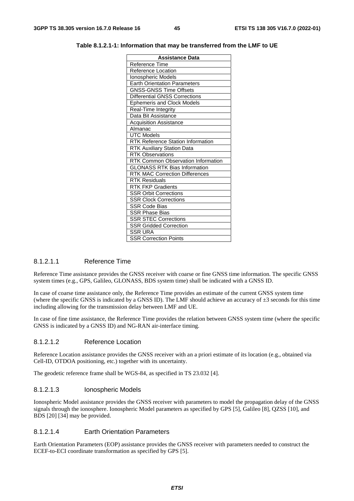| 3GPP TS 38.305 version 16.7.0 Release 16 |  | ETSI TS 138 305 V16.7.0 (2022-01) |
|------------------------------------------|--|-----------------------------------|
|------------------------------------------|--|-----------------------------------|

**Table 8.1.2.1-1: Information that may be transferred from the LMF to UE** 

| <b>Assistance Data</b>                   |  |
|------------------------------------------|--|
| Reference Time                           |  |
| <b>Reference Location</b>                |  |
| Ionospheric Models                       |  |
| <b>Earth Orientation Parameters</b>      |  |
| <b>GNSS-GNSS Time Offsets</b>            |  |
| <b>Differential GNSS Corrections</b>     |  |
| <b>Ephemeris and Clock Models</b>        |  |
| Real-Time Integrity                      |  |
| Data Bit Assistance                      |  |
| <b>Acquisition Assistance</b>            |  |
| Almanac                                  |  |
| <b>UTC Models</b>                        |  |
| <b>RTK Reference Station Information</b> |  |
| <b>RTK Auxiliary Station Data</b>        |  |
| <b>RTK Observations</b>                  |  |
| RTK Common Observation Information       |  |
| <b>GLONASS RTK Bias Information</b>      |  |
| <b>RTK MAC Correction Differences</b>    |  |
| <b>RTK Residuals</b>                     |  |
| <b>RTK FKP Gradients</b>                 |  |
| <b>SSR Orbit Corrections</b>             |  |
| SSR Clock Corrections                    |  |
| <b>SSR Code Bias</b>                     |  |
| <b>SSR Phase Bias</b>                    |  |
| <b>SSR STEC Corrections</b>              |  |
| <b>SSR Gridded Correction</b>            |  |
| <b>SSR URA</b>                           |  |
| <b>SSR Correction Points</b>             |  |

#### 8.1.2.1.1 Reference Time

Reference Time assistance provides the GNSS receiver with coarse or fine GNSS time information. The specific GNSS system times (e.g., GPS, Galileo, GLONASS, BDS system time) shall be indicated with a GNSS ID.

In case of coarse time assistance only, the Reference Time provides an estimate of the current GNSS system time (where the specific GNSS is indicated by a GNSS ID). The LMF should achieve an accuracy of  $\pm 3$  seconds for this time including allowing for the transmission delay between LMF and UE.

In case of fine time assistance, the Reference Time provides the relation between GNSS system time (where the specific GNSS is indicated by a GNSS ID) and NG-RAN air-interface timing.

### 8.1.2.1.2 Reference Location

Reference Location assistance provides the GNSS receiver with an a priori estimate of its location (e.g., obtained via Cell-ID, OTDOA positioning, etc.) together with its uncertainty.

The geodetic reference frame shall be WGS-84, as specified in TS 23.032 [4].

### 8.1.2.1.3 Ionospheric Models

Ionospheric Model assistance provides the GNSS receiver with parameters to model the propagation delay of the GNSS signals through the ionosphere. Ionospheric Model parameters as specified by GPS [5], Galileo [8], QZSS [10], and BDS [20] [34] may be provided.

### 8.1.2.1.4 Earth Orientation Parameters

Earth Orientation Parameters (EOP) assistance provides the GNSS receiver with parameters needed to construct the ECEF-to-ECI coordinate transformation as specified by GPS [5].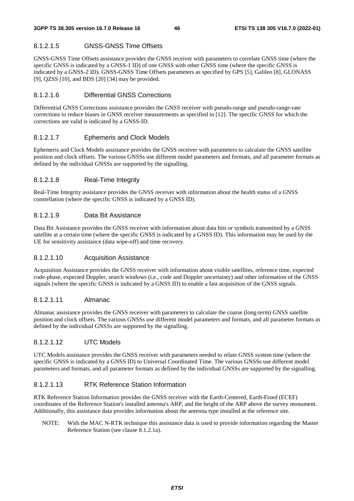## 8.1.2.1.5 GNSS-GNSS Time Offsets

GNSS-GNSS Time Offsets assistance provides the GNSS receiver with parameters to correlate GNSS time (where the specific GNSS is indicated by a GNSS-1 ID) of one GNSS with other GNSS time (where the specific GNSS is indicated by a GNSS-2 ID). GNSS-GNSS Time Offsets parameters as specified by GPS [5], Galileo [8], GLONASS [9], QZSS [10], and BDS [20] [34] may be provided.

### 8.1.2.1.6 Differential GNSS Corrections

Differential GNSS Corrections assistance provides the GNSS receiver with pseudo-range and pseudo-range-rate corrections to reduce biases in GNSS receiver measurements as specified in [12]. The specific GNSS for which the corrections are valid is indicated by a GNSS-ID.

## 8.1.2.1.7 Ephemeris and Clock Models

Ephemeris and Clock Models assistance provides the GNSS receiver with parameters to calculate the GNSS satellite position and clock offsets. The various GNSSs use different model parameters and formats, and all parameter formats as defined by the individual GNSSs are supported by the signalling.

## 8.1.2.1.8 Real-Time Integrity

Real-Time Integrity assistance provides the GNSS receiver with information about the health status of a GNSS constellation (where the specific GNSS is indicated by a GNSS ID).

## 8.1.2.1.9 Data Bit Assistance

Data Bit Assistance provides the GNSS receiver with information about data bits or symbols transmitted by a GNSS satellite at a certain time (where the specific GNSS is indicated by a GNSS ID). This information may be used by the UE for sensitivity assistance (data wipe-off) and time recovery.

### 8.1.2.1.10 Acquisition Assistance

Acquisition Assistance provides the GNSS receiver with information about visible satellites, reference time, expected code-phase, expected Doppler, search windows (i.e., code and Doppler uncertainty) and other information of the GNSS signals (where the specific GNSS is indicated by a GNSS ID) to enable a fast acquisition of the GNSS signals.

### 8.1.2.1.11 Almanac

Almanac assistance provides the GNSS receiver with parameters to calculate the coarse (long-term) GNSS satellite position and clock offsets. The various GNSSs use different model parameters and formats, and all parameter formats as defined by the individual GNSSs are supported by the signalling.

### 8.1.2.1.12 UTC Models

UTC Models assistance provides the GNSS receiver with parameters needed to relate GNSS system time (where the specific GNSS is indicated by a GNSS ID) to Universal Coordinated Time. The various GNSSs use different model parameters and formats, and all parameter formats as defined by the individual GNSSs are supported by the signalling.

### 8.1.2.1.13 RTK Reference Station Information

RTK Reference Station Information provides the GNSS receiver with the Earth-Centered, Earth-Fixed (ECEF) coordinates of the Reference Station's installed antenna's ARP, and the height of the ARP above the survey monument. Additionally, this assistance data provides information about the antenna type installed at the reference site.

NOTE: With the MAC N-RTK technique this assistance data is used to provide information regarding the Master Reference Station (see clause 8.1.2.1a).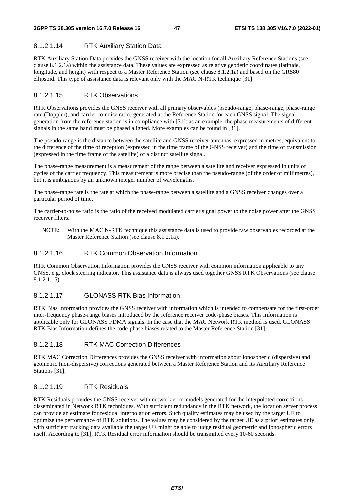## 8.1.2.1.14 RTK Auxiliary Station Data

RTK Auxiliary Station Data provides the GNSS receiver with the location for all Auxiliary Reference Stations (see clause 8.1.2.1a) within the assistance data. These values are expressed as relative geodetic coordinates (latitude, longitude, and height) with respect to a Master Reference Station (see clause 8.1.2.1a) and based on the GRS80 ellipsoid. This type of assistance data is relevant only with the MAC N-RTK technique [31].

### 8.1.2.1.15 RTK Observations

RTK Observations provides the GNSS receiver with all primary observables (pseudo-range, phase-range, phase-range rate (Doppler), and carrier-to-noise ratio) generated at the Reference Station for each GNSS signal. The signal generation from the reference station is in compliance with [31]: as an example, the phase measurements of different signals in the same band must be phased aligned. More examples can be found in [31].

The pseudo-range is the distance between the satellite and GNSS receiver antennas, expressed in metres, equivalent to the difference of the time of reception (expressed in the time frame of the GNSS receiver) and the time of transmission (expressed in the time frame of the satellite) of a distinct satellite signal.

The phase-range measurement is a measurement of the range between a satellite and receiver expressed in units of cycles of the carrier frequency. This measurement is more precise than the pseudo-range (of the order of millimetres), but it is ambiguous by an unknown integer number of wavelengths.

The phase-range rate is the rate at which the phase-range between a satellite and a GNSS receiver changes over a particular period of time.

The carrier-to-noise ratio is the ratio of the received modulated carrier signal power to the noise power after the GNSS receiver filters.

NOTE: With the MAC N-RTK technique this assistance data is used to provide raw observables recorded at the Master Reference Station (see clause 8.1.2.1a).

### 8.1.2.1.16 RTK Common Observation Information

RTK Common Observation Information provides the GNSS receiver with common information applicable to any GNSS, e.g. clock steering indicator. This assistance data is always used together GNSS RTK Observations (see clause 8.1.2.1.15).

## 8.1.2.1.17 GLONASS RTK Bias Information

RTK Bias Information provides the GNSS receiver with information which is intended to compensate for the first-order inter-frequency phase-range biases introduced by the reference receiver code-phase biases. This information is applicable only for GLONASS FDMA signals. In the case that the MAC Network RTK method is used, GLONASS RTK Bias Information defines the code-phase biases related to the Master Reference Station [31].

### 8.1.2.1.18 RTK MAC Correction Differences

RTK MAC Correction Differences provides the GNSS receiver with information about ionospheric (dispersive) and geometric (non-dispersive) corrections generated between a Master Reference Station and its Auxiliary Reference Stations [31].

### 8.1.2.1.19 RTK Residuals

RTK Residuals provides the GNSS receiver with network error models generated for the interpolated corrections disseminated in Network RTK techniques. With sufficient redundancy in the RTK network, the location server process can provide an estimate for residual interpolation errors. Such quality estimates may be used by the target UE to optimize the performance of RTK solutions. The values may be considered by the target UE as a priori estimates only, with sufficient tracking data available the target UE might be able to judge residual geometric and ionospheric errors itself. According to [31], RTK Residual error information should be transmitted every 10-60 seconds.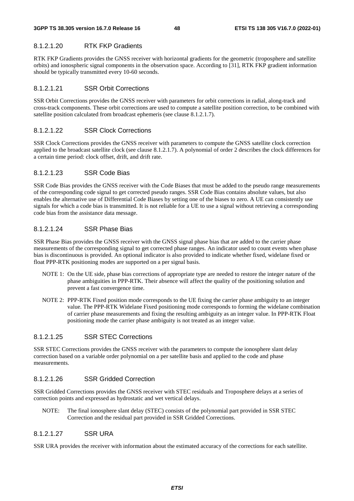## 8.1.2.1.20 RTK FKP Gradients

RTK FKP Gradients provides the GNSS receiver with horizontal gradients for the geometric (troposphere and satellite orbits) and ionospheric signal components in the observation space. According to [31], RTK FKP gradient information should be typically transmitted every 10-60 seconds.

## 8.1.2.1.21 SSR Orbit Corrections

SSR Orbit Corrections provides the GNSS receiver with parameters for orbit corrections in radial, along-track and cross-track components. These orbit corrections are used to compute a satellite position correction, to be combined with satellite position calculated from broadcast ephemeris (see clause 8.1.2.1.7).

## 8.1.2.1.22 SSR Clock Corrections

SSR Clock Corrections provides the GNSS receiver with parameters to compute the GNSS satellite clock correction applied to the broadcast satellite clock (see clause 8.1.2.1.7). A polynomial of order 2 describes the clock differences for a certain time period: clock offset, drift, and drift rate.

## 8.1.2.1.23 SSR Code Bias

SSR Code Bias provides the GNSS receiver with the Code Biases that must be added to the pseudo range measurements of the corresponding code signal to get corrected pseudo ranges. SSR Code Bias contains absolute values, but also enables the alternative use of Differential Code Biases by setting one of the biases to zero. A UE can consistently use signals for which a code bias is transmitted. It is not reliable for a UE to use a signal without retrieving a corresponding code bias from the assistance data message.

### 8.1.2.1.24 SSR Phase Bias

SSR Phase Bias provides the GNSS receiver with the GNSS signal phase bias that are added to the carrier phase measurements of the corresponding signal to get corrected phase ranges. An indicator used to count events when phase bias is discontinuous is provided. An optional indicator is also provided to indicate whether fixed, widelane fixed or float PPP-RTK positioning modes are supported on a per signal basis.

- NOTE 1: On the UE side, phase bias corrections of appropriate type are needed to restore the integer nature of the phase ambiguities in PPP-RTK. Their absence will affect the quality of the positioning solution and prevent a fast convergence time.
- NOTE 2: PPP-RTK Fixed position mode corresponds to the UE fixing the carrier phase ambiguity to an integer value. The PPP-RTK Widelane Fixed positioning mode corresponds to forming the widelane combination of carrier phase measurements and fixing the resulting ambiguity as an integer value. In PPP-RTK Float positioning mode the carrier phase ambiguity is not treated as an integer value.

### 8.1.2.1.25 SSR STEC Corrections

SSR STEC Corrections provides the GNSS receiver with the parameters to compute the ionosphere slant delay correction based on a variable order polynomial on a per satellite basis and applied to the code and phase measurements.

## 8.1.2.1.26 SSR Gridded Correction

SSR Gridded Corrections provides the GNSS receiver with STEC residuals and Troposphere delays at a series of correction points and expressed as hydrostatic and wet vertical delays.

NOTE: The final ionosphere slant delay (STEC) consists of the polynomial part provided in SSR STEC Correction and the residual part provided in SSR Gridded Corrections.

## 8.1.2.1.27 SSR URA

SSR URA provides the receiver with information about the estimated accuracy of the corrections for each satellite.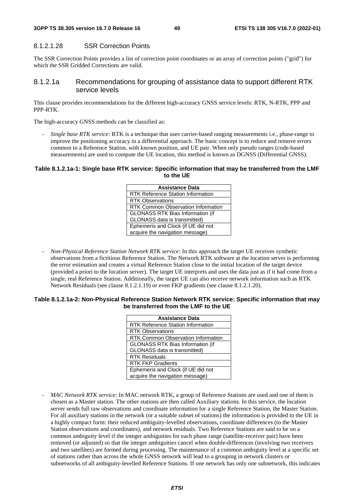#### 8.1.2.1.28 SSR Correction Points

The SSR Correction Points provides a list of correction point coordinates or an array of correction points ("grid") for which the SSR Gridded Corrections are valid.

### 8.1.2.1a Recommendations for grouping of assistance data to support different RTK service levels

This clause provides recommendations for the different high-accuracy GNSS service levels: RTK, N-RTK, PPP and PPP-RTK.

The high-accuracy GNSS methods can be classified as:

- *Single base RTK service*: RTK is a technique that uses carrier-based ranging measurements i.e., phase-range to improve the positioning accuracy in a differential approach. The basic concept is to reduce and remove errors common to a Reference Station, with known position, and UE pair. When only pseudo ranges (code-based measurements) are used to compute the UE location, this method is known as DGNSS (Differential GNSS).

#### **Table 8.1.2.1a-1: Single base RTK service: Specific information that may be transferred from the LMF to the UE**

| <b>Assistance Data</b>                    |  |
|-------------------------------------------|--|
| <b>RTK Reference Station Information</b>  |  |
| <b>RTK Observations</b>                   |  |
| <b>RTK Common Observation Information</b> |  |
| <b>GLONASS RTK Bias Information (if</b>   |  |
| GLONASS data is transmitted)              |  |
| Ephemeris and Clock (if UE did not        |  |
| acquire the navigation message)           |  |

- *Non-Physical Reference Station Network RTK service*: In this approach the target UE receives synthetic observations from a fictitious Reference Station. The Network RTK software at the location server is performing the error estimation and creates a virtual Reference Station close to the initial location of the target device (provided a priori to the location server). The target UE interprets and uses the data just as if it had come from a single, real Reference Station. Additionally, the target UE can also receive network information such as RTK Network Residuals (see clause 8.1.2.1.19) or even FKP gradients (see clause 8.1.2.1.20).

#### **Table 8.1.2.1a-2: Non-Physical Reference Station Network RTK service: Specific information that may be transferred from the LMF to the UE**

| <b>Assistance Data</b>                    |  |
|-------------------------------------------|--|
| <b>RTK Reference Station Information</b>  |  |
| <b>RTK Observations</b>                   |  |
| <b>RTK Common Observation Information</b> |  |
| <b>GLONASS RTK Bias Information (if</b>   |  |
| GLONASS data is transmitted)              |  |
| <b>RTK Residuals</b>                      |  |
| <b>RTK FKP Gradients</b>                  |  |
| Ephemeris and Clock (if UE did not        |  |
| acquire the navigation message)           |  |

- *MAC Network RTK service*: In MAC network RTK, a group of Reference Stations are used and one of them is chosen as a Master station. The other stations are then called Auxiliary stations. In this service, the location server sends full raw observations and coordinate information for a single Reference Station, the Master Station. For all auxiliary stations in the network (or a suitable subset of stations) the information is provided to the UE in a highly compact form: their reduced ambiguity-levelled observations, coordinate differences (to the Master Station observations and coordinates), and network residuals. Two Reference Stations are said to be on a common ambiguity level if the integer ambiguities for each phase range (satellite-receiver pair) have been removed (or adjusted) so that the integer ambiguities cancel when double-differences (involving two receivers and two satellites) are formed during processing. The maintenance of a common ambiguity level at a specific set of stations rather than across the whole GNSS network will lead to a grouping in network clusters or subnetworks of all ambiguity-levelled Reference Stations. If one network has only one subnetwork, this indicates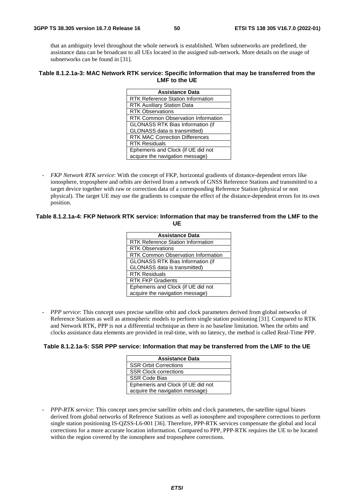that an ambiguity level throughout the whole network is established. When subnetworks are predefined, the assistance data can be broadcast to all UEs located in the assigned sub-network. More details on the usage of subnetworks can be found in [31].

#### **Table 8.1.2.1a-3: MAC Network RTK service: Specific Information that may be transferred from the LMF to the UE**

| <b>Assistance Data</b>                    |  |  |
|-------------------------------------------|--|--|
| <b>RTK Reference Station Information</b>  |  |  |
| <b>RTK Auxiliary Station Data</b>         |  |  |
| <b>RTK Observations</b>                   |  |  |
| <b>RTK Common Observation Information</b> |  |  |
| <b>GLONASS RTK Bias Information (if</b>   |  |  |
| GLONASS data is transmitted)              |  |  |
| <b>RTK MAC Correction Differences</b>     |  |  |
| <b>RTK Residuals</b>                      |  |  |
| Ephemeris and Clock (if UE did not        |  |  |
| acquire the navigation message)           |  |  |
|                                           |  |  |

- *FKP Network RTK service*: With the concept of FKP, horizontal gradients of distance-dependent errors like ionosphere, troposphere and orbits are derived from a network of GNSS Reference Stations and transmitted to a target device together with raw or correction data of a corresponding Reference Station (physical or non physical). The target UE may use the gradients to compute the effect of the distance-dependent errors for its own position.

#### **Table 8.1.2.1a-4: FKP Network RTK service: Information that may be transferred from the LMF to the UE**

| <b>Assistance Data</b>                    |  |
|-------------------------------------------|--|
| <b>RTK Reference Station Information</b>  |  |
| <b>RTK Observations</b>                   |  |
| <b>RTK Common Observation Information</b> |  |
| <b>GLONASS RTK Bias Information (if</b>   |  |
| GLONASS data is transmitted)              |  |
| <b>RTK Residuals</b>                      |  |
| <b>RTK FKP Gradients</b>                  |  |
| Ephemeris and Clock (if UE did not        |  |
| acquire the navigation message)           |  |

*PPP service*: This concept uses precise satellite orbit and clock parameters derived from global networks of Reference Stations as well as atmospheric models to perform single station positioning [31]. Compared to RTK and Network RTK, PPP is not a differential technique as there is no baseline limitation. When the orbits and clocks assistance data elements are provided in real-time, with no latency, the method is called Real-Time PPP.

#### **Table 8.1.2.1a-5: SSR PPP service: Information that may be transferred from the LMF to the UE**

| <b>Assistance Data</b>             |  |
|------------------------------------|--|
| <b>SSR Orbit Corrections</b>       |  |
| <b>SSR Clock corrections</b>       |  |
| <b>SSR Code Bias</b>               |  |
| Ephemeris and Clock (if UE did not |  |
| acquire the navigation message)    |  |

- *PPP-RTK service*: This concept uses precise satellite orbits and clock parameters, the satellite signal biases derived from global networks of Reference Stations as well as ionosphere and troposphere corrections to perform single station positioning IS-QZSS-L6-001 [36]. Therefore, PPP-RTK services compensate the global and local corrections for a more accurate location information. Compared to PPP, PPP-RTK requires the UE to be located within the region covered by the ionosphere and troposphere corrections.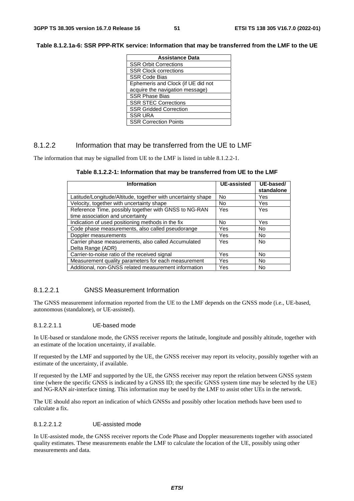| <b>Assistance Data</b>             |  |
|------------------------------------|--|
| <b>SSR Orbit Corrections</b>       |  |
| <b>SSR Clock corrections</b>       |  |
| <b>SSR Code Bias</b>               |  |
| Ephemeris and Clock (if UE did not |  |
| acquire the navigation message)    |  |
| <b>SSR Phase Bias</b>              |  |
| <b>SSR STEC Corrections</b>        |  |
| <b>SSR Gridded Correction</b>      |  |
| <b>SSR URA</b>                     |  |
| <b>SSR Correction Points</b>       |  |

### 8.1.2.2 Information that may be transferred from the UE to LMF

The information that may be signalled from UE to the LMF is listed in table 8.1.2.2-1.

| Information                                                                               | <b>UE-assisted</b> | UE-based/<br>standalone |
|-------------------------------------------------------------------------------------------|--------------------|-------------------------|
| Latitude/Longitude/Altitude, together with uncertainty shape                              | <b>No</b>          | Yes                     |
| Velocity, together with uncertainty shape                                                 | No.                | Yes                     |
| Reference Time, possibly together with GNSS to NG-RAN<br>time association and uncertainty | Yes                | Yes                     |
| Indication of used positioning methods in the fix                                         | No.                | Yes                     |
| Code phase measurements, also called pseudorange                                          | Yes                | <b>No</b>               |
| Doppler measurements                                                                      | Yes                | No                      |
| Carrier phase measurements, also called Accumulated<br>Delta Range (ADR)                  | <b>Yes</b>         | <b>No</b>               |
| Carrier-to-noise ratio of the received signal                                             | Yes                | No.                     |
| Measurement quality parameters for each measurement                                       | Yes                | No.                     |
| Additional, non-GNSS related measurement information                                      | Yes                | <b>No</b>               |

#### 8.1.2.2.1 GNSS Measurement Information

The GNSS measurement information reported from the UE to the LMF depends on the GNSS mode (i.e., UE-based, autonomous (standalone), or UE-assisted).

#### 8.1.2.2.1.1 UE-based mode

In UE-based or standalone mode, the GNSS receiver reports the latitude, longitude and possibly altitude, together with an estimate of the location uncertainty, if available.

If requested by the LMF and supported by the UE, the GNSS receiver may report its velocity, possibly together with an estimate of the uncertainty, if available.

If requested by the LMF and supported by the UE, the GNSS receiver may report the relation between GNSS system time (where the specific GNSS is indicated by a GNSS ID; the specific GNSS system time may be selected by the UE) and NG-RAN air-interface timing. This information may be used by the LMF to assist other UEs in the network.

The UE should also report an indication of which GNSSs and possibly other location methods have been used to calculate a fix.

#### 8.1.2.2.1.2 UE-assisted mode

In UE-assisted mode, the GNSS receiver reports the Code Phase and Doppler measurements together with associated quality estimates. These measurements enable the LMF to calculate the location of the UE, possibly using other measurements and data.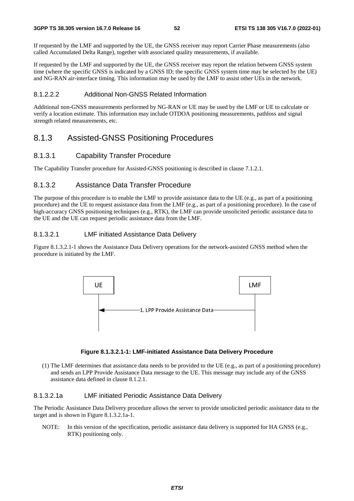If requested by the LMF and supported by the UE, the GNSS receiver may report Carrier Phase measurements (also called Accumulated Delta Range), together with associated quality measurements, if available.

If requested by the LMF and supported by the UE, the GNSS receiver may report the relation between GNSS system time (where the specific GNSS is indicated by a GNSS ID; the specific GNSS system time may be selected by the UE) and NG-RAN air-interface timing. This information may be used by the LMF to assist other UEs in the network.

## 8.1.2.2.2 Additional Non-GNSS Related Information

Additional non-GNSS measurements performed by NG-RAN or UE may be used by the LMF or UE to calculate or verify a location estimate. This information may include OTDOA positioning measurements, pathloss and signal strength related measurements, etc.

# 8.1.3 Assisted-GNSS Positioning Procedures

## 8.1.3.1 Capability Transfer Procedure

The Capability Transfer procedure for Assisted-GNSS positioning is described in clause 7.1.2.1.

## 8.1.3.2 Assistance Data Transfer Procedure

The purpose of this procedure is to enable the LMF to provide assistance data to the UE (e.g., as part of a positioning procedure) and the UE to request assistance data from the LMF (e.g., as part of a positioning procedure). In the case of high-accuracy GNSS positioning techniques (e.g., RTK), the LMF can provide unsolicited periodic assistance data to the UE and the UE can request periodic assistance data from the LMF.

## 8.1.3.2.1 LMF initiated Assistance Data Delivery

Figure 8.1.3.2.1-1 shows the Assistance Data Delivery operations for the network-assisted GNSS method when the procedure is initiated by the LMF.



## **Figure 8.1.3.2.1-1: LMF-initiated Assistance Data Delivery Procedure**

(1) The LMF determines that assistance data needs to be provided to the UE (e.g., as part of a positioning procedure) and sends an LPP Provide Assistance Data message to the UE. This message may include any of the GNSS assistance data defined in clause 8.1.2.1.

## 8.1.3.2.1a LMF initiated Periodic Assistance Data Delivery

The Periodic Assistance Data Delivery procedure allows the server to provide unsolicited periodic assistance data to the target and is shown in Figure 8.1.3.2.1a-1.

NOTE: In this version of the specification, periodic assistance data delivery is supported for HA GNSS (e.g., RTK) positioning only.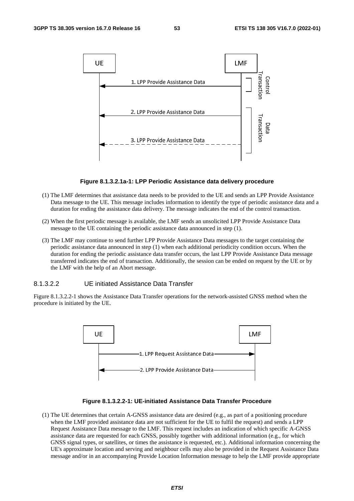

#### **Figure 8.1.3.2.1a-1: LPP Periodic Assistance data delivery procedure**

- (1) The LMF determines that assistance data needs to be provided to the UE and sends an LPP Provide Assistance Data message to the UE. This message includes information to identify the type of periodic assistance data and a duration for ending the assistance data delivery. The message indicates the end of the control transaction.
- (2) When the first periodic message is available, the LMF sends an unsolicited LPP Provide Assistance Data message to the UE containing the periodic assistance data announced in step (1).
- (3) The LMF may continue to send further LPP Provide Assistance Data messages to the target containing the periodic assistance data announced in step (1) when each additional periodicity condition occurs. When the duration for ending the periodic assistance data transfer occurs, the last LPP Provide Assistance Data message transferred indicates the end of transaction. Additionally, the session can be ended on request by the UE or by the LMF with the help of an Abort message.

#### 8.1.3.2.2 UE initiated Assistance Data Transfer

Figure 8.1.3.2.2-1 shows the Assistance Data Transfer operations for the network-assisted GNSS method when the procedure is initiated by the UE.



#### **Figure 8.1.3.2.2-1: UE-initiated Assistance Data Transfer Procedure**

(1) The UE determines that certain A-GNSS assistance data are desired (e.g., as part of a positioning procedure when the LMF provided assistance data are not sufficient for the UE to fulfil the request) and sends a LPP Request Assistance Data message to the LMF. This request includes an indication of which specific A-GNSS assistance data are requested for each GNSS, possibly together with additional information (e.g., for which GNSS signal types, or satellites, or times the assistance is requested, etc.). Additional information concerning the UE's approximate location and serving and neighbour cells may also be provided in the Request Assistance Data message and/or in an accompanying Provide Location Information message to help the LMF provide appropriate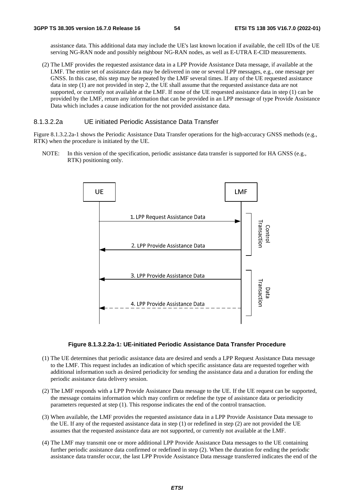assistance data. This additional data may include the UE's last known location if available, the cell IDs of the UE serving NG-RAN node and possibly neighbour NG-RAN nodes, as well as E-UTRA E-CID measurements.

(2) The LMF provides the requested assistance data in a LPP Provide Assistance Data message, if available at the LMF. The entire set of assistance data may be delivered in one or several LPP messages, e.g., one message per GNSS. In this case, this step may be repeated by the LMF several times. If any of the UE requested assistance data in step (1) are not provided in step 2, the UE shall assume that the requested assistance data are not supported, or currently not available at the LMF. If none of the UE requested assistance data in step (1) can be provided by the LMF, return any information that can be provided in an LPP message of type Provide Assistance Data which includes a cause indication for the not provided assistance data.

## 8.1.3.2.2a UE initiated Periodic Assistance Data Transfer

Figure 8.1.3.2.2a-1 shows the Periodic Assistance Data Transfer operations for the high-accuracy GNSS methods (e.g., RTK) when the procedure is initiated by the UE.

NOTE: In this version of the specification, periodic assistance data transfer is supported for HA GNSS (e.g., RTK) positioning only.



#### **Figure 8.1.3.2.2a-1: UE-initiated Periodic Assistance Data Transfer Procedure**

- (1) The UE determines that periodic assistance data are desired and sends a LPP Request Assistance Data message to the LMF. This request includes an indication of which specific assistance data are requested together with additional information such as desired periodicity for sending the assistance data and a duration for ending the periodic assistance data delivery session.
- (2) The LMF responds with a LPP Provide Assistance Data message to the UE. If the UE request can be supported, the message contains information which may confirm or redefine the type of assistance data or periodicity parameters requested at step (1). This response indicates the end of the control transaction.
- (3) When available, the LMF provides the requested assistance data in a LPP Provide Assistance Data message to the UE. If any of the requested assistance data in step (1) or redefined in step (2) are not provided the UE assumes that the requested assistance data are not supported, or currently not available at the LMF.
- (4) The LMF may transmit one or more additional LPP Provide Assistance Data messages to the UE containing further periodic assistance data confirmed or redefined in step (2). When the duration for ending the periodic assistance data transfer occur, the last LPP Provide Assistance Data message transferred indicates the end of the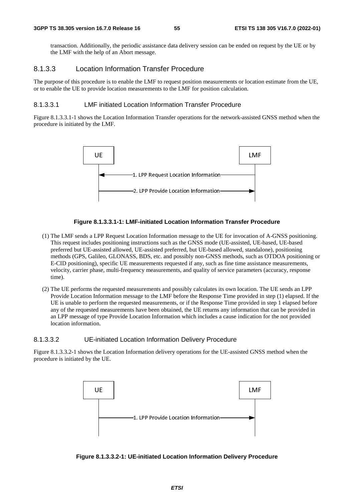transaction. Additionally, the periodic assistance data delivery session can be ended on request by the UE or by the LMF with the help of an Abort message.

## 8.1.3.3 Location Information Transfer Procedure

The purpose of this procedure is to enable the LMF to request position measurements or location estimate from the UE, or to enable the UE to provide location measurements to the LMF for position calculation.

### 8.1.3.3.1 LMF initiated Location Information Transfer Procedure

Figure 8.1.3.3.1-1 shows the Location Information Transfer operations for the network-assisted GNSS method when the procedure is initiated by the LMF.



### **Figure 8.1.3.3.1-1: LMF-initiated Location Information Transfer Procedure**

- (1) The LMF sends a LPP Request Location Information message to the UE for invocation of A-GNSS positioning. This request includes positioning instructions such as the GNSS mode (UE-assisted, UE-based, UE-based preferred but UE-assisted allowed, UE-assisted preferred, but UE-based allowed, standalone), positioning methods (GPS, Galileo, GLONASS, BDS, etc. and possibly non-GNSS methods, such as OTDOA positioning or E-CID positioning), specific UE measurements requested if any, such as fine time assistance measurements, velocity, carrier phase, multi-frequency measurements, and quality of service parameters (accuracy, response time).
- (2) The UE performs the requested measurements and possibly calculates its own location. The UE sends an LPP Provide Location Information message to the LMF before the Response Time provided in step (1) elapsed. If the UE is unable to perform the requested measurements, or if the Response Time provided in step 1 elapsed before any of the requested measurements have been obtained, the UE returns any information that can be provided in an LPP message of type Provide Location Information which includes a cause indication for the not provided location information.

### 8.1.3.3.2 UE-initiated Location Information Delivery Procedure

Figure 8.1.3.3.2-1 shows the Location Information delivery operations for the UE-assisted GNSS method when the procedure is initiated by the UE.



**Figure 8.1.3.3.2-1: UE-initiated Location Information Delivery Procedure**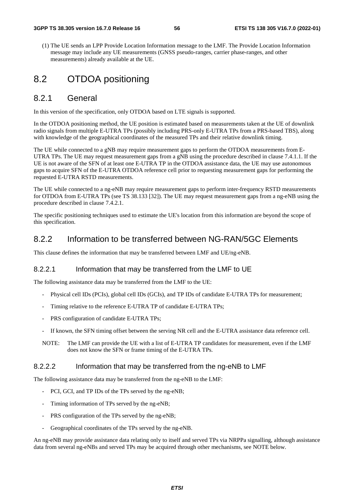#### **3GPP TS 38.305 version 16.7.0 Release 16 56 ETSI TS 138 305 V16.7.0 (2022-01)**

(1) The UE sends an LPP Provide Location Information message to the LMF. The Provide Location Information message may include any UE measurements (GNSS pseudo-ranges, carrier phase-ranges, and other measurements) already available at the UE.

# 8.2 OTDOA positioning

## 8.2.1 General

In this version of the specification, only OTDOA based on LTE signals is supported.

In the OTDOA positioning method, the UE position is estimated based on measurements taken at the UE of downlink radio signals from multiple E-UTRA TPs (possibly including PRS-only E-UTRA TPs from a PRS-based TBS), along with knowledge of the geographical coordinates of the measured TPs and their relative downlink timing.

The UE while connected to a gNB may require measurement gaps to perform the OTDOA measurements from E-UTRA TPs. The UE may request measurement gaps from a gNB using the procedure described in clause 7.4.1.1. If the UE is not aware of the SFN of at least one E-UTRA TP in the OTDOA assistance data, the UE may use autonomous gaps to acquire SFN of the E-UTRA OTDOA reference cell prior to requesting measurement gaps for performing the requested E-UTRA RSTD measurements.

The UE while connected to a ng-eNB may require measurement gaps to perform inter-frequency RSTD measurements for OTDOA from E-UTRA TPs (see TS 38.133 [32]). The UE may request measurement gaps from a ng-eNB using the procedure described in clause 7.4.2.1.

The specific positioning techniques used to estimate the UE's location from this information are beyond the scope of this specification.

## 8.2.2 Information to be transferred between NG-RAN/5GC Elements

This clause defines the information that may be transferred between LMF and UE/ng-eNB.

#### 8.2.2.1 Information that may be transferred from the LMF to UE

The following assistance data may be transferred from the LMF to the UE:

- Physical cell IDs (PCIs), global cell IDs (GCIs), and TP IDs of candidate E-UTRA TPs for measurement;
- Timing relative to the reference E-UTRA TP of candidate E-UTRA TPs;
- PRS configuration of candidate E-UTRA TPs;
- If known, the SFN timing offset between the serving NR cell and the E-UTRA assistance data reference cell.
- NOTE: The LMF can provide the UE with a list of E-UTRA TP candidates for measurement, even if the LMF does not know the SFN or frame timing of the E-UTRA TPs.

#### 8.2.2.2 Information that may be transferred from the ng-eNB to LMF

The following assistance data may be transferred from the ng-eNB to the LMF:

- PCI, GCI, and TP IDs of the TPs served by the ng-eNB;
- Timing information of TPs served by the ng-eNB;
- PRS configuration of the TPs served by the ng-eNB;
- Geographical coordinates of the TPs served by the ng-eNB.

An ng-eNB may provide assistance data relating only to itself and served TPs via NRPPa signalling, although assistance data from several ng-eNBs and served TPs may be acquired through other mechanisms, see NOTE below.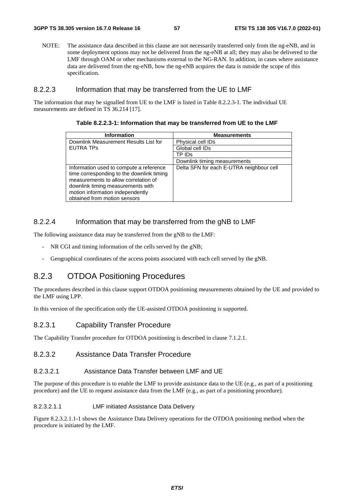NOTE: The assistance data described in this clause are not necessarily transferred only from the ng-eNB, and in some deployment options may not be delivered from the ng-eNB at all; they may also be delivered to the LMF through OAM or other mechanisms external to the NG-RAN. In addition, in cases where assistance data are delivered from the ng-eNB, how the ng-eNB acquires the data is outside the scope of this specification.

### 8.2.2.3 Information that may be transferred from the UE to LMF

The information that may be signalled from UE to the LMF is listed in Table 8.2.2.3-1. The individual UE measurements are defined in TS 36.214 [17].

| <b>Information</b>                                                                                                                                                                                                                    | <b>Measurements</b>                      |
|---------------------------------------------------------------------------------------------------------------------------------------------------------------------------------------------------------------------------------------|------------------------------------------|
| Downlink Measurement Results List for                                                                                                                                                                                                 | Physical cell IDs                        |
| <b>EUTRA TPS</b>                                                                                                                                                                                                                      | Global cell IDs                          |
|                                                                                                                                                                                                                                       | TP IDs                                   |
|                                                                                                                                                                                                                                       | Downlink timing measurements             |
| Information used to compute a reference<br>time corresponding to the downlink timing<br>measurements to allow correlation of<br>downlink timing measurements with<br>motion information independently<br>obtained from motion sensors | Delta SFN for each E-UTRA neighbour cell |

#### **Table 8.2.2.3-1: Information that may be transferred from UE to the LMF**

### 8.2.2.4 Information that may be transferred from the gNB to LMF

The following assistance data may be transferred from the gNB to the LMF:

- NR CGI and timing information of the cells served by the gNB;
- Geographical coordinates of the access points associated with each cell served by the gNB.

## 8.2.3 OTDOA Positioning Procedures

The procedures described in this clause support OTDOA positioning measurements obtained by the UE and provided to the LMF using LPP.

In this version of the specification only the UE-assisted OTDOA positioning is supported.

## 8.2.3.1 Capability Transfer Procedure

The Capability Transfer procedure for OTDOA positioning is described in clause 7.1.2.1.

### 8.2.3.2 Assistance Data Transfer Procedure

#### 8.2.3.2.1 Assistance Data Transfer between LMF and UE

The purpose of this procedure is to enable the LMF to provide assistance data to the UE (e.g., as part of a positioning procedure) and the UE to request assistance data from the LMF (e.g., as part of a positioning procedure).

### 8.2.3.2.1.1 LMF initiated Assistance Data Delivery

Figure 8.2.3.2.1.1-1 shows the Assistance Data Delivery operations for the OTDOA positioning method when the procedure is initiated by the LMF.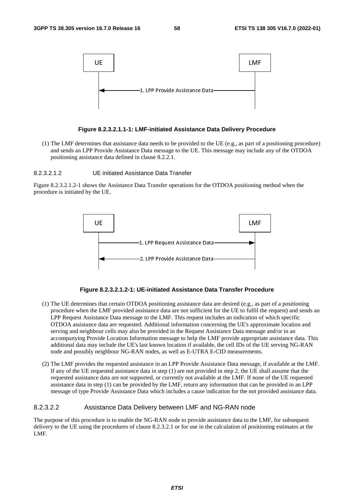

#### **Figure 8.2.3.2.1.1-1: LMF-initiated Assistance Data Delivery Procedure**

(1) The LMF determines that assistance data needs to be provided to the UE (e.g., as part of a positioning procedure) and sends an LPP Provide Assistance Data message to the UE. This message may include any of the OTDOA positioning assistance data defined in clause 8.2.2.1.

#### 8.2.3.2.1.2 UE initiated Assistance Data Transfer

Figure 8.2.3.2.1.2-1 shows the Assistance Data Transfer operations for the OTDOA positioning method when the procedure is initiated by the UE.



#### **Figure 8.2.3.2.1.2-1: UE-initiated Assistance Data Transfer Procedure**

- (1) The UE determines that certain OTDOA positioning assistance data are desired (e.g., as part of a positioning procedure when the LMF provided assistance data are not sufficient for the UE to fulfil the request) and sends an LPP Request Assistance Data message to the LMF. This request includes an indication of which specific OTDOA assistance data are requested. Additional information concerning the UE's approximate location and serving and neighbour cells may also be provided in the Request Assistance Data message and/or in an accompanying Provide Location Information message to help the LMF provide appropriate assistance data. This additional data may include the UE's last known location if available, the cell IDs of the UE serving NG-RAN node and possibly neighbour NG-RAN nodes, as well as E-UTRA E-CID measurements.
- (2) The LMF provides the requested assistance in an LPP Provide Assistance Data message, if available at the LMF. If any of the UE requested assistance data in step (1) are not provided in step 2, the UE shall assume that the requested assistance data are not supported, or currently not available at the LMF. If none of the UE requested assistance data in step (1) can be provided by the LMF, return any information that can be provided in an LPP message of type Provide Assistance Data which includes a cause indication for the not provided assistance data.

#### 8.2.3.2.2 Assistance Data Delivery between LMF and NG-RAN node

The purpose of this procedure is to enable the NG-RAN node to provide assistance data to the LMF, for subsequent delivery to the UE using the procedures of clause 8.2.3.2.1 or for use in the calculation of positioning estimates at the LMF.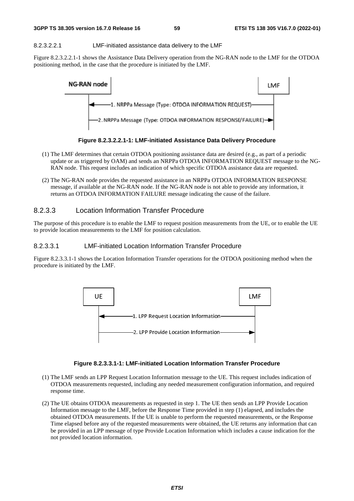#### 8.2.3.2.2.1 LMF-initiated assistance data delivery to the LMF

Figure 8.2.3.2.2.1-1 shows the Assistance Data Delivery operation from the NG-RAN node to the LMF for the OTDOA positioning method, in the case that the procedure is initiated by the LMF.



**Figure 8.2.3.2.2.1-1: LMF-initiated Assistance Data Delivery Procedure** 

- (1) The LMF determines that certain OTDOA positioning assistance data are desired (e.g., as part of a periodic update or as triggered by OAM) and sends an NRPPa OTDOA INFORMATION REQUEST message to the NG-RAN node. This request includes an indication of which specific OTDOA assistance data are requested.
- (2) The NG-RAN node provides the requested assistance in an NRPPa OTDOA INFORMATION RESPONSE message, if available at the NG-RAN node. If the NG-RAN node is not able to provide any information, it returns an OTDOA INFORMATION FAILURE message indicating the cause of the failure.

### 8.2.3.3 Location Information Transfer Procedure

The purpose of this procedure is to enable the LMF to request position measurements from the UE, or to enable the UE to provide location measurements to the LMF for position calculation.

### 8.2.3.3.1 LMF-initiated Location Information Transfer Procedure

Figure 8.2.3.3.1-1 shows the Location Information Transfer operations for the OTDOA positioning method when the procedure is initiated by the LMF.



#### **Figure 8.2.3.3.1-1: LMF-initiated Location Information Transfer Procedure**

- (1) The LMF sends an LPP Request Location Information message to the UE. This request includes indication of OTDOA measurements requested, including any needed measurement configuration information, and required response time.
- (2) The UE obtains OTDOA measurements as requested in step 1. The UE then sends an LPP Provide Location Information message to the LMF, before the Response Time provided in step (1) elapsed, and includes the obtained OTDOA measurements. If the UE is unable to perform the requested measurements, or the Response Time elapsed before any of the requested measurements were obtained, the UE returns any information that can be provided in an LPP message of type Provide Location Information which includes a cause indication for the not provided location information.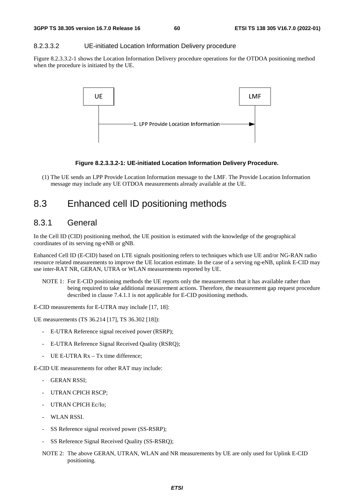#### 8.2.3.3.2 UE-initiated Location Information Delivery procedure

Figure 8.2.3.3.2-1 shows the Location Information Delivery procedure operations for the OTDOA positioning method when the procedure is initiated by the UE.



#### **Figure 8.2.3.3.2-1: UE-initiated Location Information Delivery Procedure.**

(1) The UE sends an LPP Provide Location Information message to the LMF. The Provide Location Information message may include any UE OTDOA measurements already available at the UE.

## 8.3 Enhanced cell ID positioning methods

## 8.3.1 General

In the Cell ID (CID) positioning method, the UE position is estimated with the knowledge of the geographical coordinates of its serving ng-eNB or gNB.

Enhanced Cell ID (E-CID) based on LTE signals positioning refers to techniques which use UE and/or NG-RAN radio resource related measurements to improve the UE location estimate. In the case of a serving ng-eNB, uplink E-CID may use inter-RAT NR, GERAN, UTRA or WLAN measurements reported by UE.

NOTE 1: For E-CID positioning methods the UE reports only the measurements that it has available rather than being required to take additional measurement actions. Therefore, the measurement gap request procedure described in clause 7.4.1.1 is not applicable for E-CID positioning methods.

E-CID measurements for E-UTRA may include [17, 18]:

UE measurements (TS 36.214 [17], TS 36.302 [18]):

- E-UTRA Reference signal received power (RSRP);
- E-UTRA Reference Signal Received Quality (RSRQ);
- UE E-UTRA  $Rx Tx$  time difference:

E-CID UE measurements for other RAT may include:

- **GERAN RSSI:**
- UTRAN CPICH RSCP:
- UTRAN CPICH Ec/Io;
- WLAN RSSI.
- SS Reference signal received power (SS-RSRP);
- SS Reference Signal Received Quality (SS-RSRQ);
- NOTE 2: The above GERAN, UTRAN, WLAN and NR measurements by UE are only used for Uplink E-CID positioning.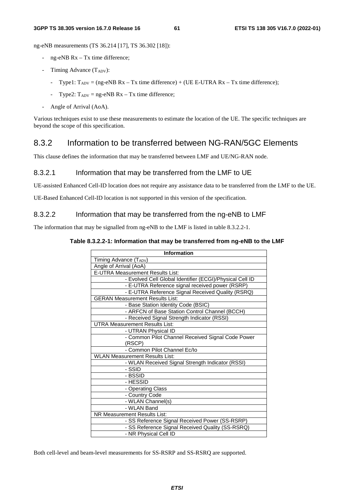ng-eNB measurements (TS 36.214 [17], TS 36.302 [18]):

- ng-eNB Rx Tx time difference;
- Timing Advance  $(T_{ADV})$ :
	- Type1:  $T_{ADV} = (ng-eNB Rx Tx$  time difference) + (UE E-UTRA  $Rx Tx$  time difference);
	- Type2:  $T_{ADV}$  = ng-eNB Rx Tx time difference;
- Angle of Arrival (AoA).

Various techniques exist to use these measurements to estimate the location of the UE. The specific techniques are beyond the scope of this specification.

## 8.3.2 Information to be transferred between NG-RAN/5GC Elements

This clause defines the information that may be transferred between LMF and UE/NG-RAN node.

## 8.3.2.1 Information that may be transferred from the LMF to UE

UE-assisted Enhanced Cell-ID location does not require any assistance data to be transferred from the LMF to the UE.

UE-Based Enhanced Cell-ID location is not supported in this version of the specification.

### 8.3.2.2 Information that may be transferred from the ng-eNB to LMF

The information that may be signalled from ng-eNB to the LMF is listed in table 8.3.2.2-1.

#### **Table 8.3.2.2-1: Information that may be transferred from ng-eNB to the LMF**

| <b>Information</b>                                       |
|----------------------------------------------------------|
| Timing Advance (TADV)                                    |
| Angle of Arrival (AoA)                                   |
| <b>E-UTRA Measurement Results List:</b>                  |
| - Evolved Cell Global Identifier (ECGI)/Physical Cell ID |
| - E-UTRA Reference signal received power (RSRP)          |
| - E-UTRA Reference Signal Received Quality (RSRQ)        |
| <b>GERAN Measurement Results List:</b>                   |
| - Base Station Identity Code (BSIC)                      |
| - ARFCN of Base Station Control Channel (BCCH)           |
| - Received Signal Strength Indicator (RSSI)              |
| <b>UTRA Measurement Results List:</b>                    |
| - UTRAN Physical ID                                      |
| - Common Pilot Channel Received Signal Code Power        |
| (RSCP)                                                   |
| - Common Pilot Channel Ec/lo                             |
| <b>WLAN Measurement Results List:</b>                    |
| - WLAN Received Signal Strength Indicator (RSSI)         |
| - SSID                                                   |
| - BSSID                                                  |
| - HESSID                                                 |
| - Operating Class                                        |
| - Country Code                                           |
| - WLAN Channel(s)                                        |
| - WLAN Band                                              |
| NR Measurement Results List:                             |
| - SS Reference Signal Received Power (SS-RSRP)           |
| - SS Reference Signal Received Quality (SS-RSRQ)         |
| - NR Physical Cell ID                                    |

Both cell-level and beam-level measurements for SS-RSRP and SS-RSRQ are supported.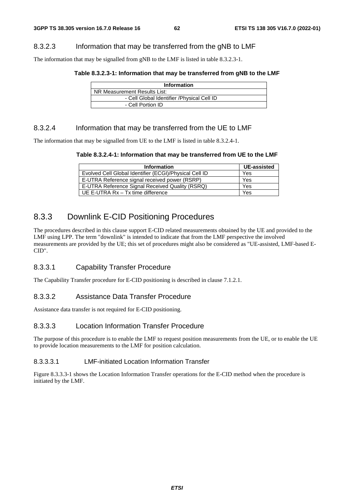## 8.3.2.3 Information that may be transferred from the gNB to LMF

The information that may be signalled from gNB to the LMF is listed in table 8.3.2.3-1.

#### **Table 8.3.2.3-1: Information that may be transferred from gNB to the LMF**

| <b>Information</b>                          |
|---------------------------------------------|
| NR Measurement Results List:                |
| - Cell Global Identifier / Physical Cell ID |
| - Cell Portion ID                           |

## 8.3.2.4 Information that may be transferred from the UE to LMF

The information that may be signalled from UE to the LMF is listed in table 8.3.2.4-1.

#### **Table 8.3.2.4-1: Information that may be transferred from UE to the LMF**

| <b>Information</b>                                     | <b>UE-assisted</b> |
|--------------------------------------------------------|--------------------|
| Evolved Cell Global Identifier (ECGI)/Physical Cell ID | Yes                |
| E-UTRA Reference signal received power (RSRP)          | Yes                |
| E-UTRA Reference Signal Received Quality (RSRQ)        | Yes                |
| UE E-UTRA Rx - Tx time difference                      | Yes                |

## 8.3.3 Downlink E-CID Positioning Procedures

The procedures described in this clause support E-CID related measurements obtained by the UE and provided to the LMF using LPP. The term "downlink" is intended to indicate that from the LMF perspective the involved measurements are provided by the UE; this set of procedures might also be considered as "UE-assisted, LMF-based E-CID".

## 8.3.3.1 Capability Transfer Procedure

The Capability Transfer procedure for E-CID positioning is described in clause 7.1.2.1.

## 8.3.3.2 Assistance Data Transfer Procedure

Assistance data transfer is not required for E-CID positioning.

## 8.3.3.3 Location Information Transfer Procedure

The purpose of this procedure is to enable the LMF to request position measurements from the UE, or to enable the UE to provide location measurements to the LMF for position calculation.

### 8.3.3.3.1 LMF-initiated Location Information Transfer

Figure 8.3.3.3-1 shows the Location Information Transfer operations for the E-CID method when the procedure is initiated by the LMF.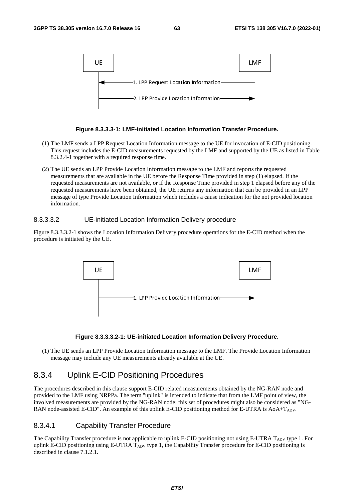

#### **Figure 8.3.3.3-1: LMF-initiated Location Information Transfer Procedure.**

- (1) The LMF sends a LPP Request Location Information message to the UE for invocation of E-CID positioning. This request includes the E-CID measurements requested by the LMF and supported by the UE as listed in Table 8.3.2.4-1 together with a required response time.
- (2) The UE sends an LPP Provide Location Information message to the LMF and reports the requested measurements that are available in the UE before the Response Time provided in step (1) elapsed. If the requested measurements are not available, or if the Response Time provided in step 1 elapsed before any of the requested measurements have been obtained, the UE returns any information that can be provided in an LPP message of type Provide Location Information which includes a cause indication for the not provided location information.

#### 8.3.3.3.2 UE-initiated Location Information Delivery procedure

Figure 8.3.3.3.2-1 shows the Location Information Delivery procedure operations for the E-CID method when the procedure is initiated by the UE.



#### **Figure 8.3.3.3.2-1: UE-initiated Location Information Delivery Procedure.**

(1) The UE sends an LPP Provide Location Information message to the LMF. The Provide Location Information message may include any UE measurements already available at the UE.

## 8.3.4 Uplink E-CID Positioning Procedures

The procedures described in this clause support E-CID related measurements obtained by the NG-RAN node and provided to the LMF using NRPPa. The term "uplink" is intended to indicate that from the LMF point of view, the involved measurements are provided by the NG-RAN node; this set of procedures might also be considered as "NG-RAN node-assisted E-CID". An example of this uplink E-CID positioning method for E-UTRA is AoA+T<sub>ADV</sub>.

### 8.3.4.1 Capability Transfer Procedure

The Capability Transfer procedure is not applicable to uplink E-CID positioning not using E-UTRA T<sub>ADV</sub> type 1. For uplink E-CID positioning using E-UTRA TADV type 1, the Capability Transfer procedure for E-CID positioning is described in clause 7.1.2.1.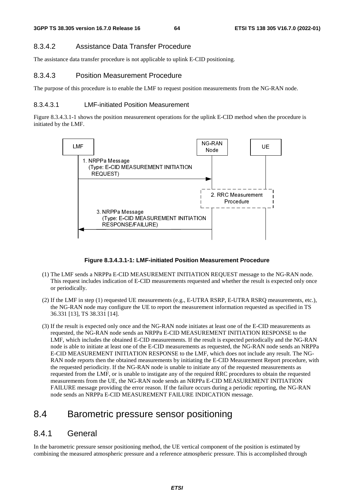## 8.3.4.2 Assistance Data Transfer Procedure

The assistance data transfer procedure is not applicable to uplink E-CID positioning.

## 8.3.4.3 Position Measurement Procedure

The purpose of this procedure is to enable the LMF to request position measurements from the NG-RAN node.

## 8.3.4.3.1 LMF-initiated Position Measurement

Figure 8.3.4.3.1-1 shows the position measurement operations for the uplink E-CID method when the procedure is initiated by the LMF.



### **Figure 8.3.4.3.1-1: LMF-initiated Position Measurement Procedure**

- (1) The LMF sends a NRPPa E-CID MEASUREMENT INITIATION REQUEST message to the NG-RAN node. This request includes indication of E-CID measurements requested and whether the result is expected only once or periodically.
- (2) If the LMF in step (1) requested UE measurements (e.g., E-UTRA RSRP, E-UTRA RSRQ measurements, etc.), the NG-RAN node may configure the UE to report the measurement information requested as specified in TS 36.331 [13], TS 38.331 [14].
- (3) If the result is expected only once and the NG-RAN node initiates at least one of the E-CID measurements as requested, the NG-RAN node sends an NRPPa E-CID MEASUREMENT INITIATION RESPONSE to the LMF, which includes the obtained E-CID measurements. If the result is expected periodically and the NG-RAN node is able to initiate at least one of the E-CID measurements as requested, the NG-RAN node sends an NRPPa E-CID MEASUREMENT INITIATION RESPONSE to the LMF, which does not include any result. The NG-RAN node reports then the obtained measurements by initiating the E-CID Measurement Report procedure, with the requested periodicity. If the NG-RAN node is unable to initiate any of the requested measurements as requested from the LMF, or is unable to instigate any of the required RRC procedures to obtain the requested measurements from the UE, the NG-RAN node sends an NRPPa E-CID MEASUREMENT INITIATION FAILURE message providing the error reason. If the failure occurs during a periodic reporting, the NG-RAN node sends an NRPPa E-CID MEASUREMENT FAILURE INDICATION message.

# 8.4 Barometric pressure sensor positioning

## 8.4.1 General

In the barometric pressure sensor positioning method, the UE vertical component of the position is estimated by combining the measured atmospheric pressure and a reference atmospheric pressure. This is accomplished through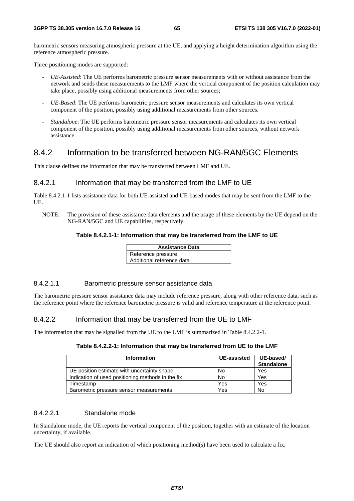barometric sensors measuring atmospheric pressure at the UE, and applying a height determination algorithm using the reference atmospheric pressure.

Three positioning modes are supported:

- *UE-Assisted*: The UE performs barometric pressure sensor measurements with or without assistance from the network and sends these measurements to the LMF where the vertical component of the position calculation may take place, possibly using additional measurements from other sources;
- *UE-Based*: The UE performs barometric pressure sensor measurements and calculates its own vertical component of the position, possibly using additional measurements from other sources.
- *Standalone*: The UE performs barometric pressure sensor measurements and calculates its own vertical component of the position, possibly using additional measurements from other sources, without network assistance.

## 8.4.2 Information to be transferred between NG-RAN/5GC Elements

This clause defines the information that may be transferred between LMF and UE.

### 8.4.2.1 Information that may be transferred from the LMF to UE

Table 8.4.2.1-1 lists assistance data for both UE-assisted and UE-based modes that may be sent from the LMF to the UE.

NOTE: The provision of these assistance data elements and the usage of these elements by the UE depend on the NG-RAN/5GC and UE capabilities, respectively.

#### **Table 8.4.2.1-1: Information that may be transferred from the LMF to UE**

| <b>Assistance Data</b>    |
|---------------------------|
| Reference pressure        |
| Additional reference data |

### 8.4.2.1.1 Barometric pressure sensor assistance data

The barometric pressure sensor assistance data may include reference pressure, along with other reference data, such as the reference point where the reference barometric pressure is valid and reference temperature at the reference point.

#### 8.4.2.2 Information that may be transferred from the UE to LMF

The information that may be signalled from the UE to the LMF is summarized in Table 8.4.2.2-1.

| Table 8.4.2.2-1: Information that may be transferred from UE to the LMF |  |  |
|-------------------------------------------------------------------------|--|--|
|-------------------------------------------------------------------------|--|--|

| <b>Information</b>                                | UE-assisted | UE-based/<br><b>Standalone</b> |
|---------------------------------------------------|-------------|--------------------------------|
| UE position estimate with uncertainty shape       | No          | Yes                            |
| Indication of used positioning methods in the fix | No          | Yes                            |
| Timestamp                                         | Yes         | Yes                            |
| Barometric pressure sensor measurements           | Yes         | No                             |

### 8.4.2.2.1 Standalone mode

In Standalone mode, the UE reports the vertical component of the position, together with an estimate of the location uncertainty, if available.

The UE should also report an indication of which positioning method(s) have been used to calculate a fix.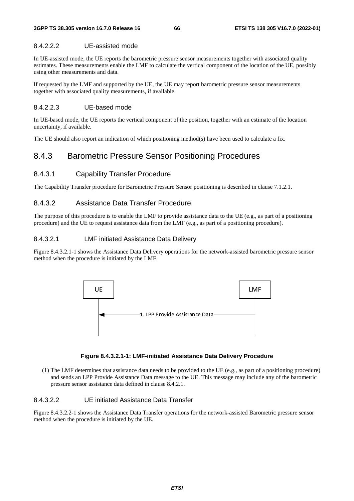## 8.4.2.2.2 UE-assisted mode

In UE-assisted mode, the UE reports the barometric pressure sensor measurements together with associated quality estimates. These measurements enable the LMF to calculate the vertical component of the location of the UE, possibly using other measurements and data.

If requested by the LMF and supported by the UE, the UE may report barometric pressure sensor measurements together with associated quality measurements, if available.

## 8.4.2.2.3 UE-based mode

In UE-based mode, the UE reports the vertical component of the position, together with an estimate of the location uncertainty, if available.

The UE should also report an indication of which positioning method(s) have been used to calculate a fix.

# 8.4.3 Barometric Pressure Sensor Positioning Procedures

## 8.4.3.1 Capability Transfer Procedure

The Capability Transfer procedure for Barometric Pressure Sensor positioning is described in clause 7.1.2.1.

## 8.4.3.2 Assistance Data Transfer Procedure

The purpose of this procedure is to enable the LMF to provide assistance data to the UE (e.g., as part of a positioning procedure) and the UE to request assistance data from the LMF (e.g., as part of a positioning procedure).

## 8.4.3.2.1 LMF initiated Assistance Data Delivery

Figure 8.4.3.2.1-1 shows the Assistance Data Delivery operations for the network-assisted barometric pressure sensor method when the procedure is initiated by the LMF.



### **Figure 8.4.3.2.1-1: LMF-initiated Assistance Data Delivery Procedure**

(1) The LMF determines that assistance data needs to be provided to the UE (e.g., as part of a positioning procedure) and sends an LPP Provide Assistance Data message to the UE. This message may include any of the barometric pressure sensor assistance data defined in clause 8.4.2.1.

## 8.4.3.2.2 UE initiated Assistance Data Transfer

Figure 8.4.3.2.2-1 shows the Assistance Data Transfer operations for the network-assisted Barometric pressure sensor method when the procedure is initiated by the UE.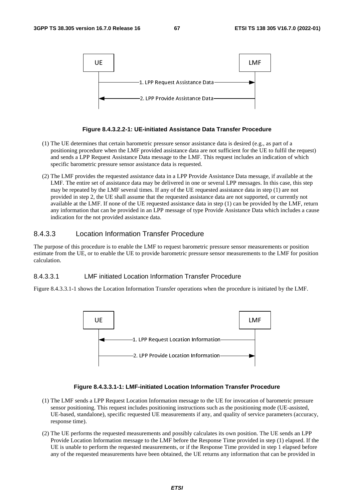

#### **Figure 8.4.3.2.2-1: UE-initiated Assistance Data Transfer Procedure**

- (1) The UE determines that certain barometric pressure sensor assistance data is desired (e.g., as part of a positioning procedure when the LMF provided assistance data are not sufficient for the UE to fulfil the request) and sends a LPP Request Assistance Data message to the LMF. This request includes an indication of which specific barometric pressure sensor assistance data is requested.
- (2) The LMF provides the requested assistance data in a LPP Provide Assistance Data message, if available at the LMF. The entire set of assistance data may be delivered in one or several LPP messages. In this case, this step may be repeated by the LMF several times. If any of the UE requested assistance data in step (1) are not provided in step 2, the UE shall assume that the requested assistance data are not supported, or currently not available at the LMF. If none of the UE requested assistance data in step (1) can be provided by the LMF, return any information that can be provided in an LPP message of type Provide Assistance Data which includes a cause indication for the not provided assistance data.

## 8.4.3.3 Location Information Transfer Procedure

The purpose of this procedure is to enable the LMF to request barometric pressure sensor measurements or position estimate from the UE, or to enable the UE to provide barometric pressure sensor measurements to the LMF for position calculation.

### 8.4.3.3.1 LMF initiated Location Information Transfer Procedure

Figure 8.4.3.3.1-1 shows the Location Information Transfer operations when the procedure is initiated by the LMF.



#### **Figure 8.4.3.3.1-1: LMF-initiated Location Information Transfer Procedure**

- (1) The LMF sends a LPP Request Location Information message to the UE for invocation of barometric pressure sensor positioning. This request includes positioning instructions such as the positioning mode (UE-assisted, UE-based, standalone), specific requested UE measurements if any, and quality of service parameters (accuracy, response time).
- (2) The UE performs the requested measurements and possibly calculates its own position. The UE sends an LPP Provide Location Information message to the LMF before the Response Time provided in step (1) elapsed. If the UE is unable to perform the requested measurements, or if the Response Time provided in step 1 elapsed before any of the requested measurements have been obtained, the UE returns any information that can be provided in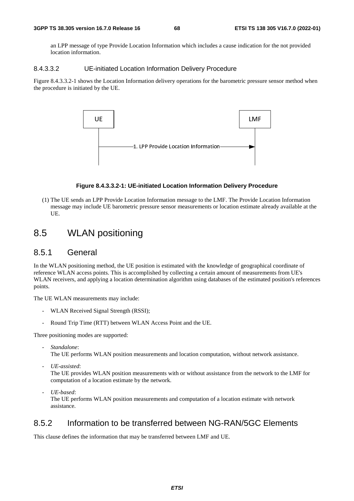an LPP message of type Provide Location Information which includes a cause indication for the not provided location information.

### 8.4.3.3.2 UE-initiated Location Information Delivery Procedure

Figure 8.4.3.3.2-1 shows the Location Information delivery operations for the barometric pressure sensor method when the procedure is initiated by the UE.



#### **Figure 8.4.3.3.2-1: UE-initiated Location Information Delivery Procedure**

(1) The UE sends an LPP Provide Location Information message to the LMF. The Provide Location Information message may include UE barometric pressure sensor measurements or location estimate already available at the UE.

# 8.5 WLAN positioning

## 8.5.1 General

In the WLAN positioning method, the UE position is estimated with the knowledge of geographical coordinate of reference WLAN access points. This is accomplished by collecting a certain amount of measurements from UE's WLAN receivers, and applying a location determination algorithm using databases of the estimated position's references points.

The UE WLAN measurements may include:

- WLAN Received Signal Strength (RSSI);
- Round Trip Time (RTT) between WLAN Access Point and the UE.

Three positioning modes are supported:

- *Standalone*:

The UE performs WLAN position measurements and location computation, without network assistance.

- *UE-assisted*:

The UE provides WLAN position measurements with or without assistance from the network to the LMF for computation of a location estimate by the network.

- *UE-based*:

The UE performs WLAN position measurements and computation of a location estimate with network assistance.

## 8.5.2 Information to be transferred between NG-RAN/5GC Elements

This clause defines the information that may be transferred between LMF and UE.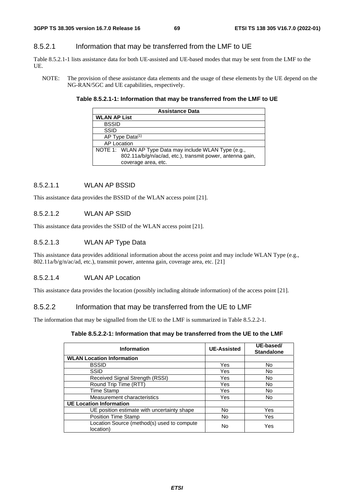## 8.5.2.1 Information that may be transferred from the LMF to UE

Table 8.5.2.1-1 lists assistance data for both UE-assisted and UE-based modes that may be sent from the LMF to the UE.

NOTE: The provision of these assistance data elements and the usage of these elements by the UE depend on the NG-RAN/5GC and UE capabilities, respectively.

#### **Table 8.5.2.1-1: Information that may be transferred from the LMF to UE**

| <b>Assistance Data</b>                                                                                                                     |  |  |
|--------------------------------------------------------------------------------------------------------------------------------------------|--|--|
| <b>WLAN AP List</b>                                                                                                                        |  |  |
| <b>BSSID</b>                                                                                                                               |  |  |
| <b>SSID</b>                                                                                                                                |  |  |
| AP Type Data <sup>(1)</sup>                                                                                                                |  |  |
| <b>AP Location</b>                                                                                                                         |  |  |
| NOTE 1: WLAN AP Type Data may include WLAN Type (e.g.,<br>802.11a/b/g/n/ac/ad, etc.), transmit power, antenna gain,<br>coverage area, etc. |  |  |

#### 8.5.2.1.1 WLAN AP BSSID

This assistance data provides the BSSID of the WLAN access point [21].

### 8.5.2.1.2 WLAN AP SSID

This assistance data provides the SSID of the WLAN access point [21].

### 8.5.2.1.3 WLAN AP Type Data

This assistance data provides additional information about the access point and may include WLAN Type (e.g., 802.11a/b/g/n/ac/ad, etc.), transmit power, antenna gain, coverage area, etc. [21]

### 8.5.2.1.4 WLAN AP Location

This assistance data provides the location (possibly including altitude information) of the access point [21].

### 8.5.2.2 Information that may be transferred from the UE to LMF

The information that may be signalled from the UE to the LMF is summarized in Table 8.5.2.2-1.

#### **Table 8.5.2.2-1: Information that may be transferred from the UE to the LMF**

| <b>Information</b>                                      | <b>UE-Assisted</b> | UE-based/<br><b>Standalone</b> |
|---------------------------------------------------------|--------------------|--------------------------------|
| <b>WLAN Location Information</b>                        |                    |                                |
| <b>BSSID</b>                                            | Yes                | No.                            |
| <b>SSID</b>                                             | Yes                | No                             |
| Received Signal Strength (RSSI)                         | Yes                | <b>No</b>                      |
| Round Trip Time (RTT)                                   | Yes                | <b>No</b>                      |
| Time Stamp                                              | Yes                | No                             |
| Measurement characteristics                             | Yes                | <b>No</b>                      |
| <b>UE Location Information</b>                          |                    |                                |
| UE position estimate with uncertainty shape             | <b>No</b>          | Yes                            |
| <b>Position Time Stamp</b>                              | No                 | Yes                            |
| Location Source (method(s) used to compute<br>location) | No                 | Yes                            |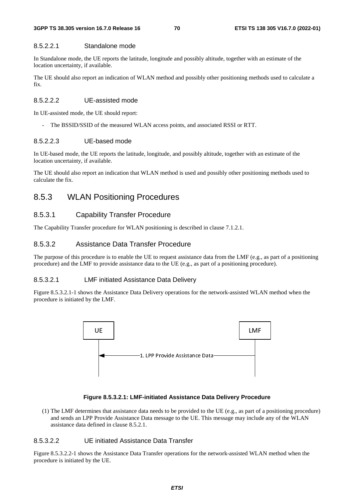#### 8.5.2.2.1 Standalone mode

In Standalone mode, the UE reports the latitude, longitude and possibly altitude, together with an estimate of the location uncertainty, if available.

The UE should also report an indication of WLAN method and possibly other positioning methods used to calculate a fix.

### 8.5.2.2.2 UE-assisted mode

In UE-assisted mode, the UE should report:

The BSSID/SSID of the measured WLAN access points, and associated RSSI or RTT.

#### 8.5.2.2.3 UE-based mode

In UE-based mode, the UE reports the latitude, longitude, and possibly altitude, together with an estimate of the location uncertainty, if available.

The UE should also report an indication that WLAN method is used and possibly other positioning methods used to calculate the fix.

## 8.5.3 WLAN Positioning Procedures

#### 8.5.3.1 Capability Transfer Procedure

The Capability Transfer procedure for WLAN positioning is described in clause 7.1.2.1.

## 8.5.3.2 Assistance Data Transfer Procedure

The purpose of this procedure is to enable the UE to request assistance data from the LMF (e.g., as part of a positioning procedure) and the LMF to provide assistance data to the UE (e.g., as part of a positioning procedure).

#### 8.5.3.2.1 LMF initiated Assistance Data Delivery

Figure 8.5.3.2.1-1 shows the Assistance Data Delivery operations for the network-assisted WLAN method when the procedure is initiated by the LMF.



#### **Figure 8.5.3.2.1: LMF-initiated Assistance Data Delivery Procedure**

(1) The LMF determines that assistance data needs to be provided to the UE (e.g., as part of a positioning procedure) and sends an LPP Provide Assistance Data message to the UE. This message may include any of the WLAN assistance data defined in clause 8.5.2.1.

#### 8.5.3.2.2 UE initiated Assistance Data Transfer

Figure 8.5.3.2.2-1 shows the Assistance Data Transfer operations for the network-assisted WLAN method when the procedure is initiated by the UE.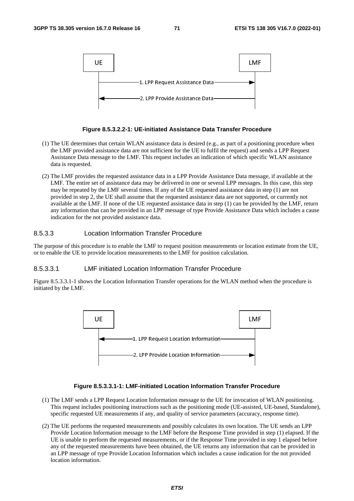

#### **Figure 8.5.3.2.2-1: UE-initiated Assistance Data Transfer Procedure**

- (1) The UE determines that certain WLAN assistance data is desired (e.g., as part of a positioning procedure when the LMF provided assistance data are not sufficient for the UE to fulfil the request) and sends a LPP Request Assistance Data message to the LMF. This request includes an indication of which specific WLAN assistance data is requested.
- (2) The LMF provides the requested assistance data in a LPP Provide Assistance Data message, if available at the LMF. The entire set of assistance data may be delivered in one or several LPP messages. In this case, this step may be repeated by the LMF several times. If any of the UE requested assistance data in step (1) are not provided in step 2, the UE shall assume that the requested assistance data are not supported, or currently not available at the LMF. If none of the UE requested assistance data in step (1) can be provided by the LMF, return any information that can be provided in an LPP message of type Provide Assistance Data which includes a cause indication for the not provided assistance data.

### 8.5.3.3 Location Information Transfer Procedure

The purpose of this procedure is to enable the LMF to request position measurements or location estimate from the UE, or to enable the UE to provide location measurements to the LMF for position calculation.

#### 8.5.3.3.1 LMF initiated Location Information Transfer Procedure

Figure 8.5.3.3.1-1 shows the Location Information Transfer operations for the WLAN method when the procedure is initiated by the LMF.



#### **Figure 8.5.3.3.1-1: LMF-initiated Location Information Transfer Procedure**

- (1) The LMF sends a LPP Request Location Information message to the UE for invocation of WLAN positioning. This request includes positioning instructions such as the positioning mode (UE-assisted, UE-based, Standalone), specific requested UE measurements if any, and quality of service parameters (accuracy, response time).
- (2) The UE performs the requested measurements and possibly calculates its own location. The UE sends an LPP Provide Location Information message to the LMF before the Response Time provided in step (1) elapsed. If the UE is unable to perform the requested measurements, or if the Response Time provided in step 1 elapsed before any of the requested measurements have been obtained, the UE returns any information that can be provided in an LPP message of type Provide Location Information which includes a cause indication for the not provided location information.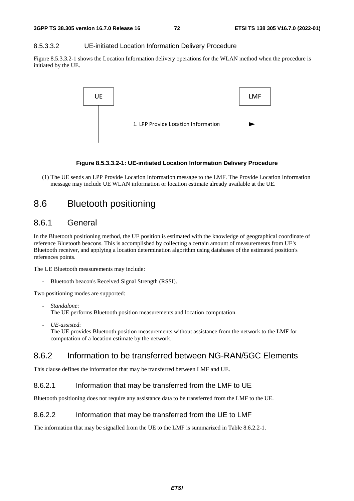#### 8.5.3.3.2 UE-initiated Location Information Delivery Procedure

Figure 8.5.3.3.2-1 shows the Location Information delivery operations for the WLAN method when the procedure is initiated by the UE.



#### **Figure 8.5.3.3.2-1: UE-initiated Location Information Delivery Procedure**

(1) The UE sends an LPP Provide Location Information message to the LMF. The Provide Location Information message may include UE WLAN information or location estimate already available at the UE.

# 8.6 Bluetooth positioning

# 8.6.1 General

In the Bluetooth positioning method, the UE position is estimated with the knowledge of geographical coordinate of reference Bluetooth beacons. This is accomplished by collecting a certain amount of measurements from UE's Bluetooth receiver, and applying a location determination algorithm using databases of the estimated position's references points.

The UE Bluetooth measurements may include:

- Bluetooth beacon's Received Signal Strength (RSSI).

Two positioning modes are supported:

- *Standalone*: The UE performs Bluetooth position measurements and location computation.
- *UE-assisted*: The UE provides Bluetooth position measurements without assistance from the network to the LMF for computation of a location estimate by the network.

# 8.6.2 Information to be transferred between NG-RAN/5GC Elements

This clause defines the information that may be transferred between LMF and UE.

### 8.6.2.1 Information that may be transferred from the LMF to UE

Bluetooth positioning does not require any assistance data to be transferred from the LMF to the UE.

#### 8.6.2.2 Information that may be transferred from the UE to LMF

The information that may be signalled from the UE to the LMF is summarized in Table 8.6.2.2-1.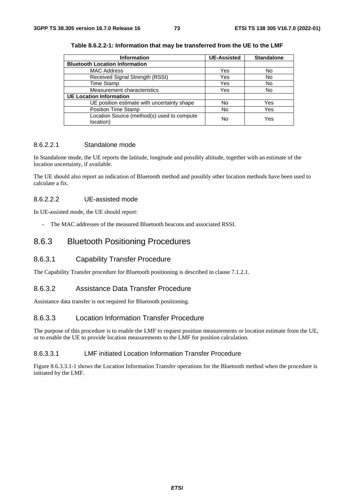| <b>Information</b>                                      | <b>UE-Assisted</b> | <b>Standalone</b> |
|---------------------------------------------------------|--------------------|-------------------|
| <b>Bluetooth Location Information</b>                   |                    |                   |
| <b>MAC Address</b>                                      | Yes                | No                |
| Received Signal Strength (RSSI)                         | Yes                | No                |
| <b>Time Stamp</b>                                       | Yes                | No                |
| Measurement characteristics                             | Yes                | No                |
| <b>UE Location Information</b>                          |                    |                   |
| UE position estimate with uncertainty shape             | No                 | Yes               |
| <b>Position Time Stamp</b>                              | No                 | Yes               |
| Location Source (method(s) used to compute<br>location) | No                 | Yes               |

**Table 8.6.2.2-1: Information that may be transferred from the UE to the LMF** 

#### 8.6.2.2.1 Standalone mode

In Standalone mode, the UE reports the latitude, longitude and possibly altitude, together with an estimate of the location uncertainty, if available.

The UE should also report an indication of Bluetooth method and possibly other location methods have been used to calculate a fix.

### 8.6.2.2.2 UE-assisted mode

In UE-assisted mode, the UE should report:

- The MAC addresses of the measured Bluetooth beacons and associated RSSI.

# 8.6.3 Bluetooth Positioning Procedures

## 8.6.3.1 Capability Transfer Procedure

The Capability Transfer procedure for Bluetooth positioning is described in clause 7.1.2.1.

#### 8.6.3.2 Assistance Data Transfer Procedure

Assistance data transfer is not required for Bluetooth positioning.

# 8.6.3.3 Location Information Transfer Procedure

The purpose of this procedure is to enable the LMF to request position measurements or location estimate from the UE, or to enable the UE to provide location measurements to the LMF for position calculation.

### 8.6.3.3.1 LMF initiated Location Information Transfer Procedure

Figure 8.6.3.3.1-1 shows the Location Information Transfer operations for the Bluetooth method when the procedure is initiated by the LMF.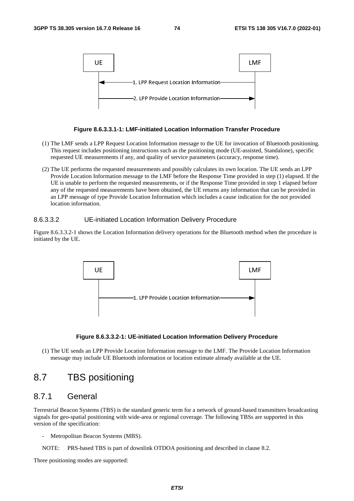

#### **Figure 8.6.3.3.1-1: LMF-initiated Location Information Transfer Procedure**

- (1) The LMF sends a LPP Request Location Information message to the UE for invocation of Bluetooth positioning. This request includes positioning instructions such as the positioning mode (UE-assisted, Standalone), specific requested UE measurements if any, and quality of service parameters (accuracy, response time).
- (2) The UE performs the requested measurements and possibly calculates its own location. The UE sends an LPP Provide Location Information message to the LMF before the Response Time provided in step (1) elapsed. If the UE is unable to perform the requested measurements, or if the Response Time provided in step 1 elapsed before any of the requested measurements have been obtained, the UE returns any information that can be provided in an LPP message of type Provide Location Information which includes a cause indication for the not provided location information.

### 8.6.3.3.2 UE-initiated Location Information Delivery Procedure

Figure 8.6.3.3.2-1 shows the Location Information delivery operations for the Bluetooth method when the procedure is initiated by the UE.



#### **Figure 8.6.3.3.2-1: UE-initiated Location Information Delivery Procedure**

(1) The UE sends an LPP Provide Location Information message to the LMF. The Provide Location Information message may include UE Bluetooth information or location estimate already available at the UE.

# 8.7 TBS positioning

# 8.7.1 General

Terrestrial Beacon Systems (TBS) is the standard generic term for a network of ground-based transmitters broadcasting signals for geo-spatial positioning with wide-area or regional coverage. The following TBSs are supported in this version of the specification:

- Metropolitan Beacon Systems (MBS).
- NOTE: PRS-based TBS is part of downlink OTDOA positioning and described in clause 8.2.

Three positioning modes are supported: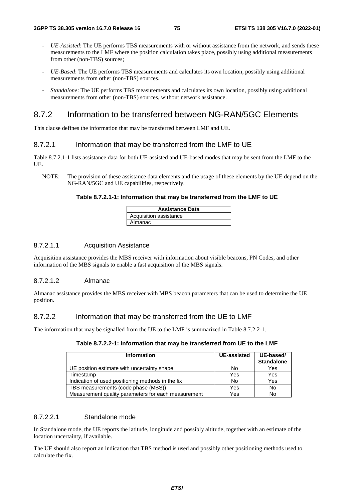- UE-Assisted: The UE performs TBS measurements with or without assistance from the network, and sends these measurements to the LMF where the position calculation takes place, possibly using additional measurements from other (non-TBS) sources;
- *UE-Based*: The UE performs TBS measurements and calculates its own location, possibly using additional measurements from other (non-TBS) sources.
- *Standalone*: The UE performs TBS measurements and calculates its own location, possibly using additional measurements from other (non-TBS) sources, without network assistance.

# 8.7.2 Information to be transferred between NG-RAN/5GC Elements

This clause defines the information that may be transferred between LMF and UE.

#### 8.7.2.1 Information that may be transferred from the LMF to UE

Table 8.7.2.1-1 lists assistance data for both UE-assisted and UE-based modes that may be sent from the LMF to the UE.

NOTE: The provision of these assistance data elements and the usage of these elements by the UE depend on the NG-RAN/5GC and UE capabilities, respectively.

#### **Table 8.7.2.1-1: Information that may be transferred from the LMF to UE**

| <b>Assistance Data</b> |
|------------------------|
| Acquisition assistance |
| Almanac                |

#### 8.7.2.1.1 Acquisition Assistance

Acquisition assistance provides the MBS receiver with information about visible beacons, PN Codes, and other information of the MBS signals to enable a fast acquisition of the MBS signals.

#### 8.7.2.1.2 Almanac

Almanac assistance provides the MBS receiver with MBS beacon parameters that can be used to determine the UE position.

### 8.7.2.2 Information that may be transferred from the UE to LMF

The information that may be signalled from the UE to the LMF is summarized in Table 8.7.2.2-1.

| <b>Information</b>                                  | <b>UE-assisted</b> | UE-based/<br><b>Standalone</b> |
|-----------------------------------------------------|--------------------|--------------------------------|
| UE position estimate with uncertainty shape         | No                 | Yes                            |
| Timestamp                                           | Yes                | Yes                            |
| Indication of used positioning methods in the fix   | No                 | Yes                            |
| TBS measurements (code phase (MBS))                 | Yes                | <b>No</b>                      |
| Measurement quality parameters for each measurement | Yes                | No                             |

### 8.7.2.2.1 Standalone mode

In Standalone mode, the UE reports the latitude, longitude and possibly altitude, together with an estimate of the location uncertainty, if available.

The UE should also report an indication that TBS method is used and possibly other positioning methods used to calculate the fix.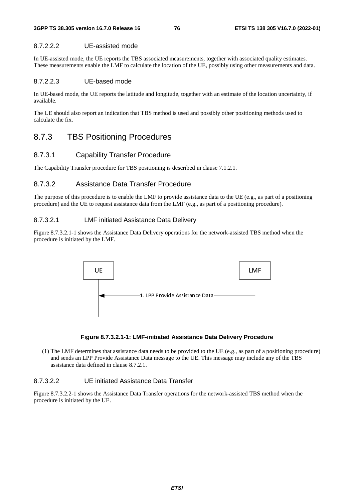# 8.7.2.2.2 UE-assisted mode

In UE-assisted mode, the UE reports the TBS associated measurements, together with associated quality estimates. These measurements enable the LMF to calculate the location of the UE, possibly using other measurements and data.

### 8.7.2.2.3 UE-based mode

In UE-based mode, the UE reports the latitude and longitude, together with an estimate of the location uncertainty, if available.

The UE should also report an indication that TBS method is used and possibly other positioning methods used to calculate the fix.

# 8.7.3 TBS Positioning Procedures

# 8.7.3.1 Capability Transfer Procedure

The Capability Transfer procedure for TBS positioning is described in clause 7.1.2.1.

# 8.7.3.2 Assistance Data Transfer Procedure

The purpose of this procedure is to enable the LMF to provide assistance data to the UE (e.g., as part of a positioning procedure) and the UE to request assistance data from the LMF (e.g., as part of a positioning procedure).

# 8.7.3.2.1 LMF initiated Assistance Data Delivery

Figure 8.7.3.2.1-1 shows the Assistance Data Delivery operations for the network-assisted TBS method when the procedure is initiated by the LMF.



#### **Figure 8.7.3.2.1-1: LMF-initiated Assistance Data Delivery Procedure**

(1) The LMF determines that assistance data needs to be provided to the UE (e.g., as part of a positioning procedure) and sends an LPP Provide Assistance Data message to the UE. This message may include any of the TBS assistance data defined in clause 8.7.2.1.

# 8.7.3.2.2 UE initiated Assistance Data Transfer

Figure 8.7.3.2.2-1 shows the Assistance Data Transfer operations for the network-assisted TBS method when the procedure is initiated by the UE.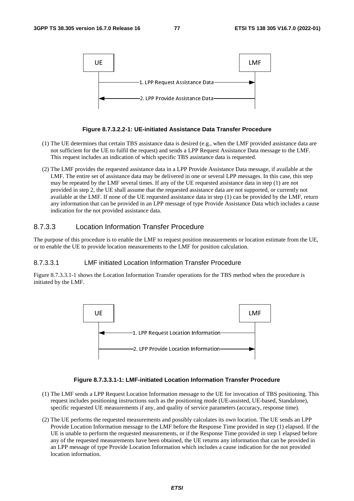

#### **Figure 8.7.3.2.2-1: UE-initiated Assistance Data Transfer Procedure**

- (1) The UE determines that certain TBS assistance data is desired (e.g., when the LMF provided assistance data are not sufficient for the UE to fulfil the request) and sends a LPP Request Assistance Data message to the LMF. This request includes an indication of which specific TBS assistance data is requested.
- (2) The LMF provides the requested assistance data in a LPP Provide Assistance Data message, if available at the LMF. The entire set of assistance data may be delivered in one or several LPP messages. In this case, this step may be repeated by the LMF several times. If any of the UE requested assistance data in step (1) are not provided in step 2, the UE shall assume that the requested assistance data are not supported, or currently not available at the LMF. If none of the UE requested assistance data in step (1) can be provided by the LMF, return any information that can be provided in an LPP message of type Provide Assistance Data which includes a cause indication for the not provided assistance data.

# 8.7.3.3 Location Information Transfer Procedure

The purpose of this procedure is to enable the LMF to request position measurements or location estimate from the UE, or to enable the UE to provide location measurements to the LMF for position calculation.

### 8.7.3.3.1 LMF initiated Location Information Transfer Procedure

Figure 8.7.3.3.1-1 shows the Location Information Transfer operations for the TBS method when the procedure is initiated by the LMF.



#### **Figure 8.7.3.3.1-1: LMF-initiated Location Information Transfer Procedure**

- (1) The LMF sends a LPP Request Location Information message to the UE for invocation of TBS positioning. This request includes positioning instructions such as the positioning mode (UE-assisted, UE-based, Standalone), specific requested UE measurements if any, and quality of service parameters (accuracy, response time).
- (2) The UE performs the requested measurements and possibly calculates its own location. The UE sends an LPP Provide Location Information message to the LMF before the Response Time provided in step (1) elapsed. If the UE is unable to perform the requested measurements, or if the Response Time provided in step 1 elapsed before any of the requested measurements have been obtained, the UE returns any information that can be provided in an LPP message of type Provide Location Information which includes a cause indication for the not provided location information.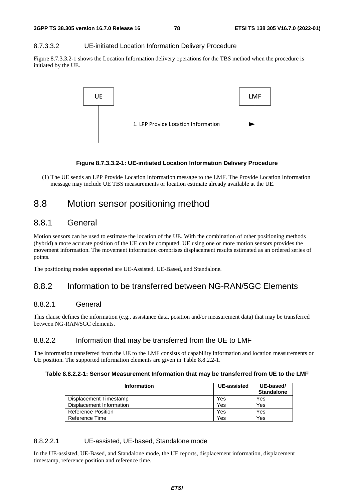#### 8.7.3.3.2 UE-initiated Location Information Delivery Procedure

Figure 8.7.3.3.2-1 shows the Location Information delivery operations for the TBS method when the procedure is initiated by the UE.



#### **Figure 8.7.3.3.2-1: UE-initiated Location Information Delivery Procedure**

(1) The UE sends an LPP Provide Location Information message to the LMF. The Provide Location Information message may include UE TBS measurements or location estimate already available at the UE.

# 8.8 Motion sensor positioning method

# 8.8.1 General

Motion sensors can be used to estimate the location of the UE. With the combination of other positioning methods (hybrid) a more accurate position of the UE can be computed. UE using one or more motion sensors provides the movement information. The movement information comprises displacement results estimated as an ordered series of points.

The positioning modes supported are UE-Assisted, UE-Based, and Standalone*.*

# 8.8.2 Information to be transferred between NG-RAN/5GC Elements

# 8.8.2.1 General

This clause defines the information (e.g., assistance data, position and/or measurement data) that may be transferred between NG-RAN/5GC elements.

### 8.8.2.2 Information that may be transferred from the UE to LMF

The information transferred from the UE to the LMF consists of capability information and location measurements or UE position. The supported information elements are given in Table 8.8.2.2-1.

#### **Table 8.8.2.2-1: Sensor Measurement Information that may be transferred from UE to the LMF**

| <b>Information</b>        | <b>UE-assisted</b> | UE-based/<br><b>Standalone</b> |
|---------------------------|--------------------|--------------------------------|
| Displacement Timestamp    | Yes                | Yes                            |
| Displacement Information  | Yes                | Yes                            |
| <b>Reference Position</b> | Yes                | Yes                            |
| Reference Time            | Yes                | Yes                            |

#### 8.8.2.2.1 UE-assisted, UE-based, Standalone mode

In the UE-assisted, UE-Based, and Standalone mode, the UE reports, displacement information, displacement timestamp, reference position and reference time.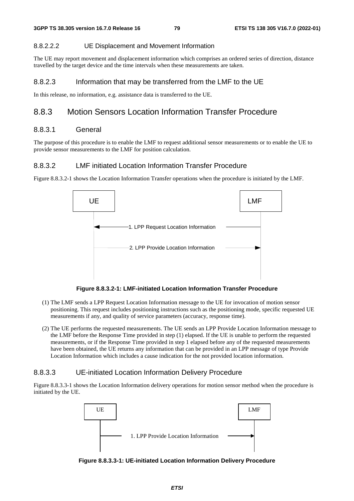#### 8.8.2.2.2 UE Displacement and Movement Information

The UE may report movement and displacement information which comprises an ordered series of direction, distance travelled by the target device and the time intervals when these measurements are taken.

#### 8.8.2.3 Information that may be transferred from the LMF to the UE

In this release, no information, e.g. assistance data is transferred to the UE.

# 8.8.3 Motion Sensors Location Information Transfer Procedure

# 8.8.3.1 General

The purpose of this procedure is to enable the LMF to request additional sensor measurements or to enable the UE to provide sensor measurements to the LMF for position calculation.

### 8.8.3.2 LMF initiated Location Information Transfer Procedure

Figure 8.8.3.2-1 shows the Location Information Transfer operations when the procedure is initiated by the LMF.



**Figure 8.8.3.2-1: LMF-initiated Location Information Transfer Procedure** 

- (1) The LMF sends a LPP Request Location Information message to the UE for invocation of motion sensor positioning. This request includes positioning instructions such as the positioning mode, specific requested UE measurements if any, and quality of service parameters (accuracy, response time).
- (2) The UE performs the requested measurements. The UE sends an LPP Provide Location Information message to the LMF before the Response Time provided in step (1) elapsed. If the UE is unable to perform the requested measurements, or if the Response Time provided in step 1 elapsed before any of the requested measurements have been obtained, the UE returns any information that can be provided in an LPP message of type Provide Location Information which includes a cause indication for the not provided location information.

#### 8.8.3.3 UE-initiated Location Information Delivery Procedure

Figure 8.8.3.3-1 shows the Location Information delivery operations for motion sensor method when the procedure is initiated by the UE.



**Figure 8.8.3.3-1: UE-initiated Location Information Delivery Procedure**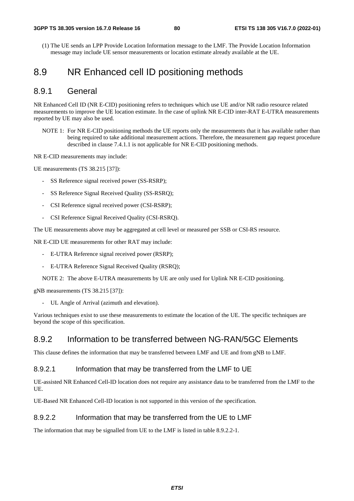(1) The UE sends an LPP Provide Location Information message to the LMF. The Provide Location Information message may include UE sensor measurements or location estimate already available at the UE.

# 8.9 NR Enhanced cell ID positioning methods

# 8.9.1 General

NR Enhanced Cell ID (NR E-CID) positioning refers to techniques which use UE and/or NR radio resource related measurements to improve the UE location estimate. In the case of uplink NR E-CID inter-RAT E-UTRA measurements reported by UE may also be used.

NOTE 1: For NR E-CID positioning methods the UE reports only the measurements that it has available rather than being required to take additional measurement actions. Therefore, the measurement gap request procedure described in clause 7.4.1.1 is not applicable for NR E-CID positioning methods.

NR E-CID measurements may include:

UE measurements (TS 38.215 [37]):

- SS Reference signal received power (SS-RSRP);
- SS Reference Signal Received Quality (SS-RSRQ);
- CSI Reference signal received power (CSI-RSRP);
- CSI Reference Signal Received Quality (CSI-RSRQ).

The UE measurements above may be aggregated at cell level or measured per SSB or CSI-RS resource.

NR E-CID UE measurements for other RAT may include:

- E-UTRA Reference signal received power (RSRP);
- E-UTRA Reference Signal Received Quality (RSRQ);

NOTE 2: The above E-UTRA measurements by UE are only used for Uplink NR E-CID positioning.

gNB measurements (TS 38.215 [37]):

- UL Angle of Arrival (azimuth and elevation).

Various techniques exist to use these measurements to estimate the location of the UE. The specific techniques are beyond the scope of this specification.

# 8.9.2 Information to be transferred between NG-RAN/5GC Elements

This clause defines the information that may be transferred between LMF and UE and from gNB to LMF.

### 8.9.2.1 Information that may be transferred from the LMF to UE

UE-assisted NR Enhanced Cell-ID location does not require any assistance data to be transferred from the LMF to the UE.

UE-Based NR Enhanced Cell-ID location is not supported in this version of the specification.

# 8.9.2.2 Information that may be transferred from the UE to LMF

The information that may be signalled from UE to the LMF is listed in table 8.9.2.2-1.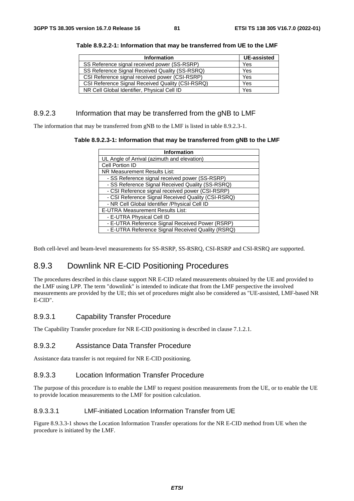| <b>Information</b>                               | <b>UE-assisted</b> |
|--------------------------------------------------|--------------------|
| SS Reference signal received power (SS-RSRP)     | Yes                |
| SS Reference Signal Received Quality (SS-RSRQ)   | Yes                |
| CSI Reference signal received power (CSI-RSRP)   | Yes                |
| CSI Reference Signal Received Quality (CSI-RSRQ) | Yes                |
| NR Cell Global Identifier, Physical Cell ID      | Yes                |

**Table 8.9.2.2-1: Information that may be transferred from UE to the LMF** 

### 8.9.2.3 Information that may be transferred from the gNB to LMF

The information that may be transferred from gNB to the LMF is listed in table 8.9.2.3-1.

**Table 8.9.2.3-1: Information that may be transferred from gNB to the LMF** 

| <b>Information</b>                                 |
|----------------------------------------------------|
| UL Angle of Arrival (azimuth and elevation)        |
| Cell Portion ID                                    |
| NR Measurement Results List:                       |
| - SS Reference signal received power (SS-RSRP)     |
| - SS Reference Signal Received Quality (SS-RSRQ)   |
| - CSI Reference signal received power (CSI-RSRP)   |
| - CSI Reference Signal Received Quality (CSI-RSRQ) |
| - NR Cell Global Identifier / Physical Cell ID     |
| <b>E-UTRA Measurement Results List:</b>            |
| - E-UTRA Physical Cell ID                          |
| - E-UTRA Reference Signal Received Power (RSRP)    |
| - E-UTRA Reference Signal Received Quality (RSRQ)  |

Both cell-level and beam-level measurements for SS-RSRP, SS-RSRQ, CSI-RSRP and CSI-RSRQ are supported.

# 8.9.3 Downlink NR E-CID Positioning Procedures

The procedures described in this clause support NR E-CID related measurements obtained by the UE and provided to the LMF using LPP. The term "downlink" is intended to indicate that from the LMF perspective the involved measurements are provided by the UE; this set of procedures might also be considered as "UE-assisted, LMF-based NR E-CID".

# 8.9.3.1 Capability Transfer Procedure

The Capability Transfer procedure for NR E-CID positioning is described in clause 7.1.2.1.

### 8.9.3.2 Assistance Data Transfer Procedure

Assistance data transfer is not required for NR E-CID positioning.

# 8.9.3.3 Location Information Transfer Procedure

The purpose of this procedure is to enable the LMF to request position measurements from the UE, or to enable the UE to provide location measurements to the LMF for position calculation.

#### 8.9.3.3.1 LMF-initiated Location Information Transfer from UE

Figure 8.9.3.3-1 shows the Location Information Transfer operations for the NR E-CID method from UE when the procedure is initiated by the LMF.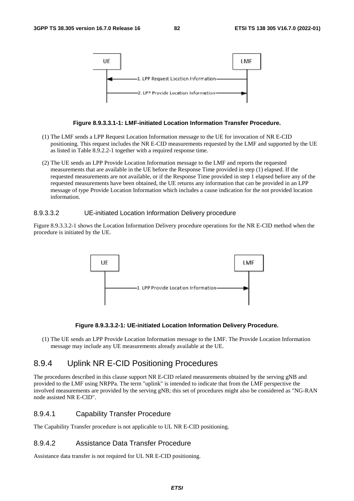

### **Figure 8.9.3.3.1-1: LMF-initiated Location Information Transfer Procedure.**

- (1) The LMF sends a LPP Request Location Information message to the UE for invocation of NR E-CID positioning. This request includes the NR E-CID measurements requested by the LMF and supported by the UE as listed in Table 8.9.2.2-1 together with a required response time.
- (2) The UE sends an LPP Provide Location Information message to the LMF and reports the requested measurements that are available in the UE before the Response Time provided in step (1) elapsed. If the requested measurements are not available, or if the Response Time provided in step 1 elapsed before any of the requested measurements have been obtained, the UE returns any information that can be provided in an LPP message of type Provide Location Information which includes a cause indication for the not provided location information.

#### 8.9.3.3.2 UE-initiated Location Information Delivery procedure

Figure 8.9.3.3.2-1 shows the Location Information Delivery procedure operations for the NR E-CID method when the procedure is initiated by the UE.



#### **Figure 8.9.3.3.2-1: UE-initiated Location Information Delivery Procedure.**

(1) The UE sends an LPP Provide Location Information message to the LMF. The Provide Location Information message may include any UE measurements already available at the UE.

# 8.9.4 Uplink NR E-CID Positioning Procedures

The procedures described in this clause support NR E-CID related measurements obtained by the serving gNB and provided to the LMF using NRPPa. The term "uplink" is intended to indicate that from the LMF perspective the involved measurements are provided by the serving gNB; this set of procedures might also be considered as "NG-RAN node assisted NR E-CID".

# 8.9.4.1 Capability Transfer Procedure

The Capability Transfer procedure is not applicable to UL NR E-CID positioning.

# 8.9.4.2 Assistance Data Transfer Procedure

Assistance data transfer is not required for UL NR E-CID positioning.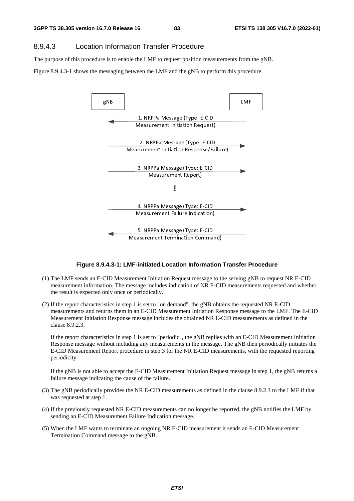# 8.9.4.3 Location Information Transfer Procedure

The purpose of this procedure is to enable the LMF to request position measurements from the gNB.

Figure 8.9.4.3-1 shows the messaging between the LMF and the gNB to perform this procedure.



#### **Figure 8.9.4.3-1: LMF-initiated Location Information Transfer Procedure**

- (1) The LMF sends an E-CID Measurement Initiation Request message to the serving gNB to request NR E-CID measurement information. The message includes indication of NR E-CID measurements requested and whether the result is expected only once or periodically.
- (2) If the report characteristics in step 1 is set to "on demand", the gNB obtains the requested NR E-CID measurements and returns them in an E-CID Measurement Initiation Response message to the LMF. The E-CID Measurement Initiation Response message includes the obtained NR E-CID measurements as defined in the clause 8.9.2.3.

If the report characteristics in step 1 is set to "periodic", the gNB replies with an E-CID Measurement Initiation Response message without including any measurements in the message. The gNB then periodically initiates the E-CID Measurement Report procedure in step 3 for the NR E-CID measurements, with the requested reporting periodicity.

If the gNB is not able to accept the E-CID Measurement Initiation Request message in step 1, the gNB returns a failure message indicating the cause of the failure.

- (3) The gNB periodically provides the NR E-CID measurements as defined in the clause 8.9.2.3 to the LMF if that was requested at step 1.
- (4) If the previously requested NR E-CID measurements can no longer be reported, the gNB notifies the LMF by sending an E-CID Measurement Failure Indication message.
- (5) When the LMF wants to terminate an ongoing NR E-CID measurement it sends an E-CID Measurement Termination Command message to the gNB.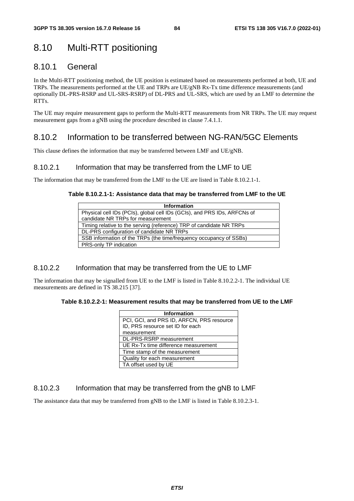# 8.10 Multi-RTT positioning

# 8.10.1 General

In the Multi-RTT positioning method, the UE position is estimated based on measurements performed at both, UE and TRPs. The measurements performed at the UE and TRPs are UE/gNB Rx-Tx time difference measurements (and optionally DL-PRS-RSRP and UL-SRS-RSRP) of DL-PRS and UL-SRS, which are used by an LMF to determine the RTTs.

The UE may require measurement gaps to perform the Multi-RTT measurements from NR TRPs. The UE may request measurement gaps from a gNB using the procedure described in clause 7.4.1.1.

# 8.10.2 Information to be transferred between NG-RAN/5GC Elements

This clause defines the information that may be transferred between LMF and UE/gNB.

# 8.10.2.1 Information that may be transferred from the LMF to UE

The information that may be transferred from the LMF to the UE are listed in Table 8.10.2.1-1.

### **Table 8.10.2.1-1: Assistance data that may be transferred from LMF to the UE**

| <b>Information</b>                                                       |
|--------------------------------------------------------------------------|
| Physical cell IDs (PCIs), global cell IDs (GCIs), and PRS IDs, ARFCNs of |
| candidate NR TRPs for measurement                                        |
| Timing relative to the serving (reference) TRP of candidate NR TRPs      |
| DL-PRS configuration of candidate NR TRPs                                |
| SSB information of the TRPs (the time/frequency occupancy of SSBs)       |
| PRS-only TP indication                                                   |

# 8.10.2.2 Information that may be transferred from the UE to LMF

The information that may be signalled from UE to the LMF is listed in Table 8.10.2.2-1. The individual UE measurements are defined in TS 38.215 [37].

#### **Table 8.10.2.2-1: Measurement results that may be transferred from UE to the LMF**

| <b>Information</b>                        |
|-------------------------------------------|
| PCI, GCI, and PRS ID, ARFCN, PRS resource |
| ID, PRS resource set ID for each          |
| measurement                               |
| DL-PRS-RSRP measurement                   |
| UE Rx-Tx time difference measurement      |
| Time stamp of the measurement             |
| Quality for each measurement              |
| TA offset used by UE                      |

# 8.10.2.3 Information that may be transferred from the gNB to LMF

The assistance data that may be transferred from gNB to the LMF is listed in Table 8.10.2.3-1.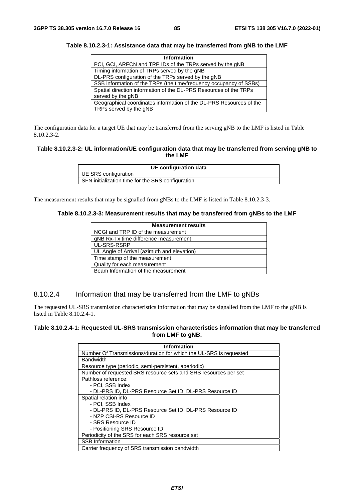| <b>Information</b>                                                  |
|---------------------------------------------------------------------|
| PCI, GCI, ARFCN and TRP IDs of the TRPs served by the gNB           |
| Timing information of TRPs served by the gNB                        |
| DL-PRS configuration of the TRPs served by the gNB                  |
| SSB information of the TRPs (the time/frequency occupancy of SSBs)  |
| Spatial direction information of the DL-PRS Resources of the TRPs   |
| served by the gNB                                                   |
| Geographical coordinates information of the DL-PRS Resources of the |
| TRPs served by the gNB                                              |

**Table 8.10.2.3-1: Assistance data that may be transferred from gNB to the LMF** 

The configuration data for a target UE that may be transferred from the serving gNB to the LMF is listed in Table  $8.10.2.3 - 2.$ 

#### **Table 8.10.2.3-2: UL information/UE configuration data that may be transferred from serving gNB to the LMF**

| UE configuration data                             |
|---------------------------------------------------|
| UE SRS configuration                              |
| SFN initialization time for the SRS configuration |

The measurement results that may be signalled from gNBs to the LMF is listed in Table 8.10.2.3-3.

#### **Table 8.10.2.3-3: Measurement results that may be transferred from gNBs to the LMF**

| <b>Measurement results</b>                  |
|---------------------------------------------|
| NCGI and TRP ID of the measurement          |
| gNB Rx-Tx time difference measurement       |
| UL-SRS-RSRP                                 |
| UL Angle of Arrival (azimuth and elevation) |
| Time stamp of the measurement               |
| Quality for each measurement                |
| Beam Information of the measurement         |

# 8.10.2.4 Information that may be transferred from the LMF to gNBs

The requested UL-SRS transmission characteristics information that may be signalled from the LMF to the gNB is listed in Table 8.10.2.4-1.

#### **Table 8.10.2.4-1: Requested UL-SRS transmission characteristics information that may be transferred from LMF to gNB.**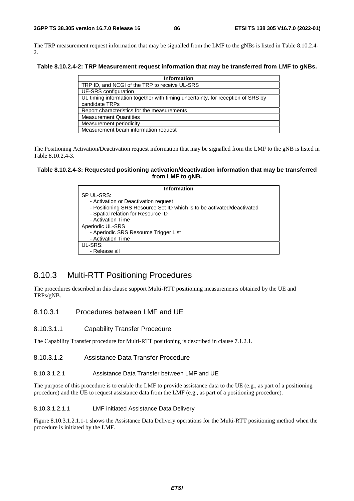The TRP measurement request information that may be signalled from the LMF to the gNBs is listed in Table 8.10.2.4- 2.

**Table 8.10.2.4-2: TRP Measurement request information that may be transferred from LMF to gNBs.** 

| <b>Information</b>                                                                                |
|---------------------------------------------------------------------------------------------------|
| TRP ID, and NCGI of the TRP to receive UL-SRS                                                     |
| UE-SRS configuration                                                                              |
| UL timing information together with timing uncertainty, for reception of SRS by<br>candidate TRPs |
| Report characteristics for the measurements                                                       |
| <b>Measurement Quantities</b>                                                                     |
| Measurement periodicity                                                                           |
| Measurement beam information request                                                              |

The Positioning Activation/Deactivation request information that may be signalled from the LMF to the gNB is listed in Table 8.10.2.4-3.

#### **Table 8.10.2.4-3: Requested positioning activation/deactivation information that may be transferred from LMF to gNB.**

| <b>Information</b>                                                     |
|------------------------------------------------------------------------|
| SP UL-SRS:                                                             |
| - Activation or Deactivation request                                   |
| - Positioning SRS Resource Set ID which is to be activated/deactivated |
| - Spatial relation for Resource ID;                                    |
| - Activation Time                                                      |
| Aperiodic UL-SRS                                                       |
| - Aperiodic SRS Resource Trigger List                                  |
| - Activation Time                                                      |
| UL-SRS:                                                                |
| - Release all                                                          |

# 8.10.3 Multi-RTT Positioning Procedures

The procedures described in this clause support Multi-RTT positioning measurements obtained by the UE and TRPs/gNB.

## 8.10.3.1 Procedures between LMF and UE

#### 8.10.3.1.1 Capability Transfer Procedure

The Capability Transfer procedure for Multi-RTT positioning is described in clause 7.1.2.1.

#### 8.10.3.1.2 Assistance Data Transfer Procedure

8.10.3.1.2.1 Assistance Data Transfer between LMF and UE

The purpose of this procedure is to enable the LMF to provide assistance data to the UE (e.g., as part of a positioning procedure) and the UE to request assistance data from the LMF (e.g., as part of a positioning procedure).

#### 8.10.3.1.2.1.1 LMF initiated Assistance Data Delivery

Figure 8.10.3.1.2.1.1-1 shows the Assistance Data Delivery operations for the Multi-RTT positioning method when the procedure is initiated by the LMF.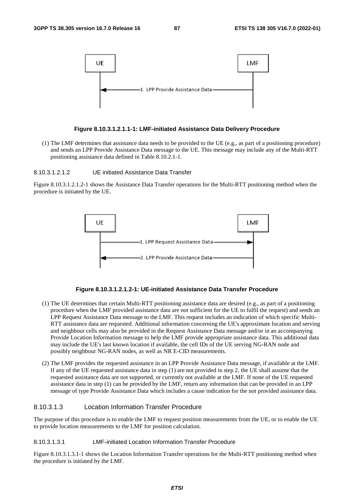

#### **Figure 8.10.3.1.2.1.1-1: LMF-initiated Assistance Data Delivery Procedure**

(1) The LMF determines that assistance data needs to be provided to the UE (e.g., as part of a positioning procedure) and sends an LPP Provide Assistance Data message to the UE. This message may include any of the Multi-RTT positioning assistance data defined in Table 8.10.2.1-1.

8.10.3.1.2.1.2 UE initiated Assistance Data Transfer

Figure 8.10.3.1.2.1.2-1 shows the Assistance Data Transfer operations for the Multi-RTT positioning method when the procedure is initiated by the UE.



#### **Figure 8.10.3.1.2.1.2-1: UE-initiated Assistance Data Transfer Procedure**

- (1) The UE determines that certain Multi-RTT positioning assistance data are desired (e.g., as part of a positioning procedure when the LMF provided assistance data are not sufficient for the UE to fulfil the request) and sends an LPP Request Assistance Data message to the LMF. This request includes an indication of which specific Multi-RTT assistance data are requested. Additional information concerning the UE's approximate location and serving and neighbour cells may also be provided in the Request Assistance Data message and/or in an accompanying Provide Location Information message to help the LMF provide appropriate assistance data. This additional data may include the UE's last known location if available, the cell IDs of the UE serving NG-RAN node and possibly neighbour NG-RAN nodes, as well as NR E-CID measurements.
- (2) The LMF provides the requested assistance in an LPP Provide Assistance Data message, if available at the LMF. If any of the UE requested assistance data in step (1) are not provided in step 2, the UE shall assume that the requested assistance data are not supported, or currently not available at the LMF. If none of the UE requested assistance data in step (1) can be provided by the LMF, return any information that can be provided in an LPP message of type Provide Assistance Data which includes a cause indication for the not provided assistance data.

### 8.10.3.1.3 Location Information Transfer Procedure

The purpose of this procedure is to enable the LMF to request position measurements from the UE, or to enable the UE to provide location measurements to the LMF for position calculation.

#### 8.10.3.1.3.1 LMF-initiated Location Information Transfer Procedure

Figure 8.10.3.1.3.1-1 shows the Location Information Transfer operations for the Multi-RTT positioning method when the procedure is initiated by the LMF.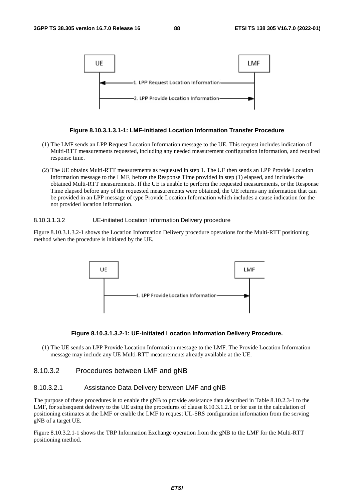

#### **Figure 8.10.3.1.3.1-1: LMF-initiated Location Information Transfer Procedure**

- (1) The LMF sends an LPP Request Location Information message to the UE. This request includes indication of Multi-RTT measurements requested, including any needed measurement configuration information, and required response time.
- (2) The UE obtains Multi-RTT measurements as requested in step 1. The UE then sends an LPP Provide Location Information message to the LMF, before the Response Time provided in step (1) elapsed, and includes the obtained Multi-RTT measurements. If the UE is unable to perform the requested measurements, or the Response Time elapsed before any of the requested measurements were obtained, the UE returns any information that can be provided in an LPP message of type Provide Location Information which includes a cause indication for the not provided location information.

#### 8.10.3.1.3.2 UE-initiated Location Information Delivery procedure

Figure 8.10.3.1.3.2-1 shows the Location Information Delivery procedure operations for the Multi-RTT positioning method when the procedure is initiated by the UE.



#### **Figure 8.10.3.1.3.2-1: UE-initiated Location Information Delivery Procedure.**

(1) The UE sends an LPP Provide Location Information message to the LMF. The Provide Location Information message may include any UE Multi-RTT measurements already available at the UE.

### 8.10.3.2 Procedures between LMF and gNB

### 8.10.3.2.1 Assistance Data Delivery between LMF and gNB

The purpose of these procedures is to enable the gNB to provide assistance data described in Table 8.10.2.3-1 to the LMF, for subsequent delivery to the UE using the procedures of clause 8.10.3.1.2.1 or for use in the calculation of positioning estimates at the LMF or enable the LMF to request UL-SRS configuration information from the serving gNB of a target UE.

Figure 8.10.3.2.1-1 shows the TRP Information Exchange operation from the gNB to the LMF for the Multi-RTT positioning method.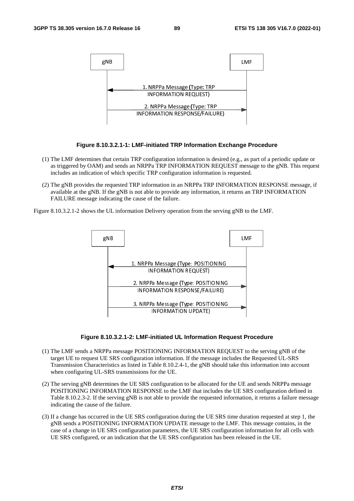

#### **Figure 8.10.3.2.1-1: LMF-initiated TRP Information Exchange Procedure**

- (1) The LMF determines that certain TRP configuration information is desired (e.g., as part of a periodic update or as triggered by OAM) and sends an NRPPa TRP INFORMATION REQUEST message to the gNB. This request includes an indication of which specific TRP configuration information is requested.
- (2) The gNB provides the requested TRP information in an NRPPa TRP INFORMATION RESPONSE message, if available at the gNB. If the gNB is not able to provide any information, it returns an TRP INFORMATION FAILURE message indicating the cause of the failure.

Figure 8.10.3.2.1-2 shows the UL information Delivery operation from the serving gNB to the LMF.



#### **Figure 8.10.3.2.1-2: LMF-initiated UL Information Request Procedure**

- (1) The LMF sends a NRPPa message POSITIONING INFORMATION REQUEST to the serving gNB of the target UE to request UE SRS configuration information. If the message includes the Requested UL-SRS Transmission Characteristics as listed in Table 8.10.2.4-1, the gNB should take this information into account when configuring UL-SRS transmissions for the UE.
- (2) The serving gNB determines the UE SRS configuration to be allocated for the UE and sends NRPPa message POSITIONING INFORMATION RESPONSE to the LMF that includes the UE SRS configuration defined in Table 8.10.2.3-2. If the serving gNB is not able to provide the requested information, it returns a failure message indicating the cause of the failure.
- (3) If a change has occurred in the UE SRS configuration during the UE SRS time duration requested at step 1, the gNB sends a POSITIONING INFORMATION UPDATE message to the LMF. This message contains, in the case of a change in UE SRS configuration parameters, the UE SRS configuration information for all cells with UE SRS configured, or an indication that the UE SRS configuration has been released in the UE.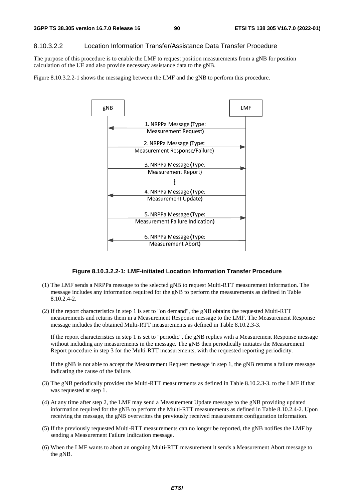#### 8.10.3.2.2 Location Information Transfer/Assistance Data Transfer Procedure

The purpose of this procedure is to enable the LMF to request position measurements from a gNB for position calculation of the UE and also provide necessary assistance data to the gNB.

Figure 8.10.3.2.2-1 shows the messaging between the LMF and the gNB to perform this procedure.



#### **Figure 8.10.3.2.2-1: LMF-initiated Location Information Transfer Procedure**

- (1) The LMF sends a NRPPa message to the selected gNB to request Multi-RTT measurement information. The message includes any information required for the gNB to perform the measurements as defined in Table 8.10.2.4-2.
- (2) If the report characteristics in step 1 is set to "on demand", the gNB obtains the requested Multi-RTT measurements and returns them in a Measurement Response message to the LMF. The Measurement Response message includes the obtained Multi-RTT measurements as defined in Table 8.10.2.3-3.

If the report characteristics in step 1 is set to "periodic", the gNB replies with a Measurement Response message without including any measurements in the message. The gNB then periodically initiates the Measurement Report procedure in step 3 for the Multi-RTT measurements, with the requested reporting periodicity.

If the gNB is not able to accept the Measurement Request message in step 1, the gNB returns a failure message indicating the cause of the failure.

- (3) The gNB periodically provides the Multi-RTT measurements as defined in Table 8.10.2.3-3. to the LMF if that was requested at step 1.
- (4) At any time after step 2, the LMF may send a Measurement Update message to the gNB providing updated information required for the gNB to perform the Multi-RTT measurements as defined in Table 8.10.2.4-2. Upon receiving the message, the gNB overwrites the previously received measurement configuration information.
- (5) If the previously requested Multi-RTT measurements can no longer be reported, the gNB notifies the LMF by sending a Measurement Failure Indication message.
- (6) When the LMF wants to abort an ongoing Multi-RTT measurement it sends a Measurement Abort message to the gNB.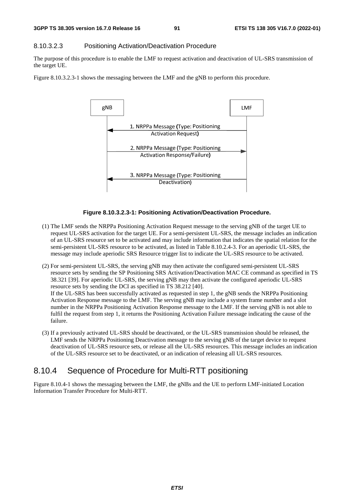#### 8.10.3.2.3 Positioning Activation/Deactivation Procedure

The purpose of this procedure is to enable the LMF to request activation and deactivation of UL-SRS transmission of the target UE.

Figure 8.10.3.2.3-1 shows the messaging between the LMF and the gNB to perform this procedure.



#### **Figure 8.10.3.2.3-1: Positioning Activation/Deactivation Procedure.**

- (1) The LMF sends the NRPPa Positioning Activation Request message to the serving gNB of the target UE to request UL-SRS activation for the target UE. For a semi-persistent UL-SRS, the message includes an indication of an UL-SRS resource set to be activated and may include information that indicates the spatial relation for the semi-persistent UL-SRS resource to be activated, as listed in Table 8.10.2.4-3. For an aperiodic UL-SRS, the message may include aperiodic SRS Resource trigger list to indicate the UL-SRS resource to be activated.
- (2) For semi-persistent UL-SRS, the serving gNB may then activate the configured semi-persistent UL-SRS resource sets by sending the SP Positioning SRS Activation/Deactivation MAC CE command as specified in TS 38.321 [39]. For aperiodic UL-SRS, the serving gNB may then activate the configured aperiodic UL-SRS resource sets by sending the DCI as specified in TS 38.212 [40]. If the UL-SRS has been successfully activated as requested in step 1, the gNB sends the NRPPa Positioning Activation Response message to the LMF. The serving gNB may include a system frame number and a slot number in the NRPPa Positioning Activation Response message to the LMF. If the serving gNB is not able to fulfil the request from step 1, it returns the Positioning Activation Failure message indicating the cause of the failure.
- (3) If a previously activated UL-SRS should be deactivated, or the UL-SRS transmission should be released, the LMF sends the NRPPa Positioning Deactivation message to the serving gNB of the target device to request deactivation of UL-SRS resource sets, or release all the UL-SRS resources. This message includes an indication of the UL-SRS resource set to be deactivated, or an indication of releasing all UL-SRS resources.

# 8.10.4 Sequence of Procedure for Multi-RTT positioning

Figure 8.10.4-1 shows the messaging between the LMF, the gNBs and the UE to perform LMF-initiated Location Information Transfer Procedure for Multi-RTT.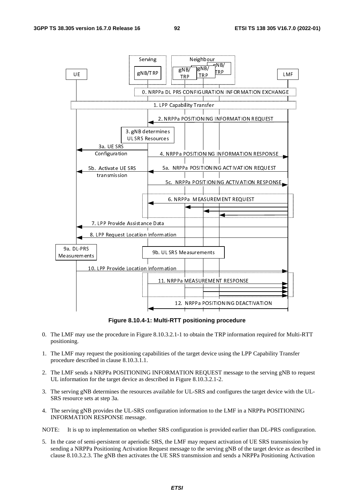

**Figure 8.10.4-1: Multi-RTT positioning procedure** 

- 0. The LMF may use the procedure in Figure 8.10.3.2.1-1 to obtain the TRP information required for Multi-RTT positioning.
- 1. The LMF may request the positioning capabilities of the target device using the LPP Capability Transfer procedure described in clause 8.10.3.1.1.
- 2. The LMF sends a NRPPa POSITIONING INFORMATION REQUEST message to the serving gNB to request UL information for the target device as described in Figure 8.10.3.2.1-2.
- 3. The serving gNB determines the resources available for UL-SRS and configures the target device with the UL-SRS resource sets at step 3a.
- 4. The serving gNB provides the UL-SRS configuration information to the LMF in a NRPPa POSITIONING INFORMATION RESPONSE message.

NOTE: It is up to implementation on whether SRS configuration is provided earlier than DL-PRS configuration.

5. In the case of semi-persistent or aperiodic SRS, the LMF may request activation of UE SRS transmission by sending a NRPPa Positioning Activation Request message to the serving gNB of the target device as described in clause 8.10.3.2.3. The gNB then activates the UE SRS transmission and sends a NRPPa Positioning Activation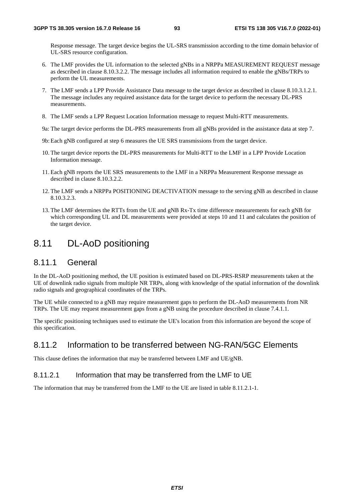Response message. The target device begins the UL-SRS transmission according to the time domain behavior of UL-SRS resource configuration.

- 6. The LMF provides the UL information to the selected gNBs in a NRPPa MEASUREMENT REQUEST message as described in clause 8.10.3.2.2. The message includes all information required to enable the gNBs/TRPs to perform the UL measurements.
- 7. The LMF sends a LPP Provide Assistance Data message to the target device as described in clause 8.10.3.1.2.1. The message includes any required assistance data for the target device to perform the necessary DL-PRS measurements.
- 8. The LMF sends a LPP Request Location Information message to request Multi-RTT measurements.
- 9a: The target device performs the DL-PRS measurements from all gNBs provided in the assistance data at step 7.
- 9b: Each gNB configured at step 6 measures the UE SRS transmissions from the target device.
- 10. The target device reports the DL-PRS measurements for Multi-RTT to the LMF in a LPP Provide Location Information message.
- 11. Each gNB reports the UE SRS measurements to the LMF in a NRPPa Measurement Response message as described in clause 8.10.3.2.2.
- 12. The LMF sends a NRPPa POSITIONING DEACTIVATION message to the serving gNB as described in clause 8.10.3.2.3.
- 13. The LMF determines the RTTs from the UE and gNB Rx-Tx time difference measurements for each gNB for which corresponding UL and DL measurements were provided at steps 10 and 11 and calculates the position of the target device.

# 8.11 DL-AoD positioning

# 8.11.1 General

In the DL-AoD positioning method, the UE position is estimated based on DL-PRS-RSRP measurements taken at the UE of downlink radio signals from multiple NR TRPs, along with knowledge of the spatial information of the downlink radio signals and geographical coordinates of the TRPs.

The UE while connected to a gNB may require measurement gaps to perform the DL-AoD measurements from NR TRPs. The UE may request measurement gaps from a gNB using the procedure described in clause 7.4.1.1.

The specific positioning techniques used to estimate the UE's location from this information are beyond the scope of this specification.

# 8.11.2 Information to be transferred between NG-RAN/5GC Elements

This clause defines the information that may be transferred between LMF and UE/gNB.

# 8.11.2.1 Information that may be transferred from the LMF to UE

The information that may be transferred from the LMF to the UE are listed in table 8.11.2.1-1.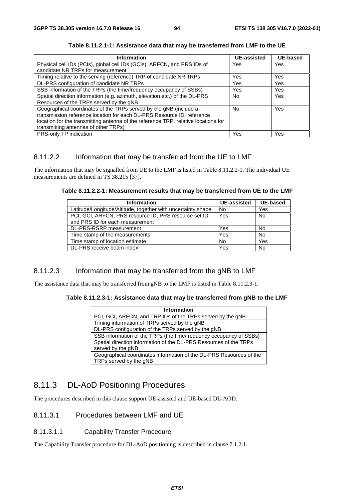| <b>Information</b>                                                                 | <b>UE-assisted</b> | <b>UE-based</b> |
|------------------------------------------------------------------------------------|--------------------|-----------------|
| Physical cell IDs (PCIs), global cell IDs (GCIs), ARFCN, and PRS IDs of            | Yes                | Yes             |
| candidate NR TRPs for measurement                                                  |                    |                 |
| Timing relative to the serving (reference) TRP of candidate NR TRPs                | Yes                | Yes             |
| DL-PRS configuration of candidate NR TRPs                                          | Yes                | Yes             |
| SSB information of the TRPs (the time/frequency occupancy of SSBs)                 | Yes                | Yes             |
| Spatial direction information (e.g. azimuth, elevation etc.) of the DL-PRS         | <b>No</b>          | Yes             |
| Resources of the TRPs served by the gNB                                            |                    |                 |
| Geographical coordinates of the TRPs served by the gNB (include a                  | <b>No</b>          | Yes             |
| transmission reference location for each DL-PRS Resource ID, reference             |                    |                 |
| location for the transmitting antenna of the reference TRP, relative locations for |                    |                 |
| transmitting antennas of other TRPs)                                               |                    |                 |
| PRS-only TP indication                                                             | Yes                | Yes             |

**Table 8.11.2.1-1: Assistance data that may be transferred from LMF to the UE** 

# 8.11.2.2 Information that may be transferred from the UE to LMF

The information that may be signalled from UE to the LMF is listed in Table 8.11.2.2-1. The individual UE measurements are defined in TS 38.215 [37].

| Table 8.11.2.2-1: Measurement results that may be transferred from UE to the LMF |  |
|----------------------------------------------------------------------------------|--|
|----------------------------------------------------------------------------------|--|

| Information                                                  | UE-assisted | <b>UE-based</b> |
|--------------------------------------------------------------|-------------|-----------------|
| Latitude/Longitude/Altitude, together with uncertainty shape | No          | Yes             |
| PCI, GCI, ARFCN, PRS resource ID, PRS resource set ID        | Yes         | <b>No</b>       |
| and PRS ID for each measurement                              |             |                 |
| DL-PRS-RSRP measurement                                      | Yes         | No              |
| Time stamp of the measurements                               | Yes         | <b>No</b>       |
| Time stamp of location estimate                              | <b>No</b>   | Yes             |
| DL-PRS receive beam index                                    | Yes         | No              |

# 8.11.2.3 Information that may be transferred from the gNB to LMF

The assistance data that may be transferred from gNB to the LMF is listed in Table 8.11.2.3-1.

### **Table 8.11.2.3-1: Assistance data that may be transferred from gNB to the LMF**

| <b>Information</b>                                                                            |
|-----------------------------------------------------------------------------------------------|
| PCI, GCI, ARFCN, and TRP IDs of the TRPs served by the gNB                                    |
| Timing information of TRPs served by the gNB                                                  |
| DL-PRS configuration of the TRPs served by the gNB                                            |
| SSB information of the TRPs (the time/frequency occupancy of SSBs)                            |
| Spatial direction information of the DL-PRS Resources of the TRPs<br>served by the gNB        |
| Geographical coordinates information of the DL-PRS Resources of the<br>TRPs served by the gNB |

# 8.11.3 DL-AoD Positioning Procedures

The procedures described in this clause support UE-assisted and UE-based DL-AOD.

# 8.11.3.1 Procedures between LMF and UE

### 8.11.3.1.1 Capability Transfer Procedure

The Capability Transfer procedure for DL-AoD positioning is described in clause 7.1.2.1.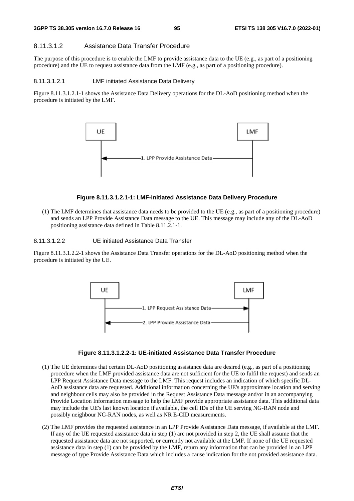#### 8.11.3.1.2 Assistance Data Transfer Procedure

The purpose of this procedure is to enable the LMF to provide assistance data to the UE (e.g., as part of a positioning procedure) and the UE to request assistance data from the LMF (e.g., as part of a positioning procedure).

#### 8.11.3.1.2.1 LMF initiated Assistance Data Delivery

Figure 8.11.3.1.2.1-1 shows the Assistance Data Delivery operations for the DL-AoD positioning method when the procedure is initiated by the LMF.



#### **Figure 8.11.3.1.2.1-1: LMF-initiated Assistance Data Delivery Procedure**

(1) The LMF determines that assistance data needs to be provided to the UE (e.g., as part of a positioning procedure) and sends an LPP Provide Assistance Data message to the UE. This message may include any of the DL-AoD positioning assistance data defined in Table 8.11.2.1-1.

8.11.3.1.2.2 UE initiated Assistance Data Transfer

Figure 8.11.3.1.2.2-1 shows the Assistance Data Transfer operations for the DL-AoD positioning method when the procedure is initiated by the UE.





- (1) The UE determines that certain DL-AoD positioning assistance data are desired (e.g., as part of a positioning procedure when the LMF provided assistance data are not sufficient for the UE to fulfil the request) and sends an LPP Request Assistance Data message to the LMF. This request includes an indication of which specific DL-AoD assistance data are requested. Additional information concerning the UE's approximate location and serving and neighbour cells may also be provided in the Request Assistance Data message and/or in an accompanying Provide Location Information message to help the LMF provide appropriate assistance data. This additional data may include the UE's last known location if available, the cell IDs of the UE serving NG-RAN node and possibly neighbour NG-RAN nodes, as well as NR E-CID measurements.
- (2) The LMF provides the requested assistance in an LPP Provide Assistance Data message, if available at the LMF. If any of the UE requested assistance data in step (1) are not provided in step 2, the UE shall assume that the requested assistance data are not supported, or currently not available at the LMF. If none of the UE requested assistance data in step (1) can be provided by the LMF, return any information that can be provided in an LPP message of type Provide Assistance Data which includes a cause indication for the not provided assistance data.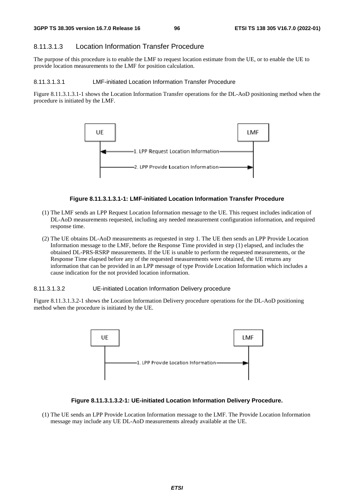# 8.11.3.1.3 Location Information Transfer Procedure

The purpose of this procedure is to enable the LMF to request location estimate from the UE, or to enable the UE to provide location measurements to the LMF for position calculation.

#### 8.11.3.1.3.1 LMF-initiated Location Information Transfer Procedure

Figure 8.11.3.1.3.1-1 shows the Location Information Transfer operations for the DL-AoD positioning method when the procedure is initiated by the LMF.



#### **Figure 8.11.3.1.3.1-1: LMF-initiated Location Information Transfer Procedure**

- (1) The LMF sends an LPP Request Location Information message to the UE. This request includes indication of DL-AoD measurements requested, including any needed measurement configuration information, and required response time.
- (2) The UE obtains DL-AoD measurements as requested in step 1. The UE then sends an LPP Provide Location Information message to the LMF, before the Response Time provided in step (1) elapsed, and includes the obtained DL-PRS-RSRP measurements. If the UE is unable to perform the requested measurements, or the Response Time elapsed before any of the requested measurements were obtained, the UE returns any information that can be provided in an LPP message of type Provide Location Information which includes a cause indication for the not provided location information.

#### 8.11.3.1.3.2 UE-initiated Location Information Delivery procedure

Figure 8.11.3.1.3.2-1 shows the Location Information Delivery procedure operations for the DL-AoD positioning method when the procedure is initiated by the UE.



#### **Figure 8.11.3.1.3.2-1: UE-initiated Location Information Delivery Procedure.**

(1) The UE sends an LPP Provide Location Information message to the LMF. The Provide Location Information message may include any UE DL-AoD measurements already available at the UE.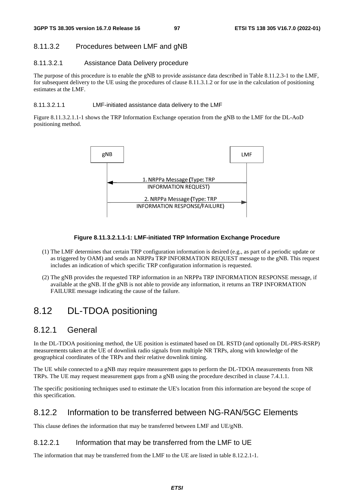# 8.11.3.2 Procedures between LMF and gNB

# 8.11.3.2.1 Assistance Data Delivery procedure

The purpose of this procedure is to enable the gNB to provide assistance data described in Table 8.11.2.3-1 to the LMF, for subsequent delivery to the UE using the procedures of clause 8.11.3.1.2 or for use in the calculation of positioning estimates at the LMF.

#### 8.11.3.2.1.1 LMF-initiated assistance data delivery to the LMF

Figure 8.11.3.2.1.1-1 shows the TRP Information Exchange operation from the gNB to the LMF for the DL-AoD positioning method.



### **Figure 8.11.3.2.1.1-1: LMF-initiated TRP Information Exchange Procedure**

- (1) The LMF determines that certain TRP configuration information is desired (e.g., as part of a periodic update or as triggered by OAM) and sends an NRPPa TRP INFORMATION REQUEST message to the gNB. This request includes an indication of which specific TRP configuration information is requested.
- (2) The gNB provides the requested TRP information in an NRPPa TRP INFORMATION RESPONSE message, if available at the gNB. If the gNB is not able to provide any information, it returns an TRP INFORMATION FAILURE message indicating the cause of the failure.

# 8.12 DL-TDOA positioning

# 8.12.1 General

In the DL-TDOA positioning method, the UE position is estimated based on DL RSTD (and optionally DL-PRS-RSRP) measurements taken at the UE of downlink radio signals from multiple NR TRPs, along with knowledge of the geographical coordinates of the TRPs and their relative downlink timing.

The UE while connected to a gNB may require measurement gaps to perform the DL-TDOA measurements from NR TRPs. The UE may request measurement gaps from a gNB using the procedure described in clause 7.4.1.1.

The specific positioning techniques used to estimate the UE's location from this information are beyond the scope of this specification.

# 8.12.2 Information to be transferred between NG-RAN/5GC Elements

This clause defines the information that may be transferred between LMF and UE/gNB.

# 8.12.2.1 Information that may be transferred from the LMF to UE

The information that may be transferred from the LMF to the UE are listed in table 8.12.2.1-1.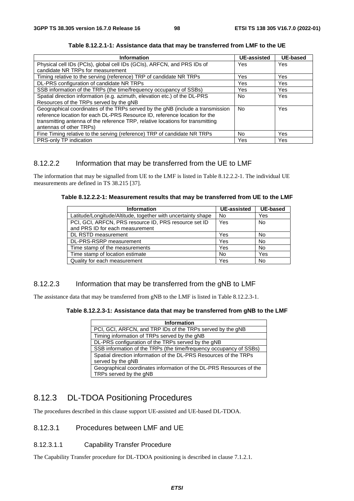| <b>Information</b>                                                             | <b>UE-assisted</b> | <b>UE-based</b> |
|--------------------------------------------------------------------------------|--------------------|-----------------|
| Physical cell IDs (PCIs), global cell IDs (GCIs), ARFCN, and PRS IDs of        | Yes                | Yes             |
| candidate NR TRPs for measurement                                              |                    |                 |
| Timing relative to the serving (reference) TRP of candidate NR TRPs            | Yes                | Yes             |
| DL-PRS configuration of candidate NR TRPs                                      | Yes                | Yes             |
| SSB information of the TRPs (the time/frequency occupancy of SSBs)             | Yes                | Yes.            |
| Spatial direction information (e.g. azimuth, elevation etc.) of the DL-PRS     | No.                | <b>Yes</b>      |
| Resources of the TRPs served by the gNB                                        |                    |                 |
| Geographical coordinates of the TRPs served by the gNB (include a transmission | No.                | <b>Yes</b>      |
| reference location for each DL-PRS Resource ID, reference location for the     |                    |                 |
| transmitting antenna of the reference TRP, relative locations for transmitting |                    |                 |
| antennas of other TRPs)                                                        |                    |                 |
| Fine Timing relative to the serving (reference) TRP of candidate NR TRPs       | No.                | <b>Yes</b>      |
| PRS-only TP indication                                                         | Yes                | Yes             |

**Table 8.12.2.1-1: Assistance data that may be transferred from LMF to the UE** 

# 8.12.2.2 Information that may be transferred from the UE to LMF

The information that may be signalled from UE to the LMF is listed in Table 8.12.2.2-1. The individual UE measurements are defined in TS 38.215 [37].

| Information                                                  | <b>UE-assisted</b> | UE-based  |
|--------------------------------------------------------------|--------------------|-----------|
| Latitude/Longitude/Altitude, together with uncertainty shape | No                 | Yes       |
| PCI, GCI, ARFCN, PRS resource ID, PRS resource set ID        | Yes                | <b>No</b> |
| and PRS ID for each measurement                              |                    |           |
| DL RSTD measurement                                          | Yes                | No        |
| DL-PRS-RSRP measurement                                      | Yes                | <b>No</b> |
| Time stamp of the measurements                               | Yes                | No        |
| Time stamp of location estimate                              | No                 | Yes       |
| Quality for each measurement                                 | Yes                | <b>No</b> |

# 8.12.2.3 Information that may be transferred from the gNB to LMF

The assistance data that may be transferred from gNB to the LMF is listed in Table 8.12.2.3-1.

### **Table 8.12.2.3-1: Assistance data that may be transferred from gNB to the LMF**

| Information                                                                                   |
|-----------------------------------------------------------------------------------------------|
| PCI, GCI, ARFCN, and TRP IDs of the TRPs served by the gNB                                    |
| Timing information of TRPs served by the gNB                                                  |
| DL-PRS configuration of the TRPs served by the gNB                                            |
| SSB information of the TRPs (the time/frequency occupancy of SSBs)                            |
| Spatial direction information of the DL-PRS Resources of the TRPs<br>served by the gNB        |
| Geographical coordinates information of the DL-PRS Resources of the<br>TRPs served by the gNB |

# 8.12.3 DL-TDOA Positioning Procedures

The procedures described in this clause support UE-assisted and UE-based DL-TDOA.

## 8.12.3.1 Procedures between LMF and UE

8.12.3.1.1 Capability Transfer Procedure

The Capability Transfer procedure for DL-TDOA positioning is described in clause 7.1.2.1.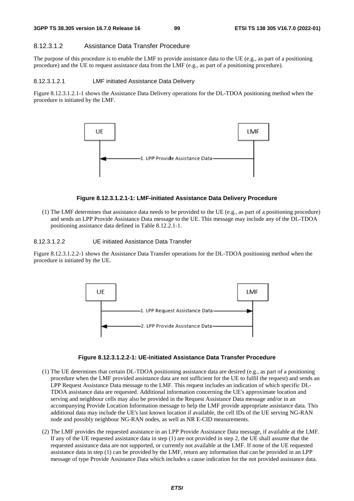#### 8.12.3.1.2 Assistance Data Transfer Procedure

The purpose of this procedure is to enable the LMF to provide assistance data to the UE (e.g., as part of a positioning procedure) and the UE to request assistance data from the LMF (e.g., as part of a positioning procedure).

#### 8.12.3.1.2.1 LMF initiated Assistance Data Delivery

Figure 8.12.3.1.2.1-1 shows the Assistance Data Delivery operations for the DL-TDOA positioning method when the procedure is initiated by the LMF.



#### **Figure 8.12.3.1.2.1-1: LMF-initiated Assistance Data Delivery Procedure**

(1) The LMF determines that assistance data needs to be provided to the UE (e.g., as part of a positioning procedure) and sends an LPP Provide Assistance Data message to the UE. This message may include any of the DL-TDOA positioning assistance data defined in Table 8.12.2.1-1.

8.12.3.1.2.2 UE initiated Assistance Data Transfer

Figure 8.12.3.1.2.2-1 shows the Assistance Data Transfer operations for the DL-TDOA positioning method when the procedure is initiated by the UE.



#### **Figure 8.12.3.1.2.2-1: UE-initiated Assistance Data Transfer Procedure**

- (1) The UE determines that certain DL-TDOA positioning assistance data are desired (e.g., as part of a positioning procedure when the LMF provided assistance data are not sufficient for the UE to fulfil the request) and sends an LPP Request Assistance Data message to the LMF. This request includes an indication of which specific DL-TDOA assistance data are requested. Additional information concerning the UE's approximate location and serving and neighbour cells may also be provided in the Request Assistance Data message and/or in an accompanying Provide Location Information message to help the LMF provide appropriate assistance data. This additional data may include the UE's last known location if available, the cell IDs of the UE serving NG-RAN node and possibly neighbour NG-RAN nodes, as well as NR E-CID measurements.
- (2) The LMF provides the requested assistance in an LPP Provide Assistance Data message, if available at the LMF. If any of the UE requested assistance data in step (1) are not provided in step 2, the UE shall assume that the requested assistance data are not supported, or currently not available at the LMF. If none of the UE requested assistance data in step (1) can be provided by the LMF, return any information that can be provided in an LPP message of type Provide Assistance Data which includes a cause indication for the not provided assistance data.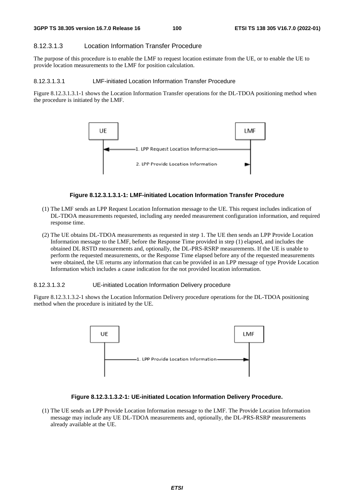### 8.12.3.1.3 Location Information Transfer Procedure

The purpose of this procedure is to enable the LMF to request location estimate from the UE, or to enable the UE to provide location measurements to the LMF for position calculation.

#### 8.12.3.1.3.1 LMF-initiated Location Information Transfer Procedure

Figure 8.12.3.1.3.1-1 shows the Location Information Transfer operations for the DL-TDOA positioning method when the procedure is initiated by the LMF.



#### **Figure 8.12.3.1.3.1-1: LMF-initiated Location Information Transfer Procedure**

- (1) The LMF sends an LPP Request Location Information message to the UE. This request includes indication of DL-TDOA measurements requested, including any needed measurement configuration information, and required response time.
- (2) The UE obtains DL-TDOA measurements as requested in step 1. The UE then sends an LPP Provide Location Information message to the LMF, before the Response Time provided in step (1) elapsed, and includes the obtained DL RSTD measurements and, optionally, the DL-PRS-RSRP measurements. If the UE is unable to perform the requested measurements, or the Response Time elapsed before any of the requested measurements were obtained, the UE returns any information that can be provided in an LPP message of type Provide Location Information which includes a cause indication for the not provided location information.

### 8.12.3.1.3.2 UE-initiated Location Information Delivery procedure

Figure 8.12.3.1.3.2-1 shows the Location Information Delivery procedure operations for the DL-TDOA positioning method when the procedure is initiated by the UE.



#### **Figure 8.12.3.1.3.2-1: UE-initiated Location Information Delivery Procedure.**

(1) The UE sends an LPP Provide Location Information message to the LMF. The Provide Location Information message may include any UE DL-TDOA measurements and, optionally, the DL-PRS-RSRP measurements already available at the UE.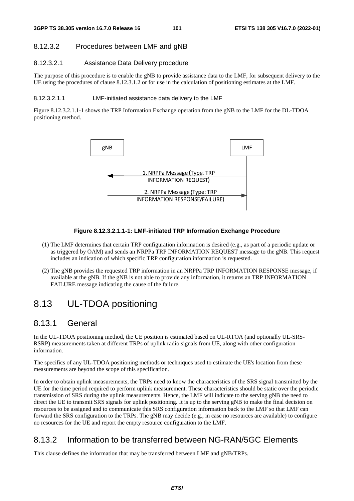# 8.12.3.2 Procedures between LMF and gNB

#### 8.12.3.2.1 Assistance Data Delivery procedure

The purpose of this procedure is to enable the gNB to provide assistance data to the LMF, for subsequent delivery to the UE using the procedures of clause 8.12.3.1.2 or for use in the calculation of positioning estimates at the LMF.

#### 8.12.3.2.1.1 LMF-initiated assistance data delivery to the LMF

Figure 8.12.3.2.1.1-1 shows the TRP Information Exchange operation from the gNB to the LMF for the DL-TDOA positioning method.



#### **Figure 8.12.3.2.1.1-1: LMF-initiated TRP Information Exchange Procedure**

- (1) The LMF determines that certain TRP configuration information is desired (e.g., as part of a periodic update or as triggered by OAM) and sends an NRPPa TRP INFORMATION REQUEST message to the gNB. This request includes an indication of which specific TRP configuration information is requested.
- (2) The gNB provides the requested TRP information in an NRPPa TRP INFORMATION RESPONSE message, if available at the gNB. If the gNB is not able to provide any information, it returns an TRP INFORMATION FAILURE message indicating the cause of the failure.

# 8.13 UL-TDOA positioning

# 8.13.1 General

In the UL-TDOA positioning method, the UE position is estimated based on UL-RTOA (and optionally UL-SRS-RSRP) measurements taken at different TRPs of uplink radio signals from UE, along with other configuration information.

The specifics of any UL-TDOA positioning methods or techniques used to estimate the UE's location from these measurements are beyond the scope of this specification.

In order to obtain uplink measurements, the TRPs need to know the characteristics of the SRS signal transmitted by the UE for the time period required to perform uplink measurement. These characteristics should be static over the periodic transmission of SRS during the uplink measurements. Hence, the LMF will indicate to the serving gNB the need to direct the UE to transmit SRS signals for uplink positioning. It is up to the serving gNB to make the final decision on resources to be assigned and to communicate this SRS configuration information back to the LMF so that LMF can forward the SRS configuration to the TRPs. The gNB may decide (e.g., in case no resources are available) to configure no resources for the UE and report the empty resource configuration to the LMF.

# 8.13.2 Information to be transferred between NG-RAN/5GC Elements

This clause defines the information that may be transferred between LMF and gNB/TRPs.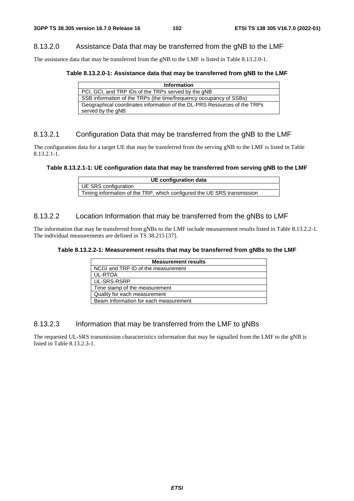# 8.13.2.0 Assistance Data that may be transferred from the gNB to the LMF

The assistance data that may be transferred from the gNB to the LMF is listed in Table 8.13.2.0-1.

#### **Table 8.13.2.0-1: Assistance data that may be transferred from gNB to the LMF**

| <b>Information</b>                                                       |
|--------------------------------------------------------------------------|
| PCI, GCI, and TRP IDs of the TRPs served by the gNB                      |
| SSB information of the TRPs (the time/frequency occupancy of SSBs)       |
| Geographical coordinates information of the DL-PRS Resources of the TRPs |
| served by the gNB                                                        |

# 8.13.2.1 Configuration Data that may be transferred from the gNB to the LMF

The configuration data for a target UE that may be transferred from the serving gNB to the LMF is listed in Table 8.13.2.1-1.

#### **Table 8.13.2.1-1: UE configuration data that may be transferred from serving gNB to the LMF**

| UE configuration data                                                   |
|-------------------------------------------------------------------------|
| UE SRS configuration                                                    |
| Timing information of the TRP, which configured the UE SRS transmission |

## 8.13.2.2 Location Information that may be transferred from the gNBs to LMF

The information that may be transferred from gNBs to the LMF include measurement results listed in Table 8.13.2.2-1. The individual measurements are defined in TS 38.215 [37].

#### **Table 8.13.2.2-1: Measurement results that may be transferred from gNBs to the LMF**

| <b>Measurement results</b>            |
|---------------------------------------|
| NCGI and TRP ID of the measurement    |
| <b>UL-RTOA</b>                        |
| UL-SRS-RSRP                           |
| Time stamp of the measurement         |
| Quality for each measurement          |
| Beam Information for each measurement |

### 8.13.2.3 Information that may be transferred from the LMF to gNBs

The requested UL-SRS transmission characteristics information that may be signalled from the LMF to the gNB is listed in Table 8.13.2.3-1.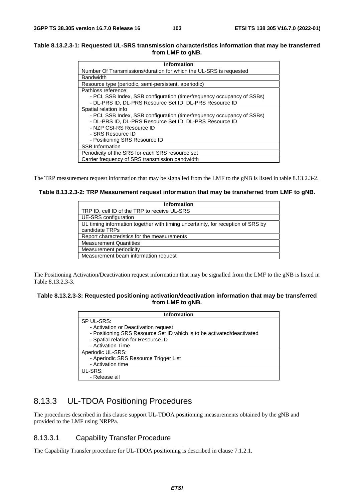#### **Table 8.13.2.3-1: Requested UL-SRS transmission characteristics information that may be transferred from LMF to gNB.**

| <b>Information</b>                                                     |
|------------------------------------------------------------------------|
| Number Of Transmissions/duration for which the UL-SRS is requested     |
| <b>Bandwidth</b>                                                       |
| Resource type (periodic, semi-persistent, aperiodic)                   |
| Pathloss reference:                                                    |
| - PCI, SSB Index, SSB configuration (time/frequency occupancy of SSBs) |
| - DL-PRS ID, DL-PRS Resource Set ID, DL-PRS Resource ID                |
| Spatial relation info                                                  |
| - PCI, SSB Index, SSB configuration (time/frequency occupancy of SSBs) |
| - DL-PRS ID, DL-PRS Resource Set ID, DL-PRS Resource ID                |
| - NZP CSI-RS Resource ID                                               |
| - SRS Resource ID                                                      |
| - Positioning SRS Resource ID                                          |
| <b>SSB Information</b>                                                 |
| Periodicity of the SRS for each SRS resource set                       |
| Carrier frequency of SRS transmission bandwidth                        |

The TRP measurement request information that may be signalled from the LMF to the gNB is listed in table 8.13.2.3-2.

**Table 8.13.2.3-2: TRP Measurement request information that may be transferred from LMF to gNB.** 

| <b>Information</b>                                                                                |
|---------------------------------------------------------------------------------------------------|
| TRP ID, cell ID of the TRP to receive UL-SRS                                                      |
| UE-SRS configuration                                                                              |
| UL timing information together with timing uncertainty, for reception of SRS by<br>candidate TRPs |
| Report characteristics for the measurements                                                       |
| <b>Measurement Quantities</b>                                                                     |
| Measurement periodicity                                                                           |
| Measurement beam information request                                                              |

The Positioning Activation/Deactivation request information that may be signalled from the LMF to the gNB is listed in Table 8.13.2.3-3.

#### **Table 8.13.2.3-3: Requested positioning activation/deactivation information that may be transferred from LMF to gNB.**

| <b>Information</b>                                                     |
|------------------------------------------------------------------------|
| SP UL-SRS:                                                             |
| - Activation or Deactivation request                                   |
| - Positioning SRS Resource Set ID which is to be activated/deactivated |
| - Spatial relation for Resource ID;                                    |
| - Activation Time                                                      |
| Aperiodic UL-SRS:                                                      |
| - Aperiodic SRS Resource Trigger List                                  |
| - Activation time                                                      |
| UL-SRS:                                                                |
| - Release all                                                          |

# 8.13.3 UL-TDOA Positioning Procedures

The procedures described in this clause support UL-TDOA positioning measurements obtained by the gNB and provided to the LMF using NRPPa.

# 8.13.3.1 Capability Transfer Procedure

The Capability Transfer procedure for UL-TDOA positioning is described in clause 7.1.2.1.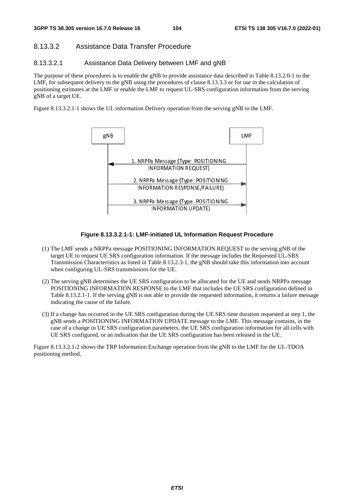# 8.13.3.2 Assistance Data Transfer Procedure

### 8.13.3.2.1 Assistance Data Delivery between LMF and gNB

The purpose of these procedures is to enable the gNB to provide assistance data described in Table 8.13.2.0-1 to the LMF, for subsequent delivery to the gNB using the procedures of clause 8.13.3.3 or for use in the calculation of positioning estimates at the LMF or enable the LMF to request UL-SRS configuration information from the serving gNB of a target UE.

Figure 8.13.3.2.1-1 shows the UL information Delivery operation from the serving gNB to the LMF.



#### **Figure 8.13.3.2.1-1: LMF-initiated UL Information Request Procedure**

- (1) The LMF sends a NRPPa message POSITIONING INFORMATION REQUEST to the serving gNB of the target UE to request UE SRS configuration information. If the message includes the Requested UL-SRS Transmission Characteristics as listed in Table 8.13.2.3-1, the gNB should take this information into account when configuring UL-SRS transmissions for the UE.
- (2) The serving gNB determines the UE SRS configuration to be allocated for the UE and sends NRPPa message POSITIONING INFORMATION RESPONSE to the LMF that includes the UE SRS configuration defined in Table 8.13.2.1-1. If the serving gNB is not able to provide the requested information, it returns a failure message indicating the cause of the failure.
- (3) If a change has occurred in the UE SRS configuration during the UE SRS time duration requested at step 1, the gNB sends a POSITIONING INFORMATION UPDATE message to the LMF. This message contains, in the case of a change in UE SRS configuration parameters, the UE SRS configuration information for all cells with UE SRS configured, or an indication that the UE SRS configuration has been released in the UE.

Figure 8.13.3.2.1-2 shows the TRP Information Exchange operation from the gNB to the LMF for the UL-TDOA positioning method.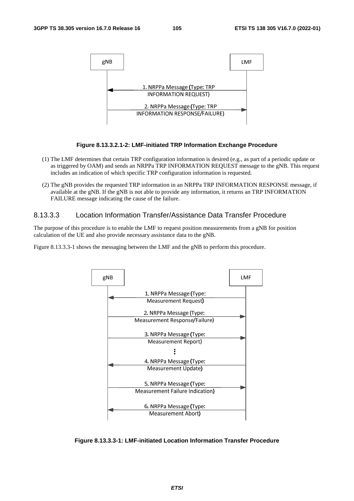

#### **Figure 8.13.3.2.1-2: LMF-initiated TRP Information Exchange Procedure**

- (1) The LMF determines that certain TRP configuration information is desired (e.g., as part of a periodic update or as triggered by OAM) and sends an NRPPa TRP INFORMATION REQUEST message to the gNB. This request includes an indication of which specific TRP configuration information is requested.
- (2) The gNB provides the requested TRP information in an NRPPa TRP INFORMATION RESPONSE message, if available at the gNB. If the gNB is not able to provide any information, it returns an TRP INFORMATION FAILURE message indicating the cause of the failure.

# 8.13.3.3 Location Information Transfer/Assistance Data Transfer Procedure

The purpose of this procedure is to enable the LMF to request position measurements from a gNB for position calculation of the UE and also provide necessary assistance data to the gNB.

Figure 8.13.3.3-1 shows the messaging between the LMF and the gNB to perform this procedure.



**Figure 8.13.3.3-1: LMF-initiated Location Information Transfer Procedure**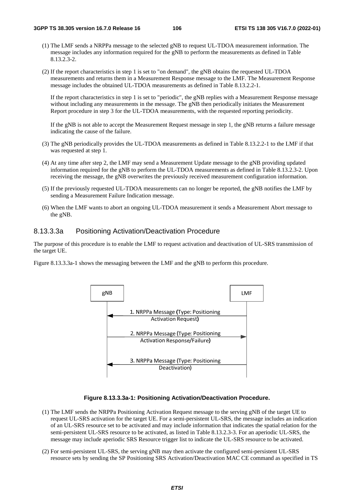- (1) The LMF sends a NRPPa message to the selected gNB to request UL-TDOA measurement information. The message includes any information required for the gNB to perform the measurements as defined in Table 8.13.2.3-2.
- (2) If the report characteristics in step 1 is set to "on demand", the gNB obtains the requested UL-TDOA measurements and returns them in a Measurement Response message to the LMF. The Measurement Response message includes the obtained UL-TDOA measurements as defined in Table 8.13.2.2-1.

If the report characteristics in step 1 is set to "periodic", the gNB replies with a Measurement Response message without including any measurements in the message. The gNB then periodically initiates the Measurement Report procedure in step 3 for the UL-TDOA measurements, with the requested reporting periodicity.

If the gNB is not able to accept the Measurement Request message in step 1, the gNB returns a failure message indicating the cause of the failure.

- (3) The gNB periodically provides the UL-TDOA measurements as defined in Table 8.13.2.2-1 to the LMF if that was requested at step 1.
- (4) At any time after step 2, the LMF may send a Measurement Update message to the gNB providing updated information required for the gNB to perform the UL-TDOA measurements as defined in Table 8.13.2.3-2. Upon receiving the message, the gNB overwrites the previously received measurement configuration information.
- (5) If the previously requested UL-TDOA measurements can no longer be reported, the gNB notifies the LMF by sending a Measurement Failure Indication message.
- (6) When the LMF wants to abort an ongoing UL-TDOA measurement it sends a Measurement Abort message to the gNB.

### 8.13.3.3a Positioning Activation/Deactivation Procedure

The purpose of this procedure is to enable the LMF to request activation and deactivation of UL-SRS transmission of the target UE.

Figure 8.13.3.3a-1 shows the messaging between the LMF and the gNB to perform this procedure.



#### **Figure 8.13.3.3a-1: Positioning Activation/Deactivation Procedure.**

- (1) The LMF sends the NRPPa Positioning Activation Request message to the serving gNB of the target UE to request UL-SRS activation for the target UE. For a semi-persistent UL-SRS, the message includes an indication of an UL-SRS resource set to be activated and may include information that indicates the spatial relation for the semi-persistent UL-SRS resource to be activated, as listed in Table 8.13.2.3-3. For an aperiodic UL-SRS, the message may include aperiodic SRS Resource trigger list to indicate the UL-SRS resource to be activated.
- (2) For semi-persistent UL-SRS, the serving gNB may then activate the configured semi-persistent UL-SRS resource sets by sending the SP Positioning SRS Activation/Deactivation MAC CE command as specified in TS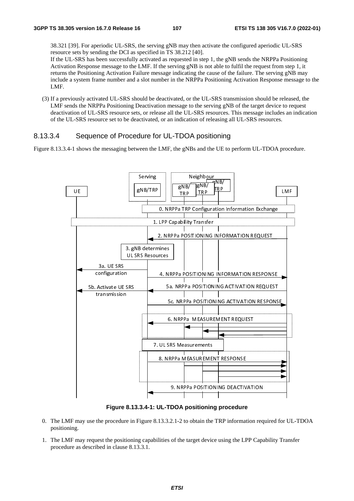38.321 [39]. For aperiodic UL-SRS, the serving gNB may then activate the configured aperiodic UL-SRS resource sets by sending the DCI as specified in TS 38.212 [40].

If the UL-SRS has been successfully activated as requested in step 1, the gNB sends the NRPPa Positioning Activation Response message to the LMF. If the serving gNB is not able to fulfil the request from step 1, it returns the Positioning Activation Failure message indicating the cause of the failure. The serving gNB may include a system frame number and a slot number in the NRPPa Positioning Activation Response message to the LMF.

(3) If a previously activated UL-SRS should be deactivated, or the UL-SRS transmission should be released, the LMF sends the NRPPa Positioning Deactivation message to the serving gNB of the target device to request deactivation of UL-SRS resource sets, or release all the UL-SRS resources. This message includes an indication of the UL-SRS resource set to be deactivated, or an indication of releasing all UL-SRS resources.

## 8.13.3.4 Sequence of Procedure for UL-TDOA positioning

Figure 8.13.3.4-1 shows the messaging between the LMF, the gNBs and the UE to perform UL-TDOA procedure.



**Figure 8.13.3.4-1: UL-TDOA positioning procedure** 

- 0. The LMF may use the procedure in Figure 8.13.3.2.1-2 to obtain the TRP information required for UL-TDOA positioning.
- 1. The LMF may request the positioning capabilities of the target device using the LPP Capability Transfer procedure as described in clause 8.13.3.1.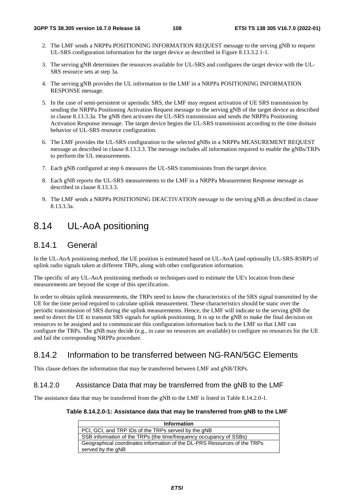- 2. The LMF sends a NRPPa POSITIONING INFORMATION REQUEST message to the serving gNB to request UL-SRS configuration information for the target device as described in Figure 8.13.3.2.1-1.
- 3. The serving gNB determines the resources available for UL-SRS and configures the target device with the UL-SRS resource sets at step 3a.
- 4. The serving gNB provides the UL information to the LMF in a NRPPa POSITIONING INFORMATION RESPONSE message.
- 5. In the case of semi-persistent or aperiodic SRS, the LMF may request activation of UE SRS transmission by sending the NRPPa Positioning Activation Request message to the serving gNB of the target device as described in clause 8.13.3.3a. The gNB then activates the UL-SRS transmission and sends the NRPPa Positioning Activation Response message. The target device begins the UL-SRS transmission according to the time domain behavior of UL-SRS resource configuration.
- 6. The LMF provides the UL-SRS configuration to the selected gNBs in a NRPPa MEASUREMENT REQUEST message as described in clause 8.13.3.3. The message includes all information required to enable the gNBs/TRPs to perform the UL measurements.
- 7. Each gNB configured at step 6 measures the UL-SRS transmissions from the target device.
- 8. Each gNB reports the UL-SRS measurements to the LMF in a NRPPa Measurement Response message as described in clause 8.13.3.3.
- 9. The LMF sends a NRPPa POSITIONING DEACTIVATION message to the serving gNB as described in clause 8.13.3.3a.

# 8.14 UL-AoA positioning

# 8.14.1 General

In the UL-AoA positioning method, the UE position is estimated based on UL-AoA (and optionally UL-SRS-RSRP) of uplink radio signals taken at different TRPs, along with other configuration information.

The specific of any UL-AoA positioning methods or techniques used to estimate the UE's location from these measurements are beyond the scope of this specification.

In order to obtain uplink measurements, the TRPs need to know the characteristics of the SRS signal transmitted by the UE for the time period required to calculate uplink measurement. These characteristics should be static over the periodic transmission of SRS during the uplink measurements. Hence, the LMF will indicate to the serving gNB the need to direct the UE to transmit SRS signals for uplink positioning. It is up to the gNB to make the final decision on resources to be assigned and to communicate this configuration information back to the LMF so that LMF can configure the TRPs. The gNB may decide (e.g., in case no resources are available) to configure no resources for the UE and fail the corresponding NRPPa procedure.

# 8.14.2 Information to be transferred between NG-RAN/5GC Elements

This clause defines the information that may be transferred between LMF and gNB/TRPs.

## 8.14.2.0 Assistance Data that may be transferred from the gNB to the LMF

The assistance data that may be transferred from the gNB to the LMF is listed in Table 8.14.2.0-1.

#### **Table 8.14.2.0-1: Assistance data that may be transferred from gNB to the LMF**

| <b>Information</b>                                                       |
|--------------------------------------------------------------------------|
| PCI, GCI, and TRP IDs of the TRPs served by the gNB                      |
| SSB information of the TRPs (the time/frequency occupancy of SSBs)       |
| Geographical coordinates information of the DL-PRS Resources of the TRPs |
| served by the gNB                                                        |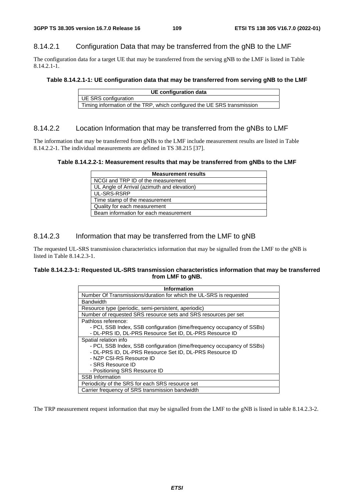## 8.14.2.1 Configuration Data that may be transferred from the gNB to the LMF

The configuration data for a target UE that may be transferred from the serving gNB to the LMF is listed in Table 8.14.2.1-1.

#### **Table 8.14.2.1-1: UE configuration data that may be transferred from serving gNB to the LMF**

| UE configuration data                                                   |
|-------------------------------------------------------------------------|
| UE SRS configuration                                                    |
| Timing information of the TRP, which configured the UE SRS transmission |

## 8.14.2.2 Location Information that may be transferred from the gNBs to LMF

The information that may be transferred from gNBs to the LMF include measurement results are listed in Table 8.14.2.2-1. The individual measurements are defined in TS 38.215 [37].

#### **Table 8.14.2.2-1: Measurement results that may be transferred from gNBs to the LMF**

| <b>Measurement results</b>                  |
|---------------------------------------------|
| NCGI and TRP ID of the measurement          |
| UL Angle of Arrival (azimuth and elevation) |
| UL-SRS-RSRP                                 |
| Time stamp of the measurement               |
| Quality for each measurement                |
| Beam information for each measurement       |

## 8.14.2.3 Information that may be transferred from the LMF to gNB

The requested UL-SRS transmission characteristics information that may be signalled from the LMF to the gNB is listed in Table 8.14.2.3-1.

#### **Table 8.14.2.3-1: Requested UL-SRS transmission characteristics information that may be transferred from LMF to gNB.**

| <b>Information</b>                                                     |
|------------------------------------------------------------------------|
| Number Of Transmissions/duration for which the UL-SRS is requested     |
| <b>Bandwidth</b>                                                       |
| Resource type (periodic, semi-persistent, aperiodic)                   |
| Number of requested SRS resource sets and SRS resources per set        |
| Pathloss reference:                                                    |
| - PCI, SSB Index, SSB configuration (time/frequency occupancy of SSBs) |
| - DL-PRS ID, DL-PRS Resource Set ID, DL-PRS Resource ID                |
| Spatial relation info                                                  |
| - PCI, SSB Index, SSB configuration (time/frequency occupancy of SSBs) |
| - DL-PRS ID, DL-PRS Resource Set ID, DL-PRS Resource ID                |
| - NZP CSI-RS Resource ID                                               |
| - SRS Resource ID                                                      |
| - Positioning SRS Resource ID                                          |
| <b>SSB</b> Information                                                 |
| Periodicity of the SRS for each SRS resource set                       |
| Carrier frequency of SRS transmission bandwidth                        |

The TRP measurement request information that may be signalled from the LMF to the gNB is listed in table 8.14.2.3-2.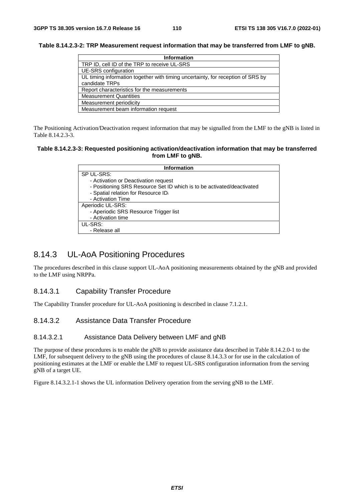#### **Table 8.14.2.3-2: TRP Measurement request information that may be transferred from LMF to gNB.**

| <b>Information</b>                                                              |  |  |  |
|---------------------------------------------------------------------------------|--|--|--|
| TRP ID, cell ID of the TRP to receive UL-SRS                                    |  |  |  |
| UE-SRS configuration                                                            |  |  |  |
| UL timing information together with timing uncertainty, for reception of SRS by |  |  |  |
| candidate TRPs                                                                  |  |  |  |
| Report characteristics for the measurements                                     |  |  |  |
| <b>Measurement Quantities</b>                                                   |  |  |  |
| Measurement periodicity                                                         |  |  |  |
| Measurement beam information request                                            |  |  |  |

The Positioning Activation/Deactivation request information that may be signalled from the LMF to the gNB is listed in Table 8.14.2.3-3.

#### **Table 8.14.2.3-3: Requested positioning activation/deactivation information that may be transferred from LMF to gNB.**

| Information                                                            |  |  |  |  |
|------------------------------------------------------------------------|--|--|--|--|
| SP UL-SRS:                                                             |  |  |  |  |
| - Activation or Deactivation request                                   |  |  |  |  |
| - Positioning SRS Resource Set ID which is to be activated/deactivated |  |  |  |  |
| - Spatial relation for Resource IDi                                    |  |  |  |  |
| - Activation Time                                                      |  |  |  |  |
| Aperiodic UL-SRS:                                                      |  |  |  |  |
| - Aperiodic SRS Resource Trigger list                                  |  |  |  |  |
| - Activation time                                                      |  |  |  |  |
| UL-SRS:                                                                |  |  |  |  |
| - Release all                                                          |  |  |  |  |

# 8.14.3 UL-AoA Positioning Procedures

The procedures described in this clause support UL-AoA positioning measurements obtained by the gNB and provided to the LMF using NRPPa.

### 8.14.3.1 Capability Transfer Procedure

The Capability Transfer procedure for UL-AoA positioning is described in clause 7.1.2.1.

## 8.14.3.2 Assistance Data Transfer Procedure

#### 8.14.3.2.1 Assistance Data Delivery between LMF and gNB

The purpose of these procedures is to enable the gNB to provide assistance data described in Table 8.14.2.0-1 to the LMF, for subsequent delivery to the gNB using the procedures of clause 8.14.3.3 or for use in the calculation of positioning estimates at the LMF or enable the LMF to request UL-SRS configuration information from the serving gNB of a target UE.

Figure 8.14.3.2.1-1 shows the UL information Delivery operation from the serving gNB to the LMF.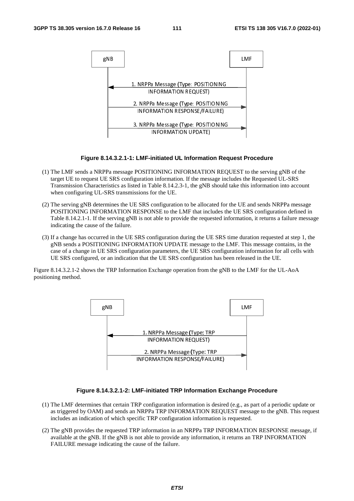

#### **Figure 8.14.3.2.1-1: LMF-initiated UL Information Request Procedure**

- (1) The LMF sends a NRPPa message POSITIONING INFORMATION REQUEST to the serving gNB of the target UE to request UE SRS configuration information. If the message includes the Requested UL-SRS Transmission Characteristics as listed in Table 8.14.2.3-1, the gNB should take this information into account when configuring UL-SRS transmissions for the UE.
- (2) The serving gNB determines the UE SRS configuration to be allocated for the UE and sends NRPPa message POSITIONING INFORMATION RESPONSE to the LMF that includes the UE SRS configuration defined in Table 8.14.2.1-1. If the serving gNB is not able to provide the requested information, it returns a failure message indicating the cause of the failure.
- (3) If a change has occurred in the UE SRS configuration during the UE SRS time duration requested at step 1, the gNB sends a POSITIONING INFORMATION UPDATE message to the LMF. This message contains, in the case of a change in UE SRS configuration parameters, the UE SRS configuration information for all cells with UE SRS configured, or an indication that the UE SRS configuration has been released in the UE.

Figure 8.14.3.2.1-2 shows the TRP Information Exchange operation from the gNB to the LMF for the UL-AoA positioning method.



#### **Figure 8.14.3.2.1-2: LMF-initiated TRP Information Exchange Procedure**

- (1) The LMF determines that certain TRP configuration information is desired (e.g., as part of a periodic update or as triggered by OAM) and sends an NRPPa TRP INFORMATION REQUEST message to the gNB. This request includes an indication of which specific TRP configuration information is requested.
- (2) The gNB provides the requested TRP information in an NRPPa TRP INFORMATION RESPONSE message, if available at the gNB. If the gNB is not able to provide any information, it returns an TRP INFORMATION FAILURE message indicating the cause of the failure.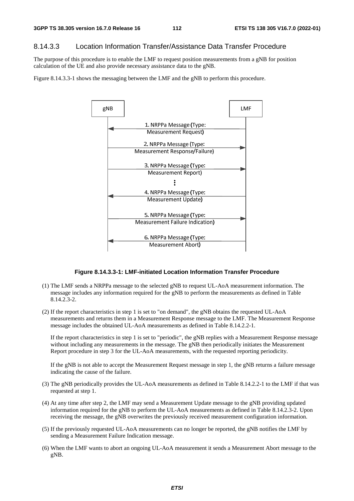## 8.14.3.3 Location Information Transfer/Assistance Data Transfer Procedure

The purpose of this procedure is to enable the LMF to request position measurements from a gNB for position calculation of the UE and also provide necessary assistance data to the gNB.

Figure 8.14.3.3-1 shows the messaging between the LMF and the gNB to perform this procedure.



#### **Figure 8.14.3.3-1: LMF-initiated Location Information Transfer Procedure**

- (1) The LMF sends a NRPPa message to the selected gNB to request UL-AoA measurement information. The message includes any information required for the gNB to perform the measurements as defined in Table 8.14.2.3-2.
- (2) If the report characteristics in step 1 is set to "on demand", the gNB obtains the requested UL-AoA measurements and returns them in a Measurement Response message to the LMF. The Measurement Response message includes the obtained UL-AoA measurements as defined in Table 8.14.2.2-1.

If the report characteristics in step 1 is set to "periodic", the gNB replies with a Measurement Response message without including any measurements in the message. The gNB then periodically initiates the Measurement Report procedure in step 3 for the UL-AoA measurements, with the requested reporting periodicity.

If the gNB is not able to accept the Measurement Request message in step 1, the gNB returns a failure message indicating the cause of the failure.

- (3) The gNB periodically provides the UL-AoA measurements as defined in Table 8.14.2.2-1 to the LMF if that was requested at step 1.
- (4) At any time after step 2, the LMF may send a Measurement Update message to the gNB providing updated information required for the gNB to perform the UL-AoA measurements as defined in Table 8.14.2.3-2. Upon receiving the message, the gNB overwrites the previously received measurement configuration information.
- (5) If the previously requested UL-AoA measurements can no longer be reported, the gNB notifies the LMF by sending a Measurement Failure Indication message.
- (6) When the LMF wants to abort an ongoing UL-AoA measurement it sends a Measurement Abort message to the gNB.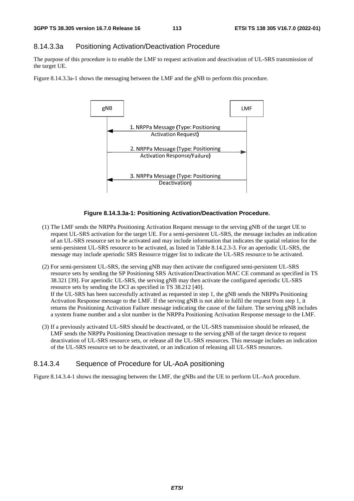## 8.14.3.3a Positioning Activation/Deactivation Procedure

The purpose of this procedure is to enable the LMF to request activation and deactivation of UL-SRS transmission of the target UE.

Figure 8.14.3.3a-1 shows the messaging between the LMF and the gNB to perform this procedure.



## **Figure 8.14.3.3a-1: Positioning Activation/Deactivation Procedure.**

- (1) The LMF sends the NRPPa Positioning Activation Request message to the serving gNB of the target UE to request UL-SRS activation for the target UE. For a semi-persistent UL-SRS, the message includes an indication of an UL-SRS resource set to be activated and may include information that indicates the spatial relation for the semi-persistent UL-SRS resource to be activated, as listed in Table 8.14.2.3-3. For an aperiodic UL-SRS, the message may include aperiodic SRS Resource trigger list to indicate the UL-SRS resource to be activated.
- (2) For semi-persistent UL-SRS, the serving gNB may then activate the configured semi-persistent UL-SRS resource sets by sending the SP Positioning SRS Activation/Deactivation MAC CE command as specified in TS 38.321 [39]. For aperiodic UL-SRS, the serving gNB may then activate the configured aperiodic UL-SRS resource sets by sending the DCI as specified in TS 38.212 [40]. If the UL-SRS has been successfully activated as requested in step 1, the gNB sends the NRPPa Positioning Activation Response message to the LMF. If the serving gNB is not able to fulfil the request from step 1, it returns the Positioning Activation Failure message indicating the cause of the failure. The serving gNB includes a system frame number and a slot number in the NRPPa Positioning Activation Response message to the LMF.
- (3) If a previously activated UL-SRS should be deactivated, or the UL-SRS transmission should be released, the LMF sends the NRPPa Positioning Deactivation message to the serving gNB of the target device to request deactivation of UL-SRS resource sets, or release all the UL-SRS resources. This message includes an indication of the UL-SRS resource set to be deactivated, or an indication of releasing all UL-SRS resources.

# 8.14.3.4 Sequence of Procedure for UL-AoA positioning

Figure 8.14.3.4-1 shows the messaging between the LMF, the gNBs and the UE to perform UL-AoA procedure.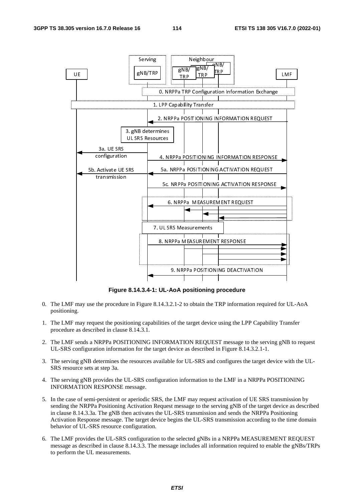

**Figure 8.14.3.4-1: UL-AoA positioning procedure** 

- 0. The LMF may use the procedure in Figure 8.14.3.2.1-2 to obtain the TRP information required for UL-AoA positioning.
- 1. The LMF may request the positioning capabilities of the target device using the LPP Capability Transfer procedure as described in clause 8.14.3.1.
- 2. The LMF sends a NRPPa POSITIONING INFORMATION REQUEST message to the serving gNB to request UL-SRS configuration information for the target device as described in Figure 8.14.3.2.1-1.
- 3. The serving gNB determines the resources available for UL-SRS and configures the target device with the UL-SRS resource sets at step 3a.
- 4. The serving gNB provides the UL-SRS configuration information to the LMF in a NRPPa POSITIONING INFORMATION RESPONSE message.
- 5. In the case of semi-persistent or aperiodic SRS, the LMF may request activation of UE SRS transmission by sending the NRPPa Positioning Activation Request message to the serving gNB of the target device as described in clause 8.14.3.3a. The gNB then activates the UL-SRS transmission and sends the NRPPa Positioning Activation Response message. The target device begins the UL-SRS transmission according to the time domain behavior of UL-SRS resource configuration.
- 6. The LMF provides the UL-SRS configuration to the selected gNBs in a NRPPa MEASUREMENT REQUEST message as described in clause 8.14.3.3. The message includes all information required to enable the gNBs/TRPs to perform the UL measurements.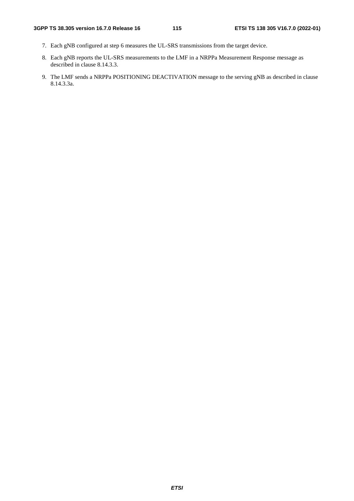- 7. Each gNB configured at step 6 measures the UL-SRS transmissions from the target device.
- 8. Each gNB reports the UL-SRS measurements to the LMF in a NRPPa Measurement Response message as described in clause 8.14.3.3.
- 9. The LMF sends a NRPPa POSITIONING DEACTIVATION message to the serving gNB as described in clause 8.14.3.3a.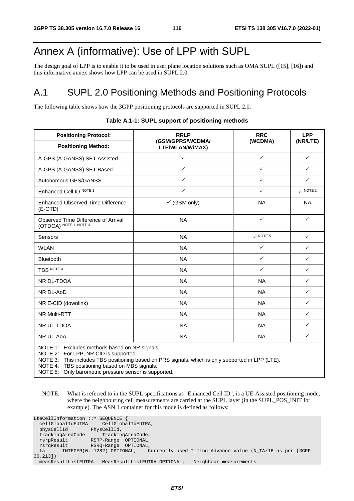# Annex A (informative): Use of LPP with SUPL

The design goal of LPP is to enable it to be used in user plane location solutions such as OMA SUPL ([15], [16]) and this informative annex shows how LPP can be used in SUPL 2.0.

# A.1 SUPL 2.0 Positioning Methods and Positioning Protocols

The following table shows how the 3GPP positioning protocols are supported in SUPL 2.0.

| (GSM/GPRS/WCDMA/<br>LTE/WLAN/WiMAX)<br>$\checkmark$<br>$\checkmark$ | (WCDMA)<br>$\checkmark$<br>$\checkmark$       | (NR/LTE)<br>$\checkmark$ |
|---------------------------------------------------------------------|-----------------------------------------------|--------------------------|
|                                                                     |                                               |                          |
|                                                                     |                                               |                          |
|                                                                     |                                               | $\checkmark$             |
| $\checkmark$                                                        | $\checkmark$                                  | $\checkmark$             |
| $\checkmark$                                                        | $\checkmark$                                  | $\checkmark$ NOTE 2      |
| $\checkmark$ (GSM only)                                             | <b>NA</b>                                     | <b>NA</b>                |
| <b>NA</b>                                                           | $\checkmark$                                  | $\checkmark$             |
| <b>NA</b>                                                           | $\checkmark$ NOTE 5                           | $\checkmark$             |
| <b>NA</b>                                                           | $\checkmark$                                  | $\checkmark$             |
| <b>NA</b>                                                           | $\checkmark$                                  | $\checkmark$             |
| <b>NA</b>                                                           | $\checkmark$                                  | $\checkmark$             |
| <b>NA</b>                                                           | <b>NA</b>                                     | $\checkmark$             |
| <b>NA</b>                                                           | <b>NA</b>                                     | $\checkmark$             |
| <b>NA</b>                                                           | <b>NA</b>                                     | $\checkmark$             |
| <b>NA</b>                                                           | <b>NA</b>                                     | $\checkmark$             |
| <b>NA</b>                                                           | <b>NA</b>                                     | $\checkmark$             |
| <b>NA</b>                                                           | <b>NA</b>                                     | $\checkmark$             |
|                                                                     | NOTE 1: Excludes methods based on NR signals. |                          |

#### **Table A.1-1: SUPL support of positioning methods**

NOTE 2: For LPP, NR CID is supported.

NOTE 3: This includes TBS positioning based on PRS signals, which is only supported in LPP (LTE).

NOTE 4: TBS positioning based on MBS signals.

NOTE 5: Only barometric pressure sensor is supported.

NOTE: What is referred to in the SUPL specifications as "Enhanced Cell ID", is a UE-Assisted positioning mode, where the neighbouring cell measurements are carried at the SUPL layer (in the SUPL\_POS\_INIT for example). The ASN.1 container for this mode is defined as follows:

| LteCellInformation ::= SEQUENCE {    |                      |                                                                                       |
|--------------------------------------|----------------------|---------------------------------------------------------------------------------------|
| cellGlobalIdEUTRA CellGlobalIdEUTRA, |                      |                                                                                       |
| physCellId                           | PhysCellId,          |                                                                                       |
| trackingAreaCode                     |                      | TrackingAreaCode,                                                                     |
| rsrpResult                           | RSRP-Range           | OPTIONAL,                                                                             |
| rsrqResult                           | RSRO-Range OPTIONAL, |                                                                                       |
| ta                                   |                      | INTEGER(01282) OPTIONAL, -- Currently used Timing Advance value (N_TA/16 as per [3GPP |
| 36.2131)                             |                      |                                                                                       |
| measResultListEUTRA                  |                      | MeasResultListEUTRA OPTIONAL, --Neighbour measurements                                |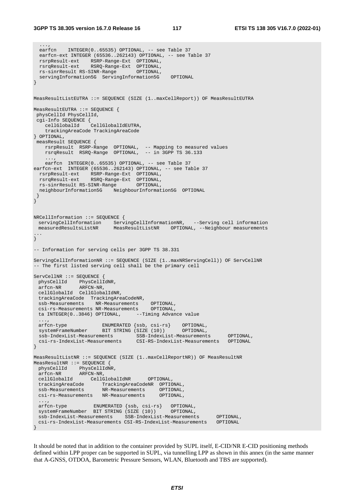...,

```
earfcn INTEGER(0..65535) OPTIONAL, -- see Table 37
  earfcn-ext INTEGER (65536..262143) OPTIONAL, -- see Table 37 
  rsrpResult-ext RSRP-Range-Ext OPTIONAL, 
  rsrqResult-ext RSRQ-Range-Ext OPTIONAL, 
 rs-sinrResult RS-SINR-Range
  servingInformation5G ServingInformation5G OPTIONAL 
\overline{ }MeasResultListEUTRA ::= SEQUENCE (SIZE (1..maxCellReport)) OF MeasResultEUTRA 
MeasResultEUTRA ::= SEQUENCE { 
 physCellId PhysCellId, 
 cgi-Info SEQUENCE { 
    cellGlobalId CellGlobalIdEUTRA, 
    trackingAreaCode TrackingAreaCode 
} OPTIONAL, 
  measResult SEQUENCE { 
 rsrpResult RSRP-Range OPTIONAL, -- Mapping to measured values 
 rsrqResult RSRQ-Range OPTIONAL, -- in 3GPP TS 36.133 
 ..., 
   earfcn INTEGER(0..65535) OPTIONAL, -- see Table 37
earfcn-ext INTEGER (65536..262143) OPTIONAL, -- see Table 37
  rsrpResult-ext RSRP-Range-Ext OPTIONAL, 
  rsrqResult-ext RSRQ-Range-Ext OPTIONAL, 
 rs-sinrResult RS-SINR-Range
  neighbourInformation5G NeighbourInformation5G OPTIONAL 
  } 
} 
NRCellInformation ::= SEQUENCE { 
  servingCellInformation ServingCellInformationNR, --Serving cell information 
  measuredResultsListNR MeasResultListNR OPTIONAL, --Neighbour measurements 
... 
\frac{1}{2}-- Information for serving cells per 3GPP TS 38.331 
ServingCellInformationNR ::= SEQUENCE (SIZE (1..maxNRServingCell)) OF ServCellNR 
-- The first listed serving cell shall be the primary cell 
ServCellNR ::= SEQUENCE { 
 physCellId PhysCellIdNR,
 arfcn-NR ARFCN-NR, 
 cellGlobalId CellGlobalIdNR, 
  trackingAreaCode TrackingAreaCodeNR, 
  ssb-Measurements NR-Measurements OPTIONAL, 
  csi-rs-Measurements NR-Measurements OPTIONAL, 
 ta INTEGER(0..3846) OPTIONAL, --Timing Advance value
 ..., 
 arfcn-type ENUMERATED {ssb, csi-rs} OPTIONAL, 
  systemFrameNumber BIT STRING (SIZE (10)) OPTIONAL, 
  ssb-IndexList-Measurements SSB-IndexList-Measurements OPTIONAL, 
  csi-rs-IndexList-Measurements CSI-RS-IndexList-Measurements OPTIONAL 
} 
MeasResultListNR ::= SEQUENCE (SIZE (1..maxCellReportNR)) OF MeasResultNR
MeasResultNR ::= SEQUENCE { 
 physCellId PhysCellIdNR,
 arfcn-NR ARFCN-NR, 
 cellGlobalId CellGlobalIdNR OPTIONAL, 
  trackingAreaCode TrackingAreaCodeNR OPTIONAL, 
  ssb-Measurements NR-Measurements OPTIONAL, 
 csi-rs-Measurements NR-Measurements OPTIONAL, 
 ..., 
 arfcn-type ENUMERATED {ssb, csi-rs} OPTIONAL,<br>systemFrameNumber BIT STRING (SIZE (10)) OPTIONAL,
 systemFrameNumber BIT STRING (SIZE (10))
 ssb-IndexList-Measurements SSB-IndexList-Measurements OPTIONAL, 
 csi-rs-IndexList-Measurements CSI-RS-IndexList-Measurements OPTIONAL 
}
```
It should be noted that in addition to the container provided by SUPL itself, E-CID/NR E-CID positioning methods defined within LPP proper can be supported in SUPL, via tunnelling LPP as shown in this annex (in the same manner that A-GNSS, OTDOA, Barometric Pressure Sensors, WLAN, Bluetooth and TBS are supported).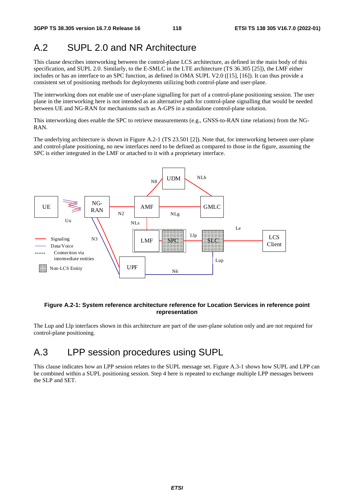# A.2 SUPL 2.0 and NR Architecture

This clause describes interworking between the control-plane LCS architecture, as defined in the main body of this specification, and SUPL 2.0. Similarly, to the E-SMLC in the LTE architecture (TS 36.305 [25]), the LMF either includes or has an interface to an SPC function, as defined in OMA SUPL V2.0 ([15], [16]). It can thus provide a consistent set of positioning methods for deployments utilizing both control-plane and user-plane.

The interworking does not enable use of user-plane signalling for part of a control-plane positioning session. The user plane in the interworking here is not intended as an alternative path for control-plane signalling that would be needed between UE and NG-RAN for mechanisms such as A-GPS in a standalone control-plane solution.

This interworking does enable the SPC to retrieve measurements (e.g., GNSS-to-RAN time relations) from the NG-RAN.

The underlying architecture is shown in Figure A.2-1 (TS 23.501 [2]). Note that, for interworking between user-plane and control-plane positioning, no new interfaces need to be defined as compared to those in the figure, assuming the SPC is either integrated in the LMF or attached to it with a proprietary interface.



#### **Figure A.2-1: System reference architecture reference for Location Services in reference point representation**

The Lup and Llp interfaces shown in this architecture are part of the user-plane solution only and are not required for control-plane positioning.

# A.3 LPP session procedures using SUPL

This clause indicates how an LPP session relates to the SUPL message set. Figure A.3-1 shows how SUPL and LPP can be combined within a SUPL positioning session. Step 4 here is repeated to exchange multiple LPP messages between the SLP and SET.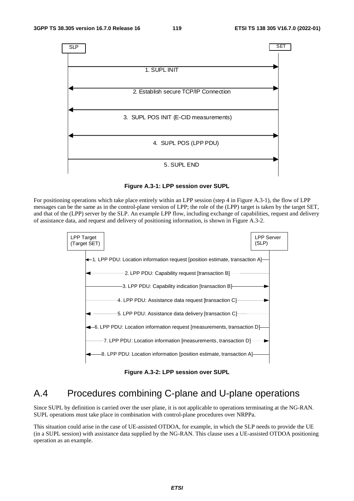

**Figure A.3-1: LPP session over SUPL** 

For positioning operations which take place entirely within an LPP session (step 4 in Figure A.3-1), the flow of LPP messages can be the same as in the control-plane version of LPP; the role of the (LPP) target is taken by the target SET, and that of the (LPP) server by the SLP. An example LPP flow, including exchange of capabilities, request and delivery of assistance data, and request and delivery of positioning information, is shown in Figure A.3-2.



**Figure A.3-2: LPP session over SUPL** 

# A.4 Procedures combining C-plane and U-plane operations

Since SUPL by definition is carried over the user plane, it is not applicable to operations terminating at the NG-RAN. SUPL operations must take place in combination with control-plane procedures over NRPPa.

This situation could arise in the case of UE-assisted OTDOA, for example, in which the SLP needs to provide the UE (in a SUPL session) with assistance data supplied by the NG-RAN. This clause uses a UE-assisted OTDOA positioning operation as an example.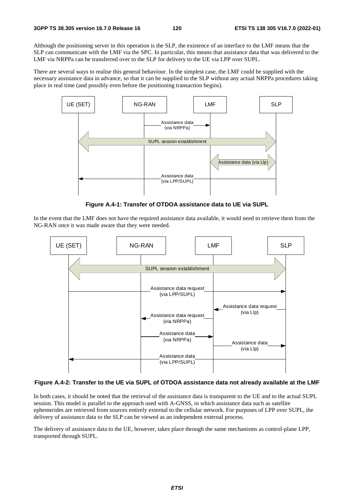Although the positioning server in this operation is the SLP, the existence of an interface to the LMF means that the SLP can communicate with the LMF via the SPC. In particular, this means that assistance data that was delivered to the LMF via NRPPa can be transferred over to the SLP for delivery to the UE via LPP over SUPL.

There are several ways to realise this general behaviour. In the simplest case, the LMF could be supplied with the necessary assistance data in advance, so that it can be supplied to the SLP without any actual NRPPa procedures taking place in real time (and possibly even before the positioning transaction begins).



**Figure A.4-1: Transfer of OTDOA assistance data to UE via SUPL** 

In the event that the LMF does not have the required assistance data available, it would need to retrieve them from the NG-RAN once it was made aware that they were needed.



## **Figure A.4-2: Transfer to the UE via SUPL of OTDOA assistance data not already available at the LMF**

In both cases, it should be noted that the retrieval of the assistance data is transparent to the UE and to the actual SUPL session. This model is parallel to the approach used with A-GNSS, in which assistance data such as satellite ephemerides are retrieved from sources entirely external to the cellular network. For purposes of LPP over SUPL, the delivery of assistance data to the SLP can be viewed as an independent external process.

The delivery of assistance data to the UE, however, takes place through the same mechanisms as control-plane LPP, transported through SUPL.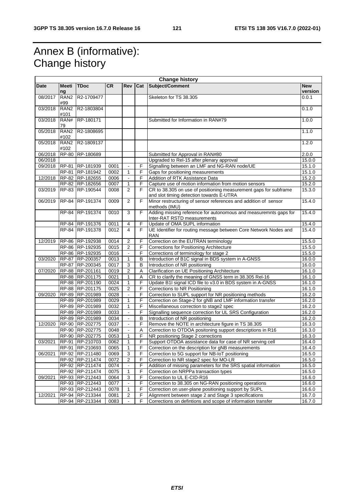# Annex B (informative): Change history

| Subject/Comment<br><b>Meeti</b><br><b>TDoc</b><br><b>CR</b><br>Date<br><b>Rev</b><br>Cat<br><b>New</b><br>version<br>ng<br>08/2017<br>RAN <sub>2</sub><br>R2-1709477<br>0.0.1<br>Skeleton for TS 38.305<br>#99<br>03/2018<br>RAN <sub>2</sub><br>R2-1803804<br>0.1.0<br>#101<br>03/2018<br>RAN#<br>RP-180171<br>1.0.0<br>Submitted for Information in RAN#79<br>79<br>05/2018<br>RAN <sub>2</sub><br>R2-1808695<br>1.1.0<br>#102<br>RAN2 R2-1809137<br>05/2018<br>1.2.0<br>#102<br>06/2018<br>RP-80 RP-180689<br>Submitted for Approval in RAN#80<br>2.0.0<br>Upgraded to Rel-15 after plenary approval<br>15.0.0<br>06/2018<br>09/2018<br>RP-81 RP-181939<br>F<br>Signalling between an LMF and NG-RAN node/UE<br>15.1.0<br>0001<br>F<br>RP-81 RP-181942<br>0002<br>$\mathbf{1}$<br>Gaps for positioning measurements<br>15.1.0<br>RP-82 RP-182655<br>F<br>Addition of RTK Assistance Data<br>15.2.0<br>12/2018<br>0006<br>$\blacksquare$<br>15.2.0<br>RP-82 RP-182656<br>0007<br>F<br>Capture use of motion information from motion sensors<br>1<br>2<br>F<br>03/2019<br>RP-83 RP-190544<br>0008<br>CR to 38.305 on use of positioning measurement gaps for subframe<br>15.3.0<br>and slot timing detection towards E-UTRA<br>15.4.0<br>RP-84 RP-191374<br>0009<br>2<br>F<br>Minor restructuring of sensor references and addition of sensor<br>06/2019<br>methods (IMU)<br>RP-84 RP-191374<br>F<br>Adding missing reference for autonomous and measuremnts gaps for<br>0010<br>3<br>15.4.0<br>Inter-RAT RSTD measurements<br>F<br>Update of OMA SUPL information<br>RP-84 RP-191376<br>0011<br>4<br>15.4.0<br>RP-84 RP-191378<br>$\overline{4}$<br>F<br>15.4.0<br>0012<br>UE Identifier for routing message between Core Network Nodes and<br><b>RAN</b><br>RP-86 RP-192938<br>F<br>Correction on the EUTRAN terminology<br>12/2019<br>0014<br>2<br>15.5.0<br>F<br>RP-86 RP-192935<br>0015<br>$\overline{2}$<br><b>Corrections for Positioning Architecture</b><br>15.5.0<br>F<br>RP-86 RP-192935<br>Corrections of terminology for stage 2<br>15.5.0<br>0016<br>$\blacksquare$<br>RP-87 RP-200357<br>B<br>Introduction of B1C signal in BDS system in A-GNSS<br>03/2020<br>0013<br>1<br>16.0.0<br>3<br>Introduction of NR positioning<br>RP-87 RP-200345<br>0017<br>B<br>16.0.0<br>RP-88 RP-201161<br>$\overline{2}$<br>Clarification on UE Positioning Architecture<br>0019<br>Α<br>16.1.0<br>07/2020<br>RP-88 RP-201175<br>0021<br>$\mathbf{1}$<br>A<br>CR to clarify the meaning of GNSS term in 38.305 Rel-16<br>16.1.0<br>F<br>RP-88 RP-201190<br>0024<br>$\mathbf{1}$<br>Update B1I signal ICD file to v3.0 in BDS system in A-GNSS<br>16.1.0<br>RP-88 RP-201175<br>$\overline{2}$<br>F<br>Corrections to NR Positioning<br>0025<br>16.1.0<br>F<br>09/2020<br>RP-89 RP-201989<br>0028<br>Correction to SUPL support for NR positioning methods<br>16.2.0<br>F<br>RP-89 RP-201989<br>Correction on Stage-2 for gNB and LMF information transfer<br>16.2.0<br>0029<br>$\mathbf{1}$<br>F<br>RP-89 RP-201989<br>Miscellaneous correction to stage2 spec<br>16.2.0<br>0032<br>1<br>F<br>RP-89 RP-201989<br>0033<br>Signalling sequence correction for UL SRS Configuration<br>16.2.0<br>$\blacksquare$<br>$\overline{B}$<br>Introduction of NR positioning<br>16.2.0<br>RP-89 RP-201989<br>0034<br>$\blacksquare$<br>F<br>Remove the NOTE in architecture figure in TS 38.305<br>12/2020<br>RP-90 RP-202775<br>0037<br>16.3.0<br>$\blacksquare$<br>RP-90 RP-202775<br>0048<br>Correction to OTDOA positoning support descriptions in R16<br>16.3.0<br>Α<br>$\blacksquare$<br>RP-90 RP-202775<br>0053<br>$\mathbf{1}$<br>F<br>NR positioning Stage 2 corrections<br>16.3.0<br>RP-91 RP-210703<br>F<br>Support OTDOA assistance data for case of NR serving cell<br>03/2021<br>0062<br>$\mathbf{1}$<br>16.4.0<br>Correction on the description for gNB measurements<br>RP-91 RP-210693<br>0065<br>F<br>16.4.0<br>1<br>3<br>F<br>RP-92 RP-211480<br>Correction to 5G support for NB-IoT positioning<br>16.5.0<br>06/2021<br>0069<br>F<br>RP-92 RP-211474<br>0072<br>$\overline{\mathbf{c}}$<br>Correction to NR stage2 spec for MO-LR<br>16.5.0<br>F<br>Addition of missing parameters for the SRS spatial information<br>16.5.0<br>RP-92 RP-211474<br>0074<br>F<br>RP-92 RP-211474<br>0075<br>$\mathbf 1$<br>Correction on NRPPa transaction types<br>16.5.0<br>F<br>RP-93 RP-212443<br>Correction to UL E-CID-R16<br>09/2021<br>0064<br>3<br>16.6.0<br>F<br>Correction to 38.305 on NG-RAN positioning operations<br>RP-93 RP-212443<br>0077<br>16.6.0<br>RP-93 RP-212443<br>F<br>0078<br>1<br>Correction on user-plane positioning support by SUPL<br>16.6.0<br>12/2021<br>F<br>Alignment between stage 2 and Stage 3 specifications<br>RP-94 RP-213344<br>0081<br>2<br>16.7.0<br>F<br>RP-94 RP-213344<br>0083<br>Corrections on defintions and scope of information transfer<br>16.7.0 | <b>Change history</b> |  |  |  |  |  |  |
|----------------------------------------------------------------------------------------------------------------------------------------------------------------------------------------------------------------------------------------------------------------------------------------------------------------------------------------------------------------------------------------------------------------------------------------------------------------------------------------------------------------------------------------------------------------------------------------------------------------------------------------------------------------------------------------------------------------------------------------------------------------------------------------------------------------------------------------------------------------------------------------------------------------------------------------------------------------------------------------------------------------------------------------------------------------------------------------------------------------------------------------------------------------------------------------------------------------------------------------------------------------------------------------------------------------------------------------------------------------------------------------------------------------------------------------------------------------------------------------------------------------------------------------------------------------------------------------------------------------------------------------------------------------------------------------------------------------------------------------------------------------------------------------------------------------------------------------------------------------------------------------------------------------------------------------------------------------------------------------------------------------------------------------------------------------------------------------------------------------------------------------------------------------------------------------------------------------------------------------------------------------------------------------------------------------------------------------------------------------------------------------------------------------------------------------------------------------------------------------------------------------------------------------------------------------------------------------------------------------------------------------------------------------------------------------------------------------------------------------------------------------------------------------------------------------------------------------------------------------------------------------------------------------------------------------------------------------------------------------------------------------------------------------------------------------------------------------------------------------------------------------------------------------------------------------------------------------------------------------------------------------------------------------------------------------------------------------------------------------------------------------------------------------------------------------------------------------------------------------------------------------------------------------------------------------------------------------------------------------------------------------------------------------------------------------------------------------------------------------------------------------------------------------------------------------------------------------------------------------------------------------------------------------------------------------------------------------------------------------------------------------------------------------------------------------------------------------------------------------------------------------------------------------------------------------------------------------------------------------------------------------------------------------------------------------------------------------------------------------------------------------------------------------------------------------------------------------------------------------------------------------------------------------------------------------------------------------------------------------------------------------------------------------------------------------------------------------------------------------------------------------------------------------------------------------------------------------------------------------------------------------------|-----------------------|--|--|--|--|--|--|
|                                                                                                                                                                                                                                                                                                                                                                                                                                                                                                                                                                                                                                                                                                                                                                                                                                                                                                                                                                                                                                                                                                                                                                                                                                                                                                                                                                                                                                                                                                                                                                                                                                                                                                                                                                                                                                                                                                                                                                                                                                                                                                                                                                                                                                                                                                                                                                                                                                                                                                                                                                                                                                                                                                                                                                                                                                                                                                                                                                                                                                                                                                                                                                                                                                                                                                                                                                                                                                                                                                                                                                                                                                                                                                                                                                                                                                                                                                                                                                                                                                                                                                                                                                                                                                                                                                                                                                                                                                                                                                                                                                                                                                                                                                                                                                                                                                                                                              |                       |  |  |  |  |  |  |
|                                                                                                                                                                                                                                                                                                                                                                                                                                                                                                                                                                                                                                                                                                                                                                                                                                                                                                                                                                                                                                                                                                                                                                                                                                                                                                                                                                                                                                                                                                                                                                                                                                                                                                                                                                                                                                                                                                                                                                                                                                                                                                                                                                                                                                                                                                                                                                                                                                                                                                                                                                                                                                                                                                                                                                                                                                                                                                                                                                                                                                                                                                                                                                                                                                                                                                                                                                                                                                                                                                                                                                                                                                                                                                                                                                                                                                                                                                                                                                                                                                                                                                                                                                                                                                                                                                                                                                                                                                                                                                                                                                                                                                                                                                                                                                                                                                                                                              |                       |  |  |  |  |  |  |
|                                                                                                                                                                                                                                                                                                                                                                                                                                                                                                                                                                                                                                                                                                                                                                                                                                                                                                                                                                                                                                                                                                                                                                                                                                                                                                                                                                                                                                                                                                                                                                                                                                                                                                                                                                                                                                                                                                                                                                                                                                                                                                                                                                                                                                                                                                                                                                                                                                                                                                                                                                                                                                                                                                                                                                                                                                                                                                                                                                                                                                                                                                                                                                                                                                                                                                                                                                                                                                                                                                                                                                                                                                                                                                                                                                                                                                                                                                                                                                                                                                                                                                                                                                                                                                                                                                                                                                                                                                                                                                                                                                                                                                                                                                                                                                                                                                                                                              |                       |  |  |  |  |  |  |
|                                                                                                                                                                                                                                                                                                                                                                                                                                                                                                                                                                                                                                                                                                                                                                                                                                                                                                                                                                                                                                                                                                                                                                                                                                                                                                                                                                                                                                                                                                                                                                                                                                                                                                                                                                                                                                                                                                                                                                                                                                                                                                                                                                                                                                                                                                                                                                                                                                                                                                                                                                                                                                                                                                                                                                                                                                                                                                                                                                                                                                                                                                                                                                                                                                                                                                                                                                                                                                                                                                                                                                                                                                                                                                                                                                                                                                                                                                                                                                                                                                                                                                                                                                                                                                                                                                                                                                                                                                                                                                                                                                                                                                                                                                                                                                                                                                                                                              |                       |  |  |  |  |  |  |
|                                                                                                                                                                                                                                                                                                                                                                                                                                                                                                                                                                                                                                                                                                                                                                                                                                                                                                                                                                                                                                                                                                                                                                                                                                                                                                                                                                                                                                                                                                                                                                                                                                                                                                                                                                                                                                                                                                                                                                                                                                                                                                                                                                                                                                                                                                                                                                                                                                                                                                                                                                                                                                                                                                                                                                                                                                                                                                                                                                                                                                                                                                                                                                                                                                                                                                                                                                                                                                                                                                                                                                                                                                                                                                                                                                                                                                                                                                                                                                                                                                                                                                                                                                                                                                                                                                                                                                                                                                                                                                                                                                                                                                                                                                                                                                                                                                                                                              |                       |  |  |  |  |  |  |
|                                                                                                                                                                                                                                                                                                                                                                                                                                                                                                                                                                                                                                                                                                                                                                                                                                                                                                                                                                                                                                                                                                                                                                                                                                                                                                                                                                                                                                                                                                                                                                                                                                                                                                                                                                                                                                                                                                                                                                                                                                                                                                                                                                                                                                                                                                                                                                                                                                                                                                                                                                                                                                                                                                                                                                                                                                                                                                                                                                                                                                                                                                                                                                                                                                                                                                                                                                                                                                                                                                                                                                                                                                                                                                                                                                                                                                                                                                                                                                                                                                                                                                                                                                                                                                                                                                                                                                                                                                                                                                                                                                                                                                                                                                                                                                                                                                                                                              |                       |  |  |  |  |  |  |
|                                                                                                                                                                                                                                                                                                                                                                                                                                                                                                                                                                                                                                                                                                                                                                                                                                                                                                                                                                                                                                                                                                                                                                                                                                                                                                                                                                                                                                                                                                                                                                                                                                                                                                                                                                                                                                                                                                                                                                                                                                                                                                                                                                                                                                                                                                                                                                                                                                                                                                                                                                                                                                                                                                                                                                                                                                                                                                                                                                                                                                                                                                                                                                                                                                                                                                                                                                                                                                                                                                                                                                                                                                                                                                                                                                                                                                                                                                                                                                                                                                                                                                                                                                                                                                                                                                                                                                                                                                                                                                                                                                                                                                                                                                                                                                                                                                                                                              |                       |  |  |  |  |  |  |
|                                                                                                                                                                                                                                                                                                                                                                                                                                                                                                                                                                                                                                                                                                                                                                                                                                                                                                                                                                                                                                                                                                                                                                                                                                                                                                                                                                                                                                                                                                                                                                                                                                                                                                                                                                                                                                                                                                                                                                                                                                                                                                                                                                                                                                                                                                                                                                                                                                                                                                                                                                                                                                                                                                                                                                                                                                                                                                                                                                                                                                                                                                                                                                                                                                                                                                                                                                                                                                                                                                                                                                                                                                                                                                                                                                                                                                                                                                                                                                                                                                                                                                                                                                                                                                                                                                                                                                                                                                                                                                                                                                                                                                                                                                                                                                                                                                                                                              |                       |  |  |  |  |  |  |
|                                                                                                                                                                                                                                                                                                                                                                                                                                                                                                                                                                                                                                                                                                                                                                                                                                                                                                                                                                                                                                                                                                                                                                                                                                                                                                                                                                                                                                                                                                                                                                                                                                                                                                                                                                                                                                                                                                                                                                                                                                                                                                                                                                                                                                                                                                                                                                                                                                                                                                                                                                                                                                                                                                                                                                                                                                                                                                                                                                                                                                                                                                                                                                                                                                                                                                                                                                                                                                                                                                                                                                                                                                                                                                                                                                                                                                                                                                                                                                                                                                                                                                                                                                                                                                                                                                                                                                                                                                                                                                                                                                                                                                                                                                                                                                                                                                                                                              |                       |  |  |  |  |  |  |
|                                                                                                                                                                                                                                                                                                                                                                                                                                                                                                                                                                                                                                                                                                                                                                                                                                                                                                                                                                                                                                                                                                                                                                                                                                                                                                                                                                                                                                                                                                                                                                                                                                                                                                                                                                                                                                                                                                                                                                                                                                                                                                                                                                                                                                                                                                                                                                                                                                                                                                                                                                                                                                                                                                                                                                                                                                                                                                                                                                                                                                                                                                                                                                                                                                                                                                                                                                                                                                                                                                                                                                                                                                                                                                                                                                                                                                                                                                                                                                                                                                                                                                                                                                                                                                                                                                                                                                                                                                                                                                                                                                                                                                                                                                                                                                                                                                                                                              |                       |  |  |  |  |  |  |
|                                                                                                                                                                                                                                                                                                                                                                                                                                                                                                                                                                                                                                                                                                                                                                                                                                                                                                                                                                                                                                                                                                                                                                                                                                                                                                                                                                                                                                                                                                                                                                                                                                                                                                                                                                                                                                                                                                                                                                                                                                                                                                                                                                                                                                                                                                                                                                                                                                                                                                                                                                                                                                                                                                                                                                                                                                                                                                                                                                                                                                                                                                                                                                                                                                                                                                                                                                                                                                                                                                                                                                                                                                                                                                                                                                                                                                                                                                                                                                                                                                                                                                                                                                                                                                                                                                                                                                                                                                                                                                                                                                                                                                                                                                                                                                                                                                                                                              |                       |  |  |  |  |  |  |
|                                                                                                                                                                                                                                                                                                                                                                                                                                                                                                                                                                                                                                                                                                                                                                                                                                                                                                                                                                                                                                                                                                                                                                                                                                                                                                                                                                                                                                                                                                                                                                                                                                                                                                                                                                                                                                                                                                                                                                                                                                                                                                                                                                                                                                                                                                                                                                                                                                                                                                                                                                                                                                                                                                                                                                                                                                                                                                                                                                                                                                                                                                                                                                                                                                                                                                                                                                                                                                                                                                                                                                                                                                                                                                                                                                                                                                                                                                                                                                                                                                                                                                                                                                                                                                                                                                                                                                                                                                                                                                                                                                                                                                                                                                                                                                                                                                                                                              |                       |  |  |  |  |  |  |
|                                                                                                                                                                                                                                                                                                                                                                                                                                                                                                                                                                                                                                                                                                                                                                                                                                                                                                                                                                                                                                                                                                                                                                                                                                                                                                                                                                                                                                                                                                                                                                                                                                                                                                                                                                                                                                                                                                                                                                                                                                                                                                                                                                                                                                                                                                                                                                                                                                                                                                                                                                                                                                                                                                                                                                                                                                                                                                                                                                                                                                                                                                                                                                                                                                                                                                                                                                                                                                                                                                                                                                                                                                                                                                                                                                                                                                                                                                                                                                                                                                                                                                                                                                                                                                                                                                                                                                                                                                                                                                                                                                                                                                                                                                                                                                                                                                                                                              |                       |  |  |  |  |  |  |
|                                                                                                                                                                                                                                                                                                                                                                                                                                                                                                                                                                                                                                                                                                                                                                                                                                                                                                                                                                                                                                                                                                                                                                                                                                                                                                                                                                                                                                                                                                                                                                                                                                                                                                                                                                                                                                                                                                                                                                                                                                                                                                                                                                                                                                                                                                                                                                                                                                                                                                                                                                                                                                                                                                                                                                                                                                                                                                                                                                                                                                                                                                                                                                                                                                                                                                                                                                                                                                                                                                                                                                                                                                                                                                                                                                                                                                                                                                                                                                                                                                                                                                                                                                                                                                                                                                                                                                                                                                                                                                                                                                                                                                                                                                                                                                                                                                                                                              |                       |  |  |  |  |  |  |
|                                                                                                                                                                                                                                                                                                                                                                                                                                                                                                                                                                                                                                                                                                                                                                                                                                                                                                                                                                                                                                                                                                                                                                                                                                                                                                                                                                                                                                                                                                                                                                                                                                                                                                                                                                                                                                                                                                                                                                                                                                                                                                                                                                                                                                                                                                                                                                                                                                                                                                                                                                                                                                                                                                                                                                                                                                                                                                                                                                                                                                                                                                                                                                                                                                                                                                                                                                                                                                                                                                                                                                                                                                                                                                                                                                                                                                                                                                                                                                                                                                                                                                                                                                                                                                                                                                                                                                                                                                                                                                                                                                                                                                                                                                                                                                                                                                                                                              |                       |  |  |  |  |  |  |
|                                                                                                                                                                                                                                                                                                                                                                                                                                                                                                                                                                                                                                                                                                                                                                                                                                                                                                                                                                                                                                                                                                                                                                                                                                                                                                                                                                                                                                                                                                                                                                                                                                                                                                                                                                                                                                                                                                                                                                                                                                                                                                                                                                                                                                                                                                                                                                                                                                                                                                                                                                                                                                                                                                                                                                                                                                                                                                                                                                                                                                                                                                                                                                                                                                                                                                                                                                                                                                                                                                                                                                                                                                                                                                                                                                                                                                                                                                                                                                                                                                                                                                                                                                                                                                                                                                                                                                                                                                                                                                                                                                                                                                                                                                                                                                                                                                                                                              |                       |  |  |  |  |  |  |
|                                                                                                                                                                                                                                                                                                                                                                                                                                                                                                                                                                                                                                                                                                                                                                                                                                                                                                                                                                                                                                                                                                                                                                                                                                                                                                                                                                                                                                                                                                                                                                                                                                                                                                                                                                                                                                                                                                                                                                                                                                                                                                                                                                                                                                                                                                                                                                                                                                                                                                                                                                                                                                                                                                                                                                                                                                                                                                                                                                                                                                                                                                                                                                                                                                                                                                                                                                                                                                                                                                                                                                                                                                                                                                                                                                                                                                                                                                                                                                                                                                                                                                                                                                                                                                                                                                                                                                                                                                                                                                                                                                                                                                                                                                                                                                                                                                                                                              |                       |  |  |  |  |  |  |
|                                                                                                                                                                                                                                                                                                                                                                                                                                                                                                                                                                                                                                                                                                                                                                                                                                                                                                                                                                                                                                                                                                                                                                                                                                                                                                                                                                                                                                                                                                                                                                                                                                                                                                                                                                                                                                                                                                                                                                                                                                                                                                                                                                                                                                                                                                                                                                                                                                                                                                                                                                                                                                                                                                                                                                                                                                                                                                                                                                                                                                                                                                                                                                                                                                                                                                                                                                                                                                                                                                                                                                                                                                                                                                                                                                                                                                                                                                                                                                                                                                                                                                                                                                                                                                                                                                                                                                                                                                                                                                                                                                                                                                                                                                                                                                                                                                                                                              |                       |  |  |  |  |  |  |
|                                                                                                                                                                                                                                                                                                                                                                                                                                                                                                                                                                                                                                                                                                                                                                                                                                                                                                                                                                                                                                                                                                                                                                                                                                                                                                                                                                                                                                                                                                                                                                                                                                                                                                                                                                                                                                                                                                                                                                                                                                                                                                                                                                                                                                                                                                                                                                                                                                                                                                                                                                                                                                                                                                                                                                                                                                                                                                                                                                                                                                                                                                                                                                                                                                                                                                                                                                                                                                                                                                                                                                                                                                                                                                                                                                                                                                                                                                                                                                                                                                                                                                                                                                                                                                                                                                                                                                                                                                                                                                                                                                                                                                                                                                                                                                                                                                                                                              |                       |  |  |  |  |  |  |
|                                                                                                                                                                                                                                                                                                                                                                                                                                                                                                                                                                                                                                                                                                                                                                                                                                                                                                                                                                                                                                                                                                                                                                                                                                                                                                                                                                                                                                                                                                                                                                                                                                                                                                                                                                                                                                                                                                                                                                                                                                                                                                                                                                                                                                                                                                                                                                                                                                                                                                                                                                                                                                                                                                                                                                                                                                                                                                                                                                                                                                                                                                                                                                                                                                                                                                                                                                                                                                                                                                                                                                                                                                                                                                                                                                                                                                                                                                                                                                                                                                                                                                                                                                                                                                                                                                                                                                                                                                                                                                                                                                                                                                                                                                                                                                                                                                                                                              |                       |  |  |  |  |  |  |
|                                                                                                                                                                                                                                                                                                                                                                                                                                                                                                                                                                                                                                                                                                                                                                                                                                                                                                                                                                                                                                                                                                                                                                                                                                                                                                                                                                                                                                                                                                                                                                                                                                                                                                                                                                                                                                                                                                                                                                                                                                                                                                                                                                                                                                                                                                                                                                                                                                                                                                                                                                                                                                                                                                                                                                                                                                                                                                                                                                                                                                                                                                                                                                                                                                                                                                                                                                                                                                                                                                                                                                                                                                                                                                                                                                                                                                                                                                                                                                                                                                                                                                                                                                                                                                                                                                                                                                                                                                                                                                                                                                                                                                                                                                                                                                                                                                                                                              |                       |  |  |  |  |  |  |
|                                                                                                                                                                                                                                                                                                                                                                                                                                                                                                                                                                                                                                                                                                                                                                                                                                                                                                                                                                                                                                                                                                                                                                                                                                                                                                                                                                                                                                                                                                                                                                                                                                                                                                                                                                                                                                                                                                                                                                                                                                                                                                                                                                                                                                                                                                                                                                                                                                                                                                                                                                                                                                                                                                                                                                                                                                                                                                                                                                                                                                                                                                                                                                                                                                                                                                                                                                                                                                                                                                                                                                                                                                                                                                                                                                                                                                                                                                                                                                                                                                                                                                                                                                                                                                                                                                                                                                                                                                                                                                                                                                                                                                                                                                                                                                                                                                                                                              |                       |  |  |  |  |  |  |
|                                                                                                                                                                                                                                                                                                                                                                                                                                                                                                                                                                                                                                                                                                                                                                                                                                                                                                                                                                                                                                                                                                                                                                                                                                                                                                                                                                                                                                                                                                                                                                                                                                                                                                                                                                                                                                                                                                                                                                                                                                                                                                                                                                                                                                                                                                                                                                                                                                                                                                                                                                                                                                                                                                                                                                                                                                                                                                                                                                                                                                                                                                                                                                                                                                                                                                                                                                                                                                                                                                                                                                                                                                                                                                                                                                                                                                                                                                                                                                                                                                                                                                                                                                                                                                                                                                                                                                                                                                                                                                                                                                                                                                                                                                                                                                                                                                                                                              |                       |  |  |  |  |  |  |
|                                                                                                                                                                                                                                                                                                                                                                                                                                                                                                                                                                                                                                                                                                                                                                                                                                                                                                                                                                                                                                                                                                                                                                                                                                                                                                                                                                                                                                                                                                                                                                                                                                                                                                                                                                                                                                                                                                                                                                                                                                                                                                                                                                                                                                                                                                                                                                                                                                                                                                                                                                                                                                                                                                                                                                                                                                                                                                                                                                                                                                                                                                                                                                                                                                                                                                                                                                                                                                                                                                                                                                                                                                                                                                                                                                                                                                                                                                                                                                                                                                                                                                                                                                                                                                                                                                                                                                                                                                                                                                                                                                                                                                                                                                                                                                                                                                                                                              |                       |  |  |  |  |  |  |
|                                                                                                                                                                                                                                                                                                                                                                                                                                                                                                                                                                                                                                                                                                                                                                                                                                                                                                                                                                                                                                                                                                                                                                                                                                                                                                                                                                                                                                                                                                                                                                                                                                                                                                                                                                                                                                                                                                                                                                                                                                                                                                                                                                                                                                                                                                                                                                                                                                                                                                                                                                                                                                                                                                                                                                                                                                                                                                                                                                                                                                                                                                                                                                                                                                                                                                                                                                                                                                                                                                                                                                                                                                                                                                                                                                                                                                                                                                                                                                                                                                                                                                                                                                                                                                                                                                                                                                                                                                                                                                                                                                                                                                                                                                                                                                                                                                                                                              |                       |  |  |  |  |  |  |
|                                                                                                                                                                                                                                                                                                                                                                                                                                                                                                                                                                                                                                                                                                                                                                                                                                                                                                                                                                                                                                                                                                                                                                                                                                                                                                                                                                                                                                                                                                                                                                                                                                                                                                                                                                                                                                                                                                                                                                                                                                                                                                                                                                                                                                                                                                                                                                                                                                                                                                                                                                                                                                                                                                                                                                                                                                                                                                                                                                                                                                                                                                                                                                                                                                                                                                                                                                                                                                                                                                                                                                                                                                                                                                                                                                                                                                                                                                                                                                                                                                                                                                                                                                                                                                                                                                                                                                                                                                                                                                                                                                                                                                                                                                                                                                                                                                                                                              |                       |  |  |  |  |  |  |
|                                                                                                                                                                                                                                                                                                                                                                                                                                                                                                                                                                                                                                                                                                                                                                                                                                                                                                                                                                                                                                                                                                                                                                                                                                                                                                                                                                                                                                                                                                                                                                                                                                                                                                                                                                                                                                                                                                                                                                                                                                                                                                                                                                                                                                                                                                                                                                                                                                                                                                                                                                                                                                                                                                                                                                                                                                                                                                                                                                                                                                                                                                                                                                                                                                                                                                                                                                                                                                                                                                                                                                                                                                                                                                                                                                                                                                                                                                                                                                                                                                                                                                                                                                                                                                                                                                                                                                                                                                                                                                                                                                                                                                                                                                                                                                                                                                                                                              |                       |  |  |  |  |  |  |
|                                                                                                                                                                                                                                                                                                                                                                                                                                                                                                                                                                                                                                                                                                                                                                                                                                                                                                                                                                                                                                                                                                                                                                                                                                                                                                                                                                                                                                                                                                                                                                                                                                                                                                                                                                                                                                                                                                                                                                                                                                                                                                                                                                                                                                                                                                                                                                                                                                                                                                                                                                                                                                                                                                                                                                                                                                                                                                                                                                                                                                                                                                                                                                                                                                                                                                                                                                                                                                                                                                                                                                                                                                                                                                                                                                                                                                                                                                                                                                                                                                                                                                                                                                                                                                                                                                                                                                                                                                                                                                                                                                                                                                                                                                                                                                                                                                                                                              |                       |  |  |  |  |  |  |
|                                                                                                                                                                                                                                                                                                                                                                                                                                                                                                                                                                                                                                                                                                                                                                                                                                                                                                                                                                                                                                                                                                                                                                                                                                                                                                                                                                                                                                                                                                                                                                                                                                                                                                                                                                                                                                                                                                                                                                                                                                                                                                                                                                                                                                                                                                                                                                                                                                                                                                                                                                                                                                                                                                                                                                                                                                                                                                                                                                                                                                                                                                                                                                                                                                                                                                                                                                                                                                                                                                                                                                                                                                                                                                                                                                                                                                                                                                                                                                                                                                                                                                                                                                                                                                                                                                                                                                                                                                                                                                                                                                                                                                                                                                                                                                                                                                                                                              |                       |  |  |  |  |  |  |
|                                                                                                                                                                                                                                                                                                                                                                                                                                                                                                                                                                                                                                                                                                                                                                                                                                                                                                                                                                                                                                                                                                                                                                                                                                                                                                                                                                                                                                                                                                                                                                                                                                                                                                                                                                                                                                                                                                                                                                                                                                                                                                                                                                                                                                                                                                                                                                                                                                                                                                                                                                                                                                                                                                                                                                                                                                                                                                                                                                                                                                                                                                                                                                                                                                                                                                                                                                                                                                                                                                                                                                                                                                                                                                                                                                                                                                                                                                                                                                                                                                                                                                                                                                                                                                                                                                                                                                                                                                                                                                                                                                                                                                                                                                                                                                                                                                                                                              |                       |  |  |  |  |  |  |
|                                                                                                                                                                                                                                                                                                                                                                                                                                                                                                                                                                                                                                                                                                                                                                                                                                                                                                                                                                                                                                                                                                                                                                                                                                                                                                                                                                                                                                                                                                                                                                                                                                                                                                                                                                                                                                                                                                                                                                                                                                                                                                                                                                                                                                                                                                                                                                                                                                                                                                                                                                                                                                                                                                                                                                                                                                                                                                                                                                                                                                                                                                                                                                                                                                                                                                                                                                                                                                                                                                                                                                                                                                                                                                                                                                                                                                                                                                                                                                                                                                                                                                                                                                                                                                                                                                                                                                                                                                                                                                                                                                                                                                                                                                                                                                                                                                                                                              |                       |  |  |  |  |  |  |
|                                                                                                                                                                                                                                                                                                                                                                                                                                                                                                                                                                                                                                                                                                                                                                                                                                                                                                                                                                                                                                                                                                                                                                                                                                                                                                                                                                                                                                                                                                                                                                                                                                                                                                                                                                                                                                                                                                                                                                                                                                                                                                                                                                                                                                                                                                                                                                                                                                                                                                                                                                                                                                                                                                                                                                                                                                                                                                                                                                                                                                                                                                                                                                                                                                                                                                                                                                                                                                                                                                                                                                                                                                                                                                                                                                                                                                                                                                                                                                                                                                                                                                                                                                                                                                                                                                                                                                                                                                                                                                                                                                                                                                                                                                                                                                                                                                                                                              |                       |  |  |  |  |  |  |
|                                                                                                                                                                                                                                                                                                                                                                                                                                                                                                                                                                                                                                                                                                                                                                                                                                                                                                                                                                                                                                                                                                                                                                                                                                                                                                                                                                                                                                                                                                                                                                                                                                                                                                                                                                                                                                                                                                                                                                                                                                                                                                                                                                                                                                                                                                                                                                                                                                                                                                                                                                                                                                                                                                                                                                                                                                                                                                                                                                                                                                                                                                                                                                                                                                                                                                                                                                                                                                                                                                                                                                                                                                                                                                                                                                                                                                                                                                                                                                                                                                                                                                                                                                                                                                                                                                                                                                                                                                                                                                                                                                                                                                                                                                                                                                                                                                                                                              |                       |  |  |  |  |  |  |
|                                                                                                                                                                                                                                                                                                                                                                                                                                                                                                                                                                                                                                                                                                                                                                                                                                                                                                                                                                                                                                                                                                                                                                                                                                                                                                                                                                                                                                                                                                                                                                                                                                                                                                                                                                                                                                                                                                                                                                                                                                                                                                                                                                                                                                                                                                                                                                                                                                                                                                                                                                                                                                                                                                                                                                                                                                                                                                                                                                                                                                                                                                                                                                                                                                                                                                                                                                                                                                                                                                                                                                                                                                                                                                                                                                                                                                                                                                                                                                                                                                                                                                                                                                                                                                                                                                                                                                                                                                                                                                                                                                                                                                                                                                                                                                                                                                                                                              |                       |  |  |  |  |  |  |
|                                                                                                                                                                                                                                                                                                                                                                                                                                                                                                                                                                                                                                                                                                                                                                                                                                                                                                                                                                                                                                                                                                                                                                                                                                                                                                                                                                                                                                                                                                                                                                                                                                                                                                                                                                                                                                                                                                                                                                                                                                                                                                                                                                                                                                                                                                                                                                                                                                                                                                                                                                                                                                                                                                                                                                                                                                                                                                                                                                                                                                                                                                                                                                                                                                                                                                                                                                                                                                                                                                                                                                                                                                                                                                                                                                                                                                                                                                                                                                                                                                                                                                                                                                                                                                                                                                                                                                                                                                                                                                                                                                                                                                                                                                                                                                                                                                                                                              |                       |  |  |  |  |  |  |
|                                                                                                                                                                                                                                                                                                                                                                                                                                                                                                                                                                                                                                                                                                                                                                                                                                                                                                                                                                                                                                                                                                                                                                                                                                                                                                                                                                                                                                                                                                                                                                                                                                                                                                                                                                                                                                                                                                                                                                                                                                                                                                                                                                                                                                                                                                                                                                                                                                                                                                                                                                                                                                                                                                                                                                                                                                                                                                                                                                                                                                                                                                                                                                                                                                                                                                                                                                                                                                                                                                                                                                                                                                                                                                                                                                                                                                                                                                                                                                                                                                                                                                                                                                                                                                                                                                                                                                                                                                                                                                                                                                                                                                                                                                                                                                                                                                                                                              |                       |  |  |  |  |  |  |
|                                                                                                                                                                                                                                                                                                                                                                                                                                                                                                                                                                                                                                                                                                                                                                                                                                                                                                                                                                                                                                                                                                                                                                                                                                                                                                                                                                                                                                                                                                                                                                                                                                                                                                                                                                                                                                                                                                                                                                                                                                                                                                                                                                                                                                                                                                                                                                                                                                                                                                                                                                                                                                                                                                                                                                                                                                                                                                                                                                                                                                                                                                                                                                                                                                                                                                                                                                                                                                                                                                                                                                                                                                                                                                                                                                                                                                                                                                                                                                                                                                                                                                                                                                                                                                                                                                                                                                                                                                                                                                                                                                                                                                                                                                                                                                                                                                                                                              |                       |  |  |  |  |  |  |
|                                                                                                                                                                                                                                                                                                                                                                                                                                                                                                                                                                                                                                                                                                                                                                                                                                                                                                                                                                                                                                                                                                                                                                                                                                                                                                                                                                                                                                                                                                                                                                                                                                                                                                                                                                                                                                                                                                                                                                                                                                                                                                                                                                                                                                                                                                                                                                                                                                                                                                                                                                                                                                                                                                                                                                                                                                                                                                                                                                                                                                                                                                                                                                                                                                                                                                                                                                                                                                                                                                                                                                                                                                                                                                                                                                                                                                                                                                                                                                                                                                                                                                                                                                                                                                                                                                                                                                                                                                                                                                                                                                                                                                                                                                                                                                                                                                                                                              |                       |  |  |  |  |  |  |
|                                                                                                                                                                                                                                                                                                                                                                                                                                                                                                                                                                                                                                                                                                                                                                                                                                                                                                                                                                                                                                                                                                                                                                                                                                                                                                                                                                                                                                                                                                                                                                                                                                                                                                                                                                                                                                                                                                                                                                                                                                                                                                                                                                                                                                                                                                                                                                                                                                                                                                                                                                                                                                                                                                                                                                                                                                                                                                                                                                                                                                                                                                                                                                                                                                                                                                                                                                                                                                                                                                                                                                                                                                                                                                                                                                                                                                                                                                                                                                                                                                                                                                                                                                                                                                                                                                                                                                                                                                                                                                                                                                                                                                                                                                                                                                                                                                                                                              |                       |  |  |  |  |  |  |
|                                                                                                                                                                                                                                                                                                                                                                                                                                                                                                                                                                                                                                                                                                                                                                                                                                                                                                                                                                                                                                                                                                                                                                                                                                                                                                                                                                                                                                                                                                                                                                                                                                                                                                                                                                                                                                                                                                                                                                                                                                                                                                                                                                                                                                                                                                                                                                                                                                                                                                                                                                                                                                                                                                                                                                                                                                                                                                                                                                                                                                                                                                                                                                                                                                                                                                                                                                                                                                                                                                                                                                                                                                                                                                                                                                                                                                                                                                                                                                                                                                                                                                                                                                                                                                                                                                                                                                                                                                                                                                                                                                                                                                                                                                                                                                                                                                                                                              |                       |  |  |  |  |  |  |
|                                                                                                                                                                                                                                                                                                                                                                                                                                                                                                                                                                                                                                                                                                                                                                                                                                                                                                                                                                                                                                                                                                                                                                                                                                                                                                                                                                                                                                                                                                                                                                                                                                                                                                                                                                                                                                                                                                                                                                                                                                                                                                                                                                                                                                                                                                                                                                                                                                                                                                                                                                                                                                                                                                                                                                                                                                                                                                                                                                                                                                                                                                                                                                                                                                                                                                                                                                                                                                                                                                                                                                                                                                                                                                                                                                                                                                                                                                                                                                                                                                                                                                                                                                                                                                                                                                                                                                                                                                                                                                                                                                                                                                                                                                                                                                                                                                                                                              |                       |  |  |  |  |  |  |
|                                                                                                                                                                                                                                                                                                                                                                                                                                                                                                                                                                                                                                                                                                                                                                                                                                                                                                                                                                                                                                                                                                                                                                                                                                                                                                                                                                                                                                                                                                                                                                                                                                                                                                                                                                                                                                                                                                                                                                                                                                                                                                                                                                                                                                                                                                                                                                                                                                                                                                                                                                                                                                                                                                                                                                                                                                                                                                                                                                                                                                                                                                                                                                                                                                                                                                                                                                                                                                                                                                                                                                                                                                                                                                                                                                                                                                                                                                                                                                                                                                                                                                                                                                                                                                                                                                                                                                                                                                                                                                                                                                                                                                                                                                                                                                                                                                                                                              |                       |  |  |  |  |  |  |
|                                                                                                                                                                                                                                                                                                                                                                                                                                                                                                                                                                                                                                                                                                                                                                                                                                                                                                                                                                                                                                                                                                                                                                                                                                                                                                                                                                                                                                                                                                                                                                                                                                                                                                                                                                                                                                                                                                                                                                                                                                                                                                                                                                                                                                                                                                                                                                                                                                                                                                                                                                                                                                                                                                                                                                                                                                                                                                                                                                                                                                                                                                                                                                                                                                                                                                                                                                                                                                                                                                                                                                                                                                                                                                                                                                                                                                                                                                                                                                                                                                                                                                                                                                                                                                                                                                                                                                                                                                                                                                                                                                                                                                                                                                                                                                                                                                                                                              |                       |  |  |  |  |  |  |
|                                                                                                                                                                                                                                                                                                                                                                                                                                                                                                                                                                                                                                                                                                                                                                                                                                                                                                                                                                                                                                                                                                                                                                                                                                                                                                                                                                                                                                                                                                                                                                                                                                                                                                                                                                                                                                                                                                                                                                                                                                                                                                                                                                                                                                                                                                                                                                                                                                                                                                                                                                                                                                                                                                                                                                                                                                                                                                                                                                                                                                                                                                                                                                                                                                                                                                                                                                                                                                                                                                                                                                                                                                                                                                                                                                                                                                                                                                                                                                                                                                                                                                                                                                                                                                                                                                                                                                                                                                                                                                                                                                                                                                                                                                                                                                                                                                                                                              |                       |  |  |  |  |  |  |
|                                                                                                                                                                                                                                                                                                                                                                                                                                                                                                                                                                                                                                                                                                                                                                                                                                                                                                                                                                                                                                                                                                                                                                                                                                                                                                                                                                                                                                                                                                                                                                                                                                                                                                                                                                                                                                                                                                                                                                                                                                                                                                                                                                                                                                                                                                                                                                                                                                                                                                                                                                                                                                                                                                                                                                                                                                                                                                                                                                                                                                                                                                                                                                                                                                                                                                                                                                                                                                                                                                                                                                                                                                                                                                                                                                                                                                                                                                                                                                                                                                                                                                                                                                                                                                                                                                                                                                                                                                                                                                                                                                                                                                                                                                                                                                                                                                                                                              |                       |  |  |  |  |  |  |
|                                                                                                                                                                                                                                                                                                                                                                                                                                                                                                                                                                                                                                                                                                                                                                                                                                                                                                                                                                                                                                                                                                                                                                                                                                                                                                                                                                                                                                                                                                                                                                                                                                                                                                                                                                                                                                                                                                                                                                                                                                                                                                                                                                                                                                                                                                                                                                                                                                                                                                                                                                                                                                                                                                                                                                                                                                                                                                                                                                                                                                                                                                                                                                                                                                                                                                                                                                                                                                                                                                                                                                                                                                                                                                                                                                                                                                                                                                                                                                                                                                                                                                                                                                                                                                                                                                                                                                                                                                                                                                                                                                                                                                                                                                                                                                                                                                                                                              |                       |  |  |  |  |  |  |
|                                                                                                                                                                                                                                                                                                                                                                                                                                                                                                                                                                                                                                                                                                                                                                                                                                                                                                                                                                                                                                                                                                                                                                                                                                                                                                                                                                                                                                                                                                                                                                                                                                                                                                                                                                                                                                                                                                                                                                                                                                                                                                                                                                                                                                                                                                                                                                                                                                                                                                                                                                                                                                                                                                                                                                                                                                                                                                                                                                                                                                                                                                                                                                                                                                                                                                                                                                                                                                                                                                                                                                                                                                                                                                                                                                                                                                                                                                                                                                                                                                                                                                                                                                                                                                                                                                                                                                                                                                                                                                                                                                                                                                                                                                                                                                                                                                                                                              |                       |  |  |  |  |  |  |